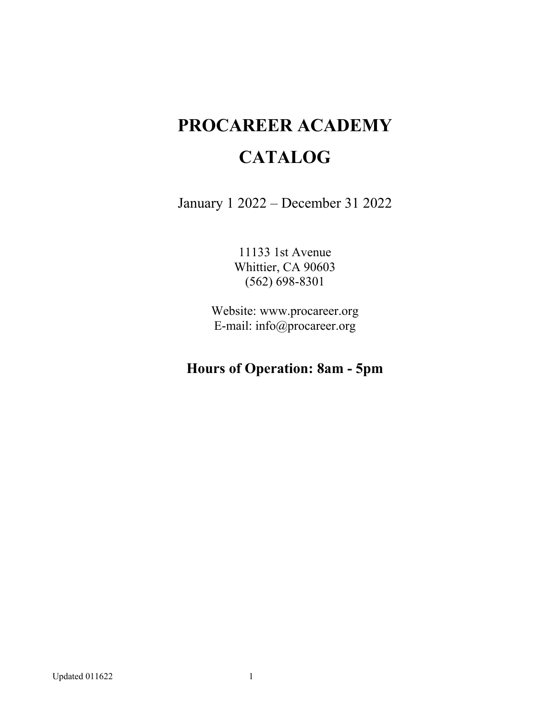# **PROCAREER ACADEMY CATALOG**

January 1 2022 – December 31 2022

11133 1st Avenue Whittier, CA 90603 (562) 698-8301

Website: www.procareer.org E-mail: info@procareer.org

# **Hours of Operation: 8am - 5pm**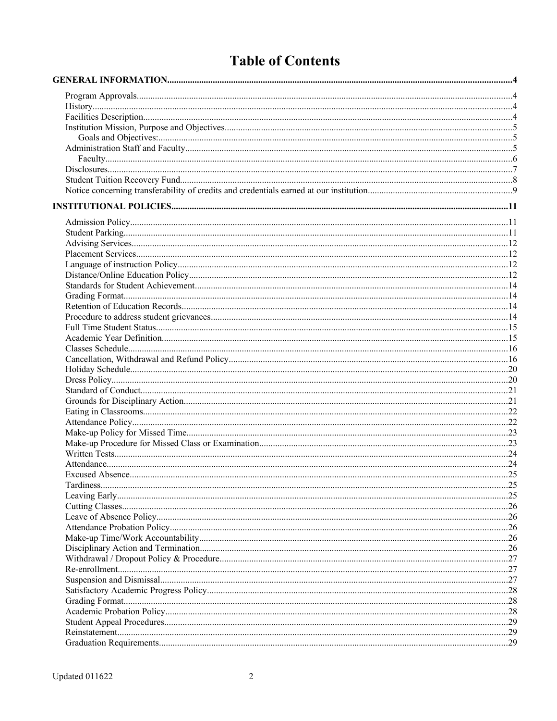# **Table of Contents**

| . 27 |
|------|
|      |
| 27   |
| 28   |
| 28   |
|      |
|      |
| . 29 |
|      |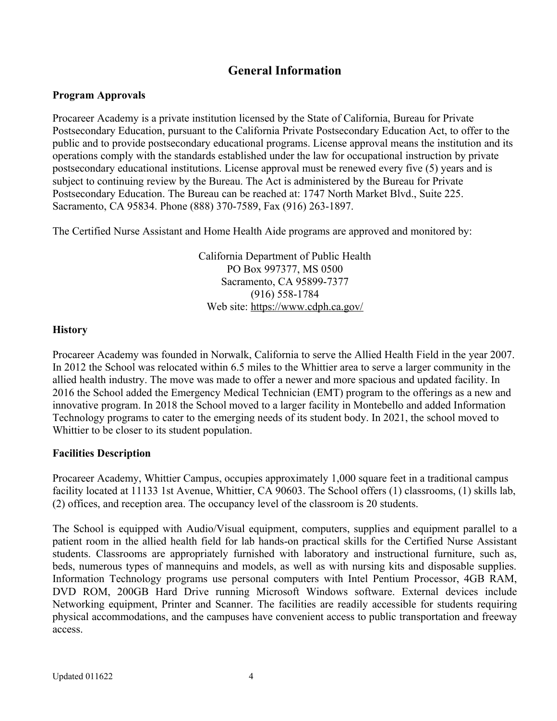# <span id="page-3-3"></span>**General Information**

#### <span id="page-3-2"></span>**Program Approvals**

Procareer Academy is a private institution licensed by the State of California, Bureau for Private Postsecondary Education, pursuant to the California Private Postsecondary Education Act, to offer to the public and to provide postsecondary educational programs. License approval means the institution and its operations comply with the standards established under the law for occupational instruction by private postsecondary educational institutions. License approval must be renewed every five (5) years and is subject to continuing review by the Bureau. The Act is administered by the Bureau for Private Postsecondary Education. The Bureau can be reached at: 1747 North Market Blvd., Suite 225. Sacramento, CA 95834. Phone (888) 370-7589, Fax (916) 263-1897.

The Certified Nurse Assistant and Home Health Aide programs are approved and monitored by:

California Department of Public Health PO Box 997377, MS 0500 Sacramento, CA 95899-7377 (916) 558-1784 Web site: <https://www.cdph.ca.gov/>

#### <span id="page-3-1"></span>**History**

Procareer Academy was founded in Norwalk, California to serve the Allied Health Field in the year 2007. In 2012 the School was relocated within 6.5 miles to the Whittier area to serve a larger community in the allied health industry. The move was made to offer a newer and more spacious and updated facility. In 2016 the School added the Emergency Medical Technician (EMT) program to the offerings as a new and innovative program. In 2018 the School moved to a larger facility in Montebello and added Information Technology programs to cater to the emerging needs of its student body. In 2021, the school moved to Whittier to be closer to its student population.

#### <span id="page-3-0"></span>**Facilities Description**

Procareer Academy, Whittier Campus, occupies approximately 1,000 square feet in a traditional campus facility located at 11133 1st Avenue, Whittier, CA 90603. The School offers (1) classrooms, (1) skills lab, (2) offices, and reception area. The occupancy level of the classroom is 20 students.

The School is equipped with Audio/Visual equipment, computers, supplies and equipment parallel to a patient room in the allied health field for lab hands-on practical skills for the Certified Nurse Assistant students. Classrooms are appropriately furnished with laboratory and instructional furniture, such as, beds, numerous types of mannequins and models, as well as with nursing kits and disposable supplies. Information Technology programs use personal computers with Intel Pentium Processor, 4GB RAM, DVD ROM, 200GB Hard Drive running Microsoft Windows software. External devices include Networking equipment, Printer and Scanner. The facilities are readily accessible for students requiring physical accommodations, and the campuses have convenient access to public transportation and freeway access.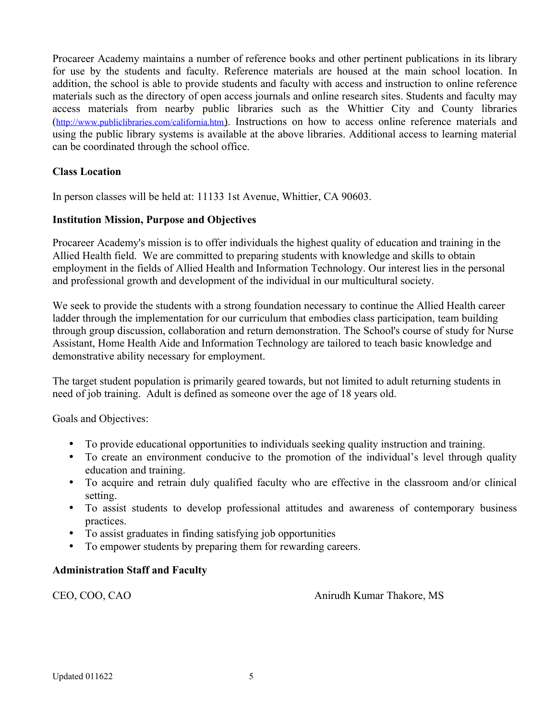Procareer Academy maintains a number of reference books and other pertinent publications in its library for use by the students and faculty. Reference materials are housed at the main school location. In addition, the school is able to provide students and faculty with access and instruction to online reference materials such as the directory of open access journals and online research sites. Students and faculty may access materials from nearby public libraries such as the Whittier City and County libraries (<http://www.publiclibraries.com/california.htm> ). Instructions on how to access online reference materials and using the public library systems is available at the above libraries. Additional access to learning material can be coordinated through the school office.

# **Class Location**

In person classes will be held at: 11133 1st Avenue, Whittier, CA 90603.

#### <span id="page-4-2"></span>**Institution Mission, Purpose and Objectives**

Procareer Academy's mission is to offer individuals the highest quality of education and training in the Allied Health field. We are committed to preparing students with knowledge and skills to obtain employment in the fields of Allied Health and Information Technology. Our interest lies in the personal and professional growth and development of the individual in our multicultural society.

We seek to provide the students with a strong foundation necessary to continue the Allied Health career ladder through the implementation for our curriculum that embodies class participation, team building through group discussion, collaboration and return demonstration. The School's course of study for Nurse Assistant, Home Health Aide and Information Technology are tailored to teach basic knowledge and demonstrative ability necessary for employment.

The target student population is primarily geared towards, but not limited to adult returning students in need of job training. Adult is defined as someone over the age of 18 years old.

<span id="page-4-1"></span>Goals and Objectives:

- To provide educational opportunities to individuals seeking quality instruction and training.
- To create an environment conducive to the promotion of the individual's level through quality education and training.
- To acquire and retrain duly qualified faculty who are effective in the classroom and/or clinical setting.
- To assist students to develop professional attitudes and awareness of contemporary business practices.
- To assist graduates in finding satisfying job opportunities
- To empower students by preparing them for rewarding careers.

#### <span id="page-4-0"></span>**Administration Staff and Faculty**

CEO, COO, CAO Anirudh Kumar Thakore, MS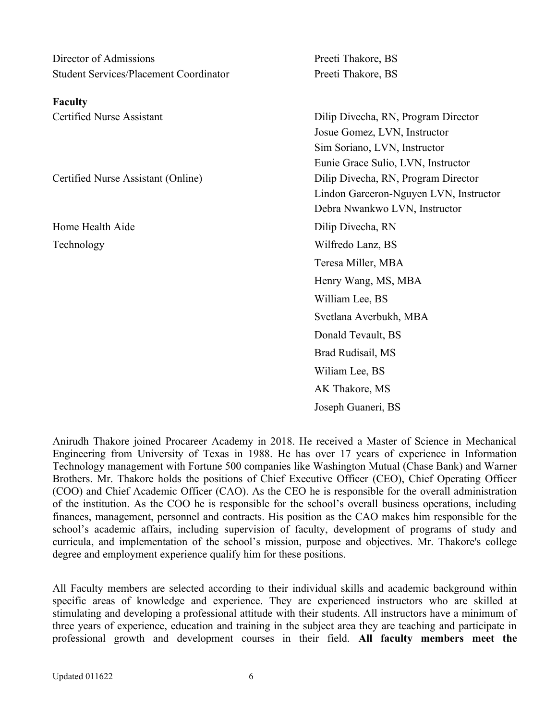<span id="page-5-0"></span>

| Director of Admissions                        | Preeti Thakore, BS                     |
|-----------------------------------------------|----------------------------------------|
| <b>Student Services/Placement Coordinator</b> | Preeti Thakore, BS                     |
| <b>Faculty</b>                                |                                        |
| <b>Certified Nurse Assistant</b>              | Dilip Divecha, RN, Program Director    |
|                                               | Josue Gomez, LVN, Instructor           |
|                                               | Sim Soriano, LVN, Instructor           |
|                                               | Eunie Grace Sulio, LVN, Instructor     |
| Certified Nurse Assistant (Online)            | Dilip Divecha, RN, Program Director    |
|                                               | Lindon Garceron-Nguyen LVN, Instructor |
|                                               | Debra Nwankwo LVN, Instructor          |
| Home Health Aide                              | Dilip Divecha, RN                      |
| Technology                                    | Wilfredo Lanz, BS                      |
|                                               | Teresa Miller, MBA                     |
|                                               | Henry Wang, MS, MBA                    |
|                                               | William Lee, BS                        |
|                                               | Svetlana Averbukh, MBA                 |
|                                               | Donald Tevault, BS                     |
|                                               | Brad Rudisail, MS                      |
|                                               | Wiliam Lee, BS                         |
|                                               | AK Thakore, MS                         |
|                                               | Joseph Guaneri, BS                     |

Anirudh Thakore joined Procareer Academy in 2018. He received a Master of Science in Mechanical Engineering from University of Texas in 1988. He has over 17 years of experience in Information Technology management with Fortune 500 companies like Washington Mutual (Chase Bank) and Warner Brothers. Mr. Thakore holds the positions of Chief Executive Officer (CEO), Chief Operating Officer (COO) and Chief Academic Officer (CAO). As the CEO he is responsible for the overall administration of the institution. As the COO he is responsible for the school's overall business operations, including finances, management, personnel and contracts. His position as the CAO makes him responsible for the school's academic affairs, including supervision of faculty, development of programs of study and curricula, and implementation of the school's mission, purpose and objectives. Mr. Thakore's college degree and employment experience qualify him for these positions.

All Faculty members are selected according to their individual skills and academic background within specific areas of knowledge and experience. They are experienced instructors who are skilled at stimulating and developing a professional attitude with their students. All instructors have a minimum of three years of experience, education and training in the subject area they are teaching and participate in professional growth and development courses in their field. **All faculty members meet the**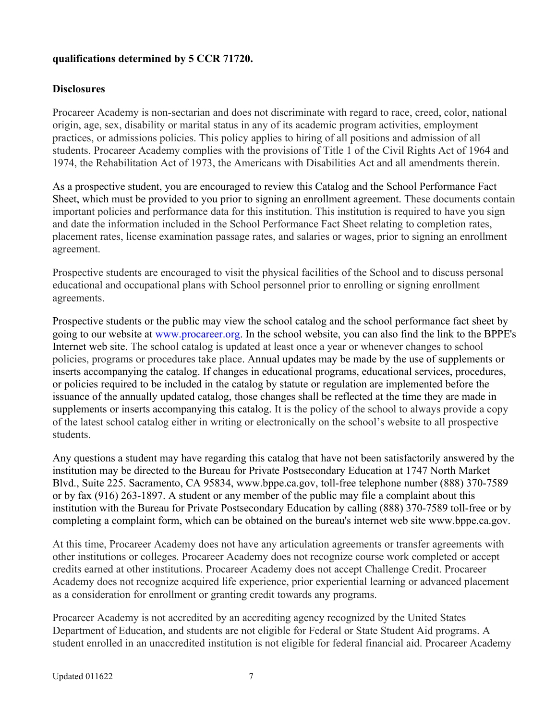## **qualifications determined by 5 CCR 71720.**

### <span id="page-6-0"></span>**Disclosures**

Procareer Academy is non-sectarian and does not discriminate with regard to race, creed, color, national origin, age, sex, disability or marital status in any of its academic program activities, employment practices, or admissions policies. This policy applies to hiring of all positions and admission of all students. Procareer Academy complies with the provisions of Title 1 of the Civil Rights Act of 1964 and 1974, the Rehabilitation Act of 1973, the Americans with Disabilities Act and all amendments therein.

As a prospective student, you are encouraged to review this Catalog and the School Performance Fact Sheet, which must be provided to you prior to signing an enrollment agreement. These documents contain important policies and performance data for this institution. This institution is required to have you sign and date the information included in the School Performance Fact Sheet relating to completion rates, placement rates, license examination passage rates, and salaries or wages, prior to signing an enrollment agreement.

Prospective students are encouraged to visit the physical facilities of the School and to discuss personal educational and occupational plans with School personnel prior to enrolling or signing enrollment agreements.

Prospective students or the public may view the school catalog and the school performance fact sheet by going to our website at [www.procareer.org](http://www.procareer.org/). In the school website, you can also find the link to the BPPE's Internet web site. The school catalog is updated at least once a year or whenever changes to school policies, programs or procedures take place. Annual updates may be made by the use of supplements or inserts accompanying the catalog. If changes in educational programs, educational services, procedures, or policies required to be included in the catalog by statute or regulation are implemented before the issuance of the annually updated catalog, those changes shall be reflected at the time they are made in supplements or inserts accompanying this catalog. It is the policy of the school to always provide a copy of the latest school catalog either in writing or electronically on the school's website to all prospective students.

Any questions a student may have regarding this catalog that have not been satisfactorily answered by the institution may be directed to the Bureau for Private Postsecondary Education at 1747 North Market Blvd., Suite 225. Sacramento, CA 95834, www.bppe.ca.gov, toll-free telephone number (888) 370-7589 or by fax (916) 263-1897. A student or any member of the public may file a complaint about this institution with the Bureau for Private Postsecondary Education by calling (888) 370-7589 toll-free or by completing a complaint form, which can be obtained on the bureau's internet web site [www.bppe.ca.gov](http://www.bppe.ca.gov/).

At this time, Procareer Academy does not have any articulation agreements or transfer agreements with other institutions or colleges. Procareer Academy does not recognize course work completed or accept credits earned at other institutions. Procareer Academy does not accept Challenge Credit. Procareer Academy does not recognize acquired life experience, prior experiential learning or advanced placement as a consideration for enrollment or granting credit towards any programs.

Procareer Academy is not accredited by an accrediting agency recognized by the United States Department of Education, and students are not eligible for Federal or State Student Aid programs. A student enrolled in an unaccredited institution is not eligible for federal financial aid. Procareer Academy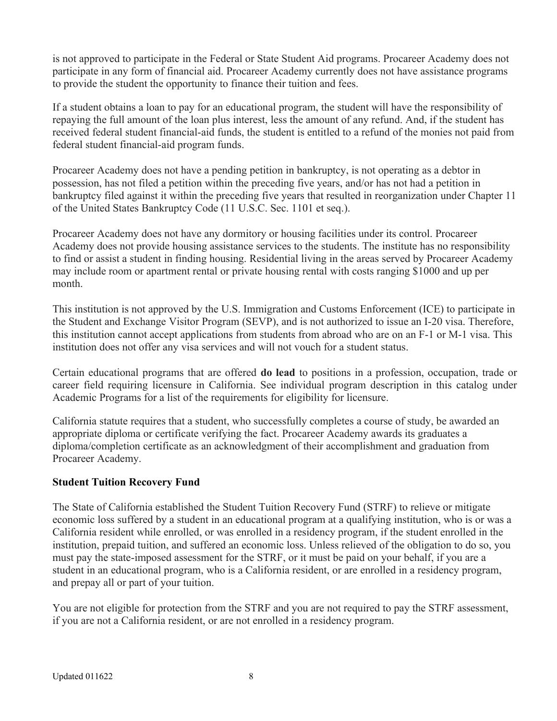is not approved to participate in the Federal or State Student Aid programs. Procareer Academy does not participate in any form of financial aid. Procareer Academy currently does not have assistance programs to provide the student the opportunity to finance their tuition and fees.

If a student obtains a loan to pay for an educational program, the student will have the responsibility of repaying the full amount of the loan plus interest, less the amount of any refund. And, if the student has received federal student financial-aid funds, the student is entitled to a refund of the monies not paid from federal student financial-aid program funds.

Procareer Academy does not have a pending petition in bankruptcy, is not operating as a debtor in possession, has not filed a petition within the preceding five years, and/or has not had a petition in bankruptcy filed against it within the preceding five years that resulted in reorganization under Chapter 11 of the United States Bankruptcy Code (11 U.S.C. Sec. 1101 et seq.).

Procareer Academy does not have any dormitory or housing facilities under its control. Procareer Academy does not provide housing assistance services to the students. The institute has no responsibility to find or assist a student in finding housing. Residential living in the areas served by Procareer Academy may include room or apartment rental or private housing rental with costs ranging \$1000 and up per month.

This institution is not approved by the U.S. Immigration and Customs Enforcement (ICE) to participate in the Student and Exchange Visitor Program (SEVP), and is not authorized to issue an I-20 visa. Therefore, this institution cannot accept applications from students from abroad who are on an F-1 or M-1 visa. This institution does not offer any visa services and will not vouch for a student status.

Certain educational programs that are offered **do lead** to positions in a profession, occupation, trade or career field requiring licensure in California. See individual program description in this catalog under Academic Programs for a list of the requirements for eligibility for licensure.

California statute requires that a student, who successfully completes a course of study, be awarded an appropriate diploma or certificate verifying the fact. Procareer Academy awards its graduates a diploma/completion certificate as an acknowledgment of their accomplishment and graduation from Procareer Academy.

# <span id="page-7-0"></span>**Student Tuition Recovery Fund**

The State of California established the Student Tuition Recovery Fund (STRF) to relieve or mitigate economic loss suffered by a student in an educational program at a qualifying institution, who is or was a California resident while enrolled, or was enrolled in a residency program, if the student enrolled in the institution, prepaid tuition, and suffered an economic loss. Unless relieved of the obligation to do so, you must pay the state-imposed assessment for the STRF, or it must be paid on your behalf, if you are a student in an educational program, who is a California resident, or are enrolled in a residency program, and prepay all or part of your tuition.

You are not eligible for protection from the STRF and you are not required to pay the STRF assessment, if you are not a California resident, or are not enrolled in a residency program.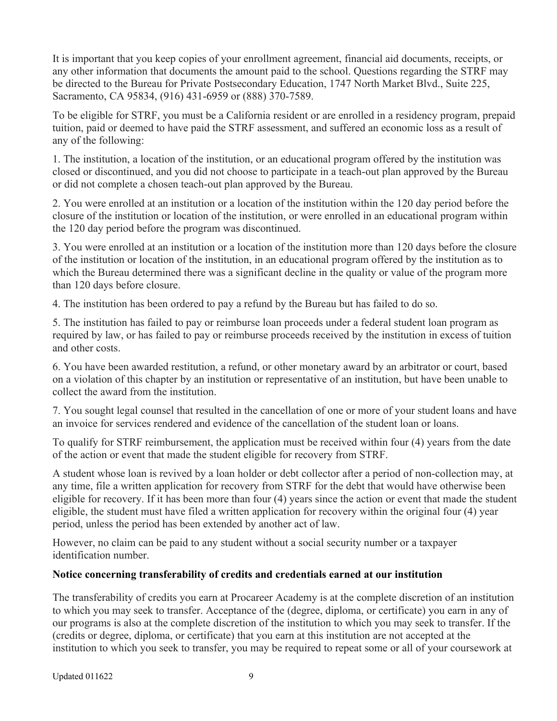It is important that you keep copies of your enrollment agreement, financial aid documents, receipts, or any other information that documents the amount paid to the school. Questions regarding the STRF may be directed to the Bureau for Private Postsecondary Education, 1747 North Market Blvd., Suite 225, Sacramento, CA 95834, (916) 431-6959 or (888) 370-7589.

To be eligible for STRF, you must be a California resident or are enrolled in a residency program, prepaid tuition, paid or deemed to have paid the STRF assessment, and suffered an economic loss as a result of any of the following:

1. The institution, a location of the institution, or an educational program offered by the institution was closed or discontinued, and you did not choose to participate in a teach-out plan approved by the Bureau or did not complete a chosen teach-out plan approved by the Bureau.

2. You were enrolled at an institution or a location of the institution within the 120 day period before the closure of the institution or location of the institution, or were enrolled in an educational program within the 120 day period before the program was discontinued.

3. You were enrolled at an institution or a location of the institution more than 120 days before the closure of the institution or location of the institution, in an educational program offered by the institution as to which the Bureau determined there was a significant decline in the quality or value of the program more than 120 days before closure.

4. The institution has been ordered to pay a refund by the Bureau but has failed to do so.

5. The institution has failed to pay or reimburse loan proceeds under a federal student loan program as required by law, or has failed to pay or reimburse proceeds received by the institution in excess of tuition and other costs.

6. You have been awarded restitution, a refund, or other monetary award by an arbitrator or court, based on a violation of this chapter by an institution or representative of an institution, but have been unable to collect the award from the institution.

7. You sought legal counsel that resulted in the cancellation of one or more of your student loans and have an invoice for services rendered and evidence of the cancellation of the student loan or loans.

To qualify for STRF reimbursement, the application must be received within four (4) years from the date of the action or event that made the student eligible for recovery from STRF.

A student whose loan is revived by a loan holder or debt collector after a period of non-collection may, at any time, file a written application for recovery from STRF for the debt that would have otherwise been eligible for recovery. If it has been more than four (4) years since the action or event that made the student eligible, the student must have filed a written application for recovery within the original four (4) year period, unless the period has been extended by another act of law.

However, no claim can be paid to any student without a social security number or a taxpayer identification number.

# <span id="page-8-0"></span>**Notice concerning transferability of credits and credentials earned at our institution**

The transferability of credits you earn at Procareer Academy is at the complete discretion of an institution to which you may seek to transfer. Acceptance of the (degree, diploma, or certificate) you earn in any of our programs is also at the complete discretion of the institution to which you may seek to transfer. If the (credits or degree, diploma, or certificate) that you earn at this institution are not accepted at the institution to which you seek to transfer, you may be required to repeat some or all of your coursework at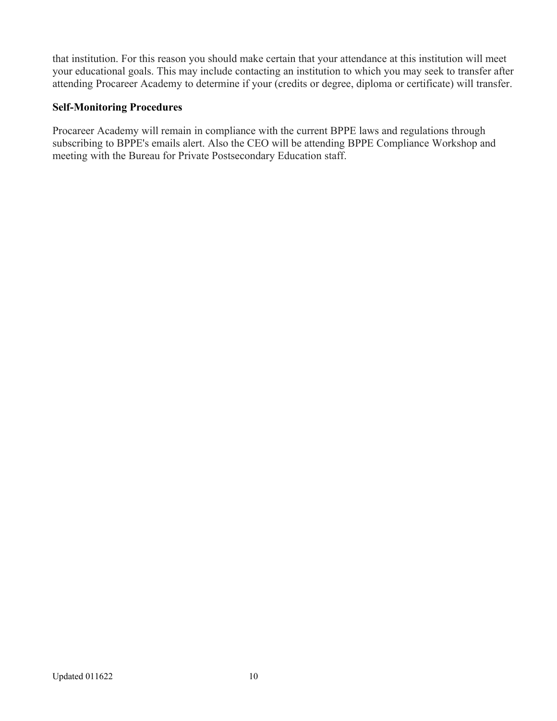that institution. For this reason you should make certain that your attendance at this institution will meet your educational goals. This may include contacting an institution to which you may seek to transfer after attending Procareer Academy to determine if your (credits or degree, diploma or certificate) will transfer.

## **Self-Monitoring Procedures**

Procareer Academy will remain in compliance with the current BPPE laws and regulations through subscribing to BPPE's emails alert. Also the CEO will be attending BPPE Compliance Workshop and meeting with the Bureau for Private Postsecondary Education staff.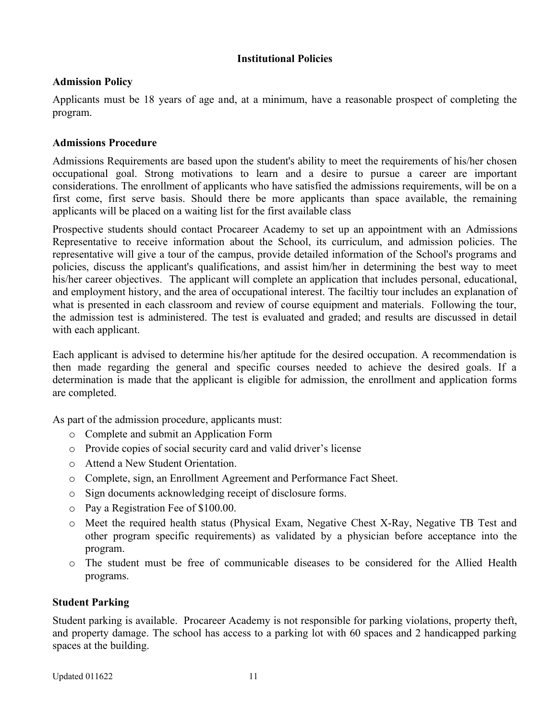#### <span id="page-10-2"></span>**Institutional Policies**

## <span id="page-10-1"></span>**Admission Policy**

Applicants must be 18 years of age and, at a minimum, have a reasonable prospect of completing the program.

## **Admissions Procedure**

Admissions Requirements are based upon the student's ability to meet the requirements of his/her chosen occupational goal. Strong motivations to learn and a desire to pursue a career are important considerations. The enrollment of applicants who have satisfied the admissions requirements, will be on a first come, first serve basis. Should there be more applicants than space available, the remaining applicants will be placed on a waiting list for the first available class

Prospective students should contact Procareer Academy to set up an appointment with an Admissions Representative to receive information about the School, its curriculum, and admission policies. The representative will give a tour of the campus, provide detailed information of the School's programs and policies, discuss the applicant's qualifications, and assist him/her in determining the best way to meet his/her career objectives. The applicant will complete an application that includes personal, educational, and employment history, and the area of occupational interest. The faciltiy tour includes an explanation of what is presented in each classroom and review of course equipment and materials. Following the tour, the admission test is administered. The test is evaluated and graded; and results are discussed in detail with each applicant.

Each applicant is advised to determine his/her aptitude for the desired occupation. A recommendation is then made regarding the general and specific courses needed to achieve the desired goals. If a determination is made that the applicant is eligible for admission, the enrollment and application forms are completed.

As part of the admission procedure, applicants must:

- o Complete and submit an Application Form
- o Provide copies of social security card and valid driver's license
- o Attend a New Student Orientation.
- o Complete, sign, an Enrollment Agreement and Performance Fact Sheet.
- o Sign documents acknowledging receipt of disclosure forms.
- o Pay a Registration Fee of \$100.00.
- o Meet the required health status (Physical Exam, Negative Chest X-Ray, Negative TB Test and other program specific requirements) as validated by a physician before acceptance into the program.
- o The student must be free of communicable diseases to be considered for the Allied Health programs.

#### <span id="page-10-0"></span>**Student Parking**

Student parking is available. Procareer Academy is not responsible for parking violations, property theft, and property damage. The school has access to a parking lot with 60 spaces and 2 handicapped parking spaces at the building.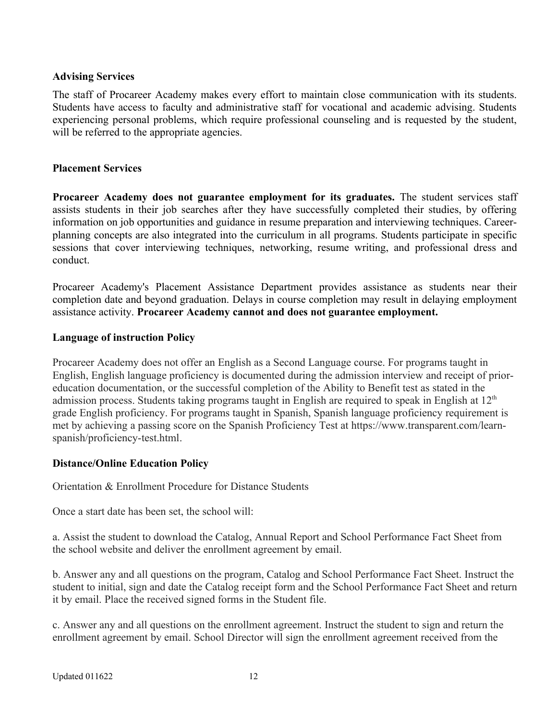#### <span id="page-11-3"></span>**Advising Services**

The staff of Procareer Academy makes every effort to maintain close communication with its students. Students have access to faculty and administrative staff for vocational and academic advising. Students experiencing personal problems, which require professional counseling and is requested by the student, will be referred to the appropriate agencies.

#### <span id="page-11-2"></span>**Placement Services**

**Procareer Academy does not guarantee employment for its graduates.** The student services staff assists students in their job searches after they have successfully completed their studies, by offering information on job opportunities and guidance in resume preparation and interviewing techniques. Careerplanning concepts are also integrated into the curriculum in all programs. Students participate in specific sessions that cover interviewing techniques, networking, resume writing, and professional dress and conduct.

Procareer Academy's Placement Assistance Department provides assistance as students near their completion date and beyond graduation. Delays in course completion may result in delaying employment assistance activity. **Procareer Academy cannot and does not guarantee employment.**

#### <span id="page-11-1"></span>**Language of instruction Policy**

Procareer Academy does not offer an English as a Second Language course. For programs taught in English, English language proficiency is documented during the admission interview and receipt of prioreducation documentation, or the successful completion of the Ability to Benefit test as stated in the admission process. Students taking programs taught in English are required to speak in English at  $12<sup>th</sup>$ grade English proficiency. For programs taught in Spanish, Spanish language proficiency requirement is met by achieving a passing score on the Spanish Proficiency Test at [https://www.transparent.com/learn](https://www.transparent.com/learn-spanish/proficiency-test.html)[spanish/proficiency-test.html](https://www.transparent.com/learn-spanish/proficiency-test.html).

# <span id="page-11-0"></span>**Distance/Online Education Policy**

Orientation & Enrollment Procedure for Distance Students

Once a start date has been set, the school will:

a. Assist the student to download the Catalog, Annual Report and School Performance Fact Sheet from the school website and deliver the enrollment agreement by email.

b. Answer any and all questions on the program, Catalog and School Performance Fact Sheet. Instruct the student to initial, sign and date the Catalog receipt form and the School Performance Fact Sheet and return it by email. Place the received signed forms in the Student file.

c. Answer any and all questions on the enrollment agreement. Instruct the student to sign and return the enrollment agreement by email. School Director will sign the enrollment agreement received from the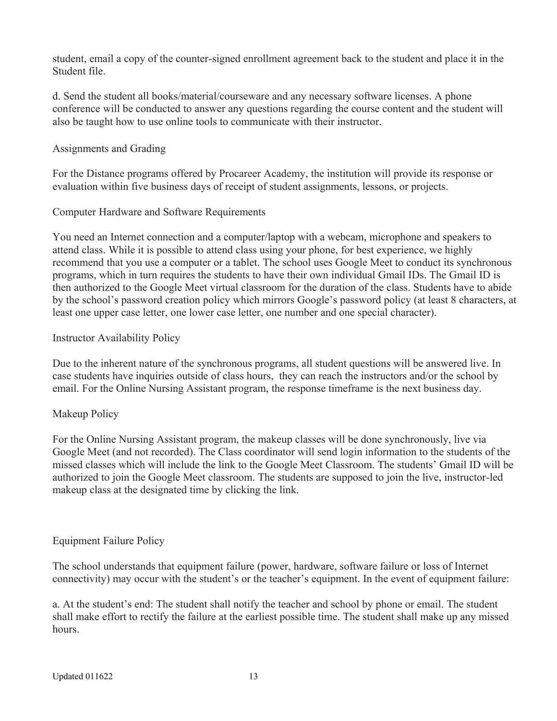student, email a copy of the counter-signed enrollment agreement back to the student and place it in the Student file.

d. Send the student all books/material/courseware and any necessary software licenses. A phone conference will be conducted to answer any questions regarding the course content and the student will also be taught how to use online tools to communicate with their instructor.

# Assignments and Grading

For the Distance programs offered by Procareer Academy, the institution will provide its response or evaluation within five business days of receipt of student assignments, lessons, or projects.

# Computer Hardware and Software Requirements

You need an Internet connection and a computer/laptop with a webcam, microphone and speakers to attend class. While it is possible to attend class using your phone, for best experience, we highly recommend that you use a computer or a tablet. The school uses Google Meet to conduct its synchronous programs, which in turn requires the students to have their own individual Gmail IDs. The Gmail ID is then authorized to the Google Meet virtual classroom for the duration of the class. Students have to abide by the school's password creation policy which mirrors Google's password policy (at least 8 characters, at least one upper case letter, one lower case letter, one number and one special character).

# Instructor Availability Policy

Due to the inherent nature of the synchronous programs, all student questions will be answered live. In case students have inquiries outside of class hours, they can reach the instructors and/or the school by email. For the Online Nursing Assistant program, the response timeframe is the next business day.

# Makeup Policy

For the Online Nursing Assistant program, the makeup classes will be done synchronously, live via Google Meet (and not recorded). The Class coordinator will send login information to the students of the missed classes which will include the link to the Google Meet Classroom. The students' Gmail ID will be authorized to join the Google Meet classroom. The students are supposed to join the live, instructor-led makeup class at the designated time by clicking the link.

# Equipment Failure Policy

The school understands that equipment failure (power, hardware, software failure or loss of Internet connectivity) may occur with the student's or the teacher's equipment. In the event of equipment failure:

a. At the student's end: The student shall notify the teacher and school by phone or email. The student shall make effort to rectify the failure at the earliest possible time. The student shall make up any missed hours.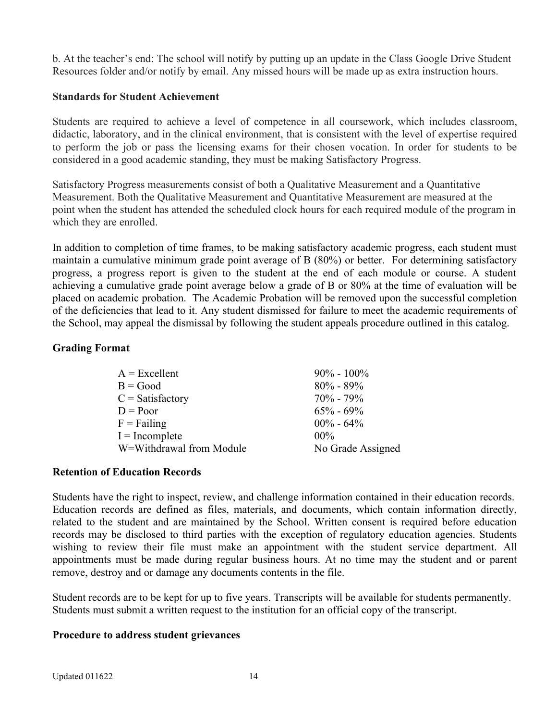b. At the teacher's end: The school will notify by putting up an update in the Class Google Drive Student Resources folder and/or notify by email. Any missed hours will be made up as extra instruction hours.

#### <span id="page-13-3"></span>**Standards for Student Achievement**

Students are required to achieve a level of competence in all coursework, which includes classroom, didactic, laboratory, and in the clinical environment, that is consistent with the level of expertise required to perform the job or pass the licensing exams for their chosen vocation. In order for students to be considered in a good academic standing, they must be making Satisfactory Progress.

Satisfactory Progress measurements consist of both a Qualitative Measurement and a Quantitative Measurement. Both the Qualitative Measurement and Quantitative Measurement are measured at the point when the student has attended the scheduled clock hours for each required module of the program in which they are enrolled.

In addition to completion of time frames, to be making satisfactory academic progress, each student must maintain a cumulative minimum grade point average of B (80%) or better. For determining satisfactory progress, a progress report is given to the student at the end of each module or course. A student achieving a cumulative grade point average below a grade of B or 80% at the time of evaluation will be placed on academic probation. The Academic Probation will be removed upon the successful completion of the deficiencies that lead to it. Any student dismissed for failure to meet the academic requirements of the School, may appeal the dismissal by following the student appeals procedure outlined in this catalog.

#### <span id="page-13-2"></span>**Grading Format**

| $A = Excellent$          | $90\% - 100\%$    |
|--------------------------|-------------------|
| $B = Good$               | $80\% - 89\%$     |
| $C = Satisfactory$       | $70\% - 79\%$     |
| $D = Poor$               | $65\% - 69\%$     |
| $F =$ Failing            | $00\% - 64\%$     |
| $I = Incomplete$         | $00\%$            |
| W=Withdrawal from Module | No Grade Assigned |

#### <span id="page-13-1"></span>**Retention of Education Records**

Students have the right to inspect, review, and challenge information contained in their education records. Education records are defined as files, materials, and documents, which contain information directly, related to the student and are maintained by the School. Written consent is required before education records may be disclosed to third parties with the exception of regulatory education agencies. Students wishing to review their file must make an appointment with the student service department. All appointments must be made during regular business hours. At no time may the student and or parent remove, destroy and or damage any documents contents in the file.

Student records are to be kept for up to five years. Transcripts will be available for students permanently. Students must submit a written request to the institution for an official copy of the transcript.

#### <span id="page-13-0"></span>**Procedure to address student grievances**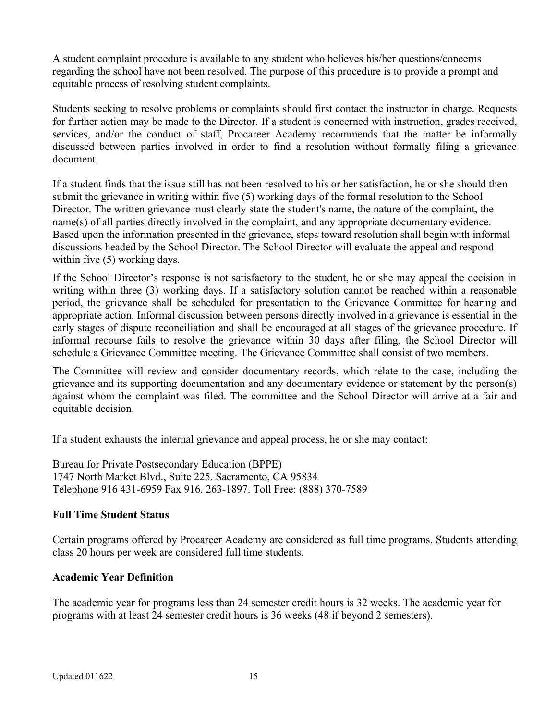A student complaint procedure is available to any student who believes his/her questions/concerns regarding the school have not been resolved. The purpose of this procedure is to provide a prompt and equitable process of resolving student complaints.

Students seeking to resolve problems or complaints should first contact the instructor in charge. Requests for further action may be made to the Director. If a student is concerned with instruction, grades received, services, and/or the conduct of staff, Procareer Academy recommends that the matter be informally discussed between parties involved in order to find a resolution without formally filing a grievance document.

If a student finds that the issue still has not been resolved to his or her satisfaction, he or she should then submit the grievance in writing within five (5) working days of the formal resolution to the School Director. The written grievance must clearly state the student's name, the nature of the complaint, the name(s) of all parties directly involved in the complaint, and any appropriate documentary evidence. Based upon the information presented in the grievance, steps toward resolution shall begin with informal discussions headed by the School Director. The School Director will evaluate the appeal and respond within five  $(5)$  working days.

If the School Director's response is not satisfactory to the student, he or she may appeal the decision in writing within three (3) working days. If a satisfactory solution cannot be reached within a reasonable period, the grievance shall be scheduled for presentation to the Grievance Committee for hearing and appropriate action. Informal discussion between persons directly involved in a grievance is essential in the early stages of dispute reconciliation and shall be encouraged at all stages of the grievance procedure. If informal recourse fails to resolve the grievance within 30 days after filing, the School Director will schedule a Grievance Committee meeting. The Grievance Committee shall consist of two members.

The Committee will review and consider documentary records, which relate to the case, including the grievance and its supporting documentation and any documentary evidence or statement by the person(s) against whom the complaint was filed. The committee and the School Director will arrive at a fair and equitable decision.

If a student exhausts the internal grievance and appeal process, he or she may contact:

Bureau for Private Postsecondary Education (BPPE) 1747 North Market Blvd., Suite 225. Sacramento, CA 95834 Telephone 916 431-6959 Fax 916. 263-1897. Toll Free: (888) 370-7589

# <span id="page-14-1"></span>**Full Time Student Status**

Certain programs offered by Procareer Academy are considered as full time programs. Students attending class 20 hours per week are considered full time students.

#### <span id="page-14-0"></span>**Academic Year Definition**

The academic year for programs less than 24 semester credit hours is 32 weeks. The academic year for programs with at least 24 semester credit hours is 36 weeks (48 if beyond 2 semesters).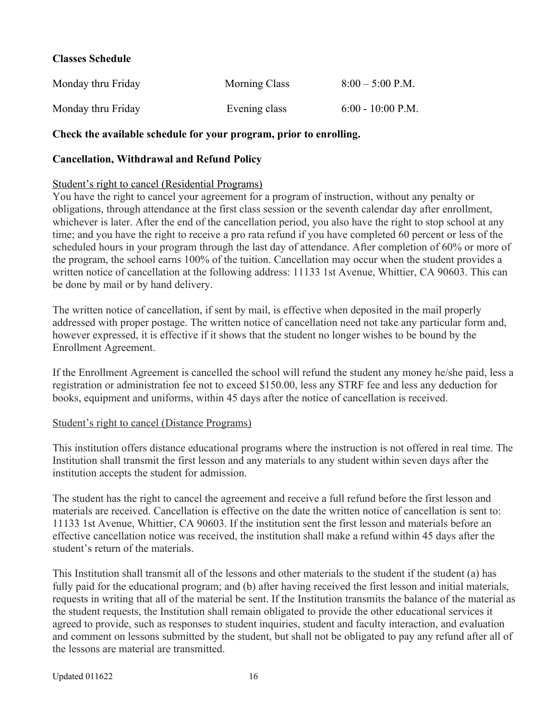#### <span id="page-15-1"></span>**Classes Schedule**

| Monday thru Friday | <b>Morning Class</b> | $8:00 - 5:00$ P.M.  |
|--------------------|----------------------|---------------------|
| Monday thru Friday | Evening class        | $6:00 - 10:00$ P.M. |

#### **Check the available schedule for your program, prior to enrolling.**

#### <span id="page-15-0"></span>**Cancellation, Withdrawal and Refund Policy**

#### Student's right to cancel (Residential Programs)

You have the right to cancel your agreement for a program of instruction, without any penalty or obligations, through attendance at the first class session or the seventh calendar day after enrollment, whichever is later. After the end of the cancellation period, you also have the right to stop school at any time; and you have the right to receive a pro rata refund if you have completed 60 percent or less of the scheduled hours in your program through the last day of attendance. After completion of 60% or more of the program, the school earns 100% of the tuition. Cancellation may occur when the student provides a written notice of cancellation at the following address: 11133 1st Avenue, Whittier, CA 90603. This can be done by mail or by hand delivery.

The written notice of cancellation, if sent by mail, is effective when deposited in the mail properly addressed with proper postage. The written notice of cancellation need not take any particular form and, however expressed, it is effective if it shows that the student no longer wishes to be bound by the Enrollment Agreement.

If the Enrollment Agreement is cancelled the school will refund the student any money he/she paid, less a registration or administration fee not to exceed \$150.00, less any STRF fee and less any deduction for books, equipment and uniforms, within 45 days after the notice of cancellation is received.

#### Student's right to cancel (Distance Programs)

This institution offers distance educational programs where the instruction is not offered in real time. The Institution shall transmit the first lesson and any materials to any student within seven days after the institution accepts the student for admission.

The student has the right to cancel the agreement and receive a full refund before the first lesson and materials are received. Cancellation is effective on the date the written notice of cancellation is sent to: 11133 1st Avenue, Whittier, CA 90603. If the institution sent the first lesson and materials before an effective cancellation notice was received, the institution shall make a refund within 45 days after the student's return of the materials.

This Institution shall transmit all of the lessons and other materials to the student if the student (a) has fully paid for the educational program; and (b) after having received the first lesson and initial materials, requests in writing that all of the material be sent. If the Institution transmits the balance of the material as the student requests, the Institution shall remain obligated to provide the other educational services it agreed to provide, such as responses to student inquiries, student and faculty interaction, and evaluation and comment on lessons submitted by the student, but shall not be obligated to pay any refund after all of the lessons are material are transmitted.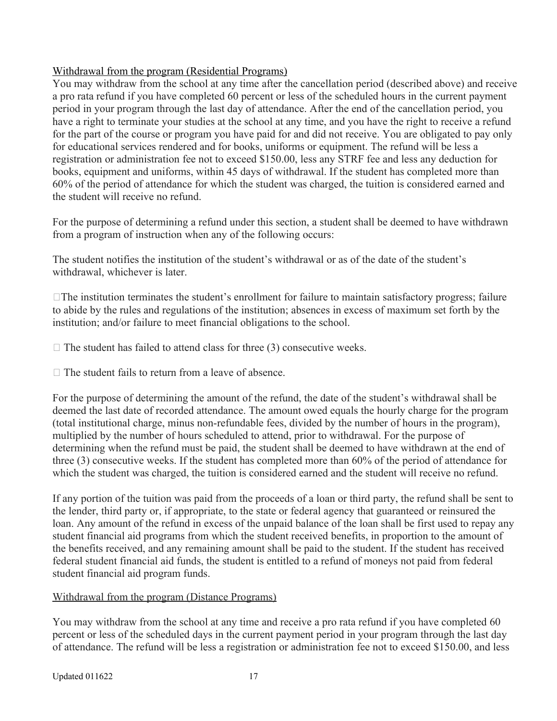# Withdrawal from the program (Residential Programs)

You may withdraw from the school at any time after the cancellation period (described above) and receive a pro rata refund if you have completed 60 percent or less of the scheduled hours in the current payment period in your program through the last day of attendance. After the end of the cancellation period, you have a right to terminate your studies at the school at any time, and you have the right to receive a refund for the part of the course or program you have paid for and did not receive. You are obligated to pay only for educational services rendered and for books, uniforms or equipment. The refund will be less a registration or administration fee not to exceed \$150.00, less any STRF fee and less any deduction for books, equipment and uniforms, within 45 days of withdrawal. If the student has completed more than 60% of the period of attendance for which the student was charged, the tuition is considered earned and the student will receive no refund.

For the purpose of determining a refund under this section, a student shall be deemed to have withdrawn from a program of instruction when any of the following occurs:

The student notifies the institution of the student's withdrawal or as of the date of the student's withdrawal, whichever is later.

 $\Box$  The institution terminates the student's enrollment for failure to maintain satisfactory progress; failure to abide by the rules and regulations of the institution; absences in excess of maximum set forth by the institution; and/or failure to meet financial obligations to the school.

 $\Box$  The student has failed to attend class for three (3) consecutive weeks.

 $\Box$  The student fails to return from a leave of absence.

For the purpose of determining the amount of the refund, the date of the student's withdrawal shall be deemed the last date of recorded attendance. The amount owed equals the hourly charge for the program (total institutional charge, minus non-refundable fees, divided by the number of hours in the program), multiplied by the number of hours scheduled to attend, prior to withdrawal. For the purpose of determining when the refund must be paid, the student shall be deemed to have withdrawn at the end of three (3) consecutive weeks. If the student has completed more than 60% of the period of attendance for which the student was charged, the tuition is considered earned and the student will receive no refund.

If any portion of the tuition was paid from the proceeds of a loan or third party, the refund shall be sent to the lender, third party or, if appropriate, to the state or federal agency that guaranteed or reinsured the loan. Any amount of the refund in excess of the unpaid balance of the loan shall be first used to repay any student financial aid programs from which the student received benefits, in proportion to the amount of the benefits received, and any remaining amount shall be paid to the student. If the student has received federal student financial aid funds, the student is entitled to a refund of moneys not paid from federal student financial aid program funds.

# Withdrawal from the program (Distance Programs)

You may withdraw from the school at any time and receive a pro rata refund if you have completed 60 percent or less of the scheduled days in the current payment period in your program through the last day of attendance. The refund will be less a registration or administration fee not to exceed \$150.00, and less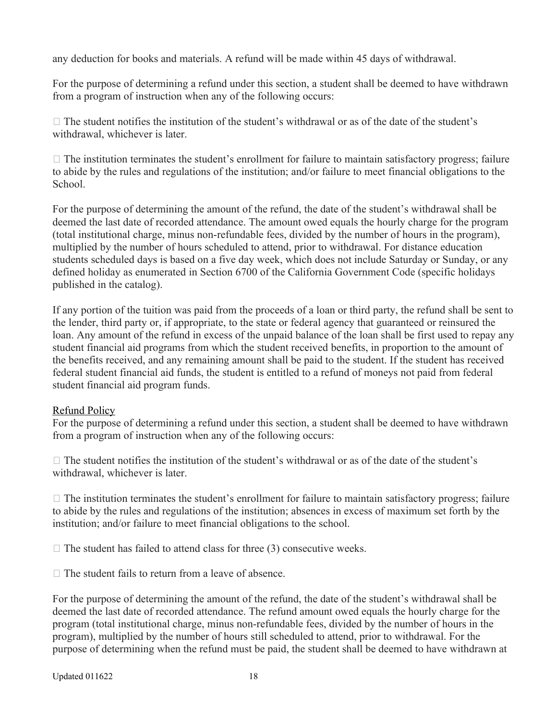any deduction for books and materials. A refund will be made within 45 days of withdrawal.

For the purpose of determining a refund under this section, a student shall be deemed to have withdrawn from a program of instruction when any of the following occurs:

 $\Box$  The student notifies the institution of the student's withdrawal or as of the date of the student's withdrawal, whichever is later.

 $\Box$  The institution terminates the student's enrollment for failure to maintain satisfactory progress; failure to abide by the rules and regulations of the institution; and/or failure to meet financial obligations to the School.

For the purpose of determining the amount of the refund, the date of the student's withdrawal shall be deemed the last date of recorded attendance. The amount owed equals the hourly charge for the program (total institutional charge, minus non-refundable fees, divided by the number of hours in the program), multiplied by the number of hours scheduled to attend, prior to withdrawal. For distance education students scheduled days is based on a five day week, which does not include Saturday or Sunday, or any defined holiday as enumerated in Section 6700 of the California Government Code (specific holidays published in the catalog).

If any portion of the tuition was paid from the proceeds of a loan or third party, the refund shall be sent to the lender, third party or, if appropriate, to the state or federal agency that guaranteed or reinsured the loan. Any amount of the refund in excess of the unpaid balance of the loan shall be first used to repay any student financial aid programs from which the student received benefits, in proportion to the amount of the benefits received, and any remaining amount shall be paid to the student. If the student has received federal student financial aid funds, the student is entitled to a refund of moneys not paid from federal student financial aid program funds.

# Refund Policy

For the purpose of determining a refund under this section, a student shall be deemed to have withdrawn from a program of instruction when any of the following occurs:

 $\Box$  The student notifies the institution of the student's withdrawal or as of the date of the student's withdrawal, whichever is later.

 $\Box$  The institution terminates the student's enrollment for failure to maintain satisfactory progress; failure to abide by the rules and regulations of the institution; absences in excess of maximum set forth by the institution; and/or failure to meet financial obligations to the school.

 $\Box$  The student has failed to attend class for three (3) consecutive weeks.

□ The student fails to return from a leave of absence.

For the purpose of determining the amount of the refund, the date of the student's withdrawal shall be deemed the last date of recorded attendance. The refund amount owed equals the hourly charge for the program (total institutional charge, minus non-refundable fees, divided by the number of hours in the program), multiplied by the number of hours still scheduled to attend, prior to withdrawal. For the purpose of determining when the refund must be paid, the student shall be deemed to have withdrawn at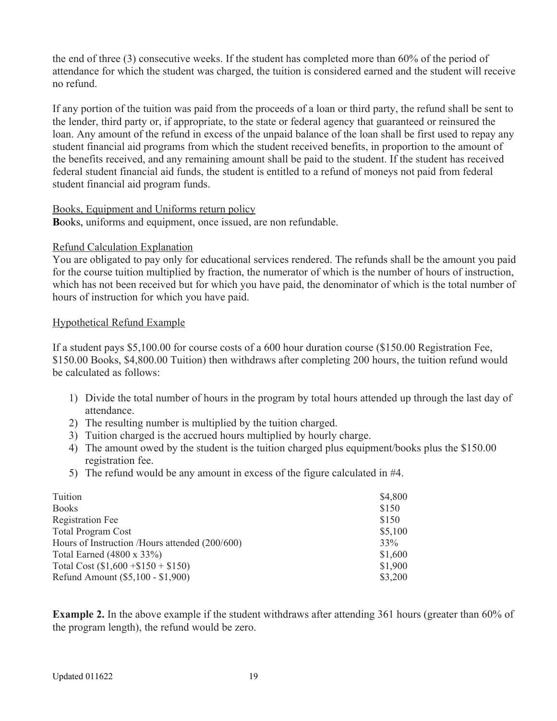the end of three (3) consecutive weeks. If the student has completed more than 60% of the period of attendance for which the student was charged, the tuition is considered earned and the student will receive no refund.

If any portion of the tuition was paid from the proceeds of a loan or third party, the refund shall be sent to the lender, third party or, if appropriate, to the state or federal agency that guaranteed or reinsured the loan. Any amount of the refund in excess of the unpaid balance of the loan shall be first used to repay any student financial aid programs from which the student received benefits, in proportion to the amount of the benefits received, and any remaining amount shall be paid to the student. If the student has received federal student financial aid funds, the student is entitled to a refund of moneys not paid from federal student financial aid program funds.

#### Books, Equipment and Uniforms return policy

**B**ooks, uniforms and equipment, once issued, are non refundable.

#### Refund Calculation Explanation

You are obligated to pay only for educational services rendered. The refunds shall be the amount you paid for the course tuition multiplied by fraction, the numerator of which is the number of hours of instruction, which has not been received but for which you have paid, the denominator of which is the total number of hours of instruction for which you have paid.

# Hypothetical Refund Example

If a student pays \$5,100.00 for course costs of a 600 hour duration course (\$150.00 Registration Fee, \$150.00 Books, \$4,800.00 Tuition) then withdraws after completing 200 hours, the tuition refund would be calculated as follows:

- 1) Divide the total number of hours in the program by total hours attended up through the last day of attendance.
- 2) The resulting number is multiplied by the tuition charged.
- 3) Tuition charged is the accrued hours multiplied by hourly charge.
- 4) The amount owed by the student is the tuition charged plus equipment/books plus the \$150.00 registration fee.
- 5) The refund would be any amount in excess of the figure calculated in #4.

| Tuition                                        | \$4,800 |
|------------------------------------------------|---------|
| <b>Books</b>                                   | \$150   |
| <b>Registration Fee</b>                        | \$150   |
| <b>Total Program Cost</b>                      | \$5,100 |
| Hours of Instruction /Hours attended (200/600) | 33%     |
| Total Earned (4800 x 33%)                      | \$1,600 |
| Total Cost $(\$1,600 + \$150 + \$150)$         | \$1,900 |
| Refund Amount (\$5,100 - \$1,900)              | \$3,200 |

**Example 2.** In the above example if the student withdraws after attending 361 hours (greater than 60% of the program length), the refund would be zero.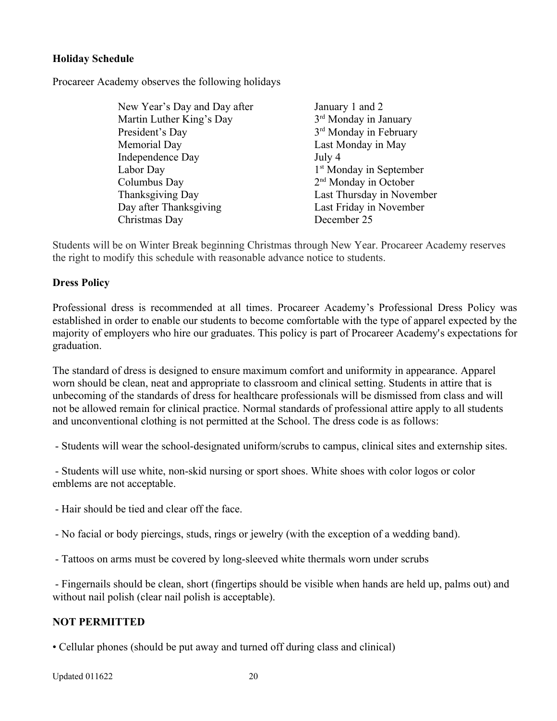## <span id="page-19-1"></span>**Holiday Schedule**

Procareer Academy observes the following holidays

| New Year's Day and Day after | January 1 and 2                     |
|------------------------------|-------------------------------------|
| Martin Luther King's Day     | 3 <sup>rd</sup> Monday in January   |
| President's Day              | 3 <sup>rd</sup> Monday in February  |
| Memorial Day                 | Last Monday in May                  |
| Independence Day             | July 4                              |
| Labor Day                    | 1 <sup>st</sup> Monday in September |
| Columbus Day                 | 2 <sup>nd</sup> Monday in October   |
| Thanksgiving Day             | Last Thursday in November           |
| Day after Thanksgiving       | Last Friday in November             |
| Christmas Day                | December 25                         |

Students will be on Winter Break beginning Christmas through New Year. Procareer Academy reserves the right to modify this schedule with reasonable advance notice to students.

#### <span id="page-19-0"></span>**Dress Policy**

Professional dress is recommended at all times. Procareer Academy's Professional Dress Policy was established in order to enable our students to become comfortable with the type of apparel expected by the majority of employers who hire our graduates. This policy is part of Procareer Academy's expectations for graduation.

The standard of dress is designed to ensure maximum comfort and uniformity in appearance. Apparel worn should be clean, neat and appropriate to classroom and clinical setting. Students in attire that is unbecoming of the standards of dress for healthcare professionals will be dismissed from class and will not be allowed remain for clinical practice. Normal standards of professional attire apply to all students and unconventional clothing is not permitted at the School. The dress code is as follows:

- Students will wear the school-designated uniform/scrubs to campus, clinical sites and externship sites.

 - Students will use white, non-skid nursing or sport shoes. White shoes with color logos or color emblems are not acceptable.

- Hair should be tied and clear off the face.
- No facial or body piercings, studs, rings or jewelry (with the exception of a wedding band).
- Tattoos on arms must be covered by long-sleeved white thermals worn under scrubs

 - Fingernails should be clean, short (fingertips should be visible when hands are held up, palms out) and without nail polish (clear nail polish is acceptable).

#### **NOT PERMITTED**

• Cellular phones (should be put away and turned off during class and clinical)

Updated 011622 20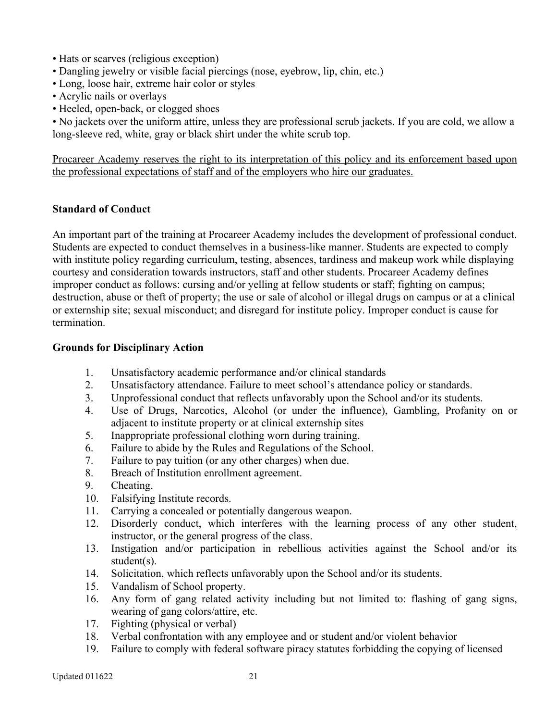- Hats or scarves (religious exception)
- Dangling jewelry or visible facial piercings (nose, eyebrow, lip, chin, etc.)
- Long, loose hair, extreme hair color or styles
- Acrylic nails or overlays
- Heeled, open-back, or clogged shoes

• No jackets over the uniform attire, unless they are professional scrub jackets. If you are cold, we allow a long-sleeve red, white, gray or black shirt under the white scrub top.

Procareer Academy reserves the right to its interpretation of this policy and its enforcement based upon the professional expectations of staff and of the employers who hire our graduates.

#### <span id="page-20-1"></span>**Standard of Conduct**

An important part of the training at Procareer Academy includes the development of professional conduct. Students are expected to conduct themselves in a business-like manner. Students are expected to comply with institute policy regarding curriculum, testing, absences, tardiness and makeup work while displaying courtesy and consideration towards instructors, staff and other students. Procareer Academy defines improper conduct as follows: cursing and/or yelling at fellow students or staff; fighting on campus; destruction, abuse or theft of property; the use or sale of alcohol or illegal drugs on campus or at a clinical or externship site; sexual misconduct; and disregard for institute policy. Improper conduct is cause for termination.

#### <span id="page-20-0"></span>**Grounds for Disciplinary Action**

- 1. Unsatisfactory academic performance and/or clinical standards
- 2. Unsatisfactory attendance. Failure to meet school's attendance policy or standards.
- 3. Unprofessional conduct that reflects unfavorably upon the School and/or its students.
- 4. Use of Drugs, Narcotics, Alcohol (or under the influence), Gambling, Profanity on or adjacent to institute property or at clinical externship sites
- 5. Inappropriate professional clothing worn during training.
- 6. Failure to abide by the Rules and Regulations of the School.
- 7. Failure to pay tuition (or any other charges) when due.
- 8. Breach of Institution enrollment agreement.
- 9. Cheating.
- 10. Falsifying Institute records.
- 11. Carrying a concealed or potentially dangerous weapon.
- 12. Disorderly conduct, which interferes with the learning process of any other student, instructor, or the general progress of the class.
- 13. Instigation and/or participation in rebellious activities against the School and/or its student(s).
- 14. Solicitation, which reflects unfavorably upon the School and/or its students.
- 15. Vandalism of School property.
- 16. Any form of gang related activity including but not limited to: flashing of gang signs, wearing of gang colors/attire, etc.
- 17. Fighting (physical or verbal)
- 18. Verbal confrontation with any employee and or student and/or violent behavior
- 19. Failure to comply with federal software piracy statutes forbidding the copying of licensed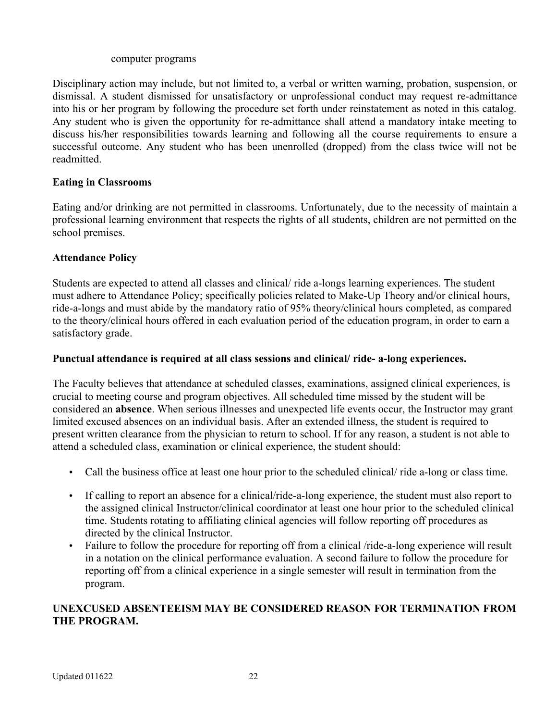#### computer programs

Disciplinary action may include, but not limited to, a verbal or written warning, probation, suspension, or dismissal. A student dismissed for unsatisfactory or unprofessional conduct may request re-admittance into his or her program by following the procedure set forth under reinstatement as noted in this catalog. Any student who is given the opportunity for re-admittance shall attend a mandatory intake meeting to discuss his/her responsibilities towards learning and following all the course requirements to ensure a successful outcome. Any student who has been unenrolled (dropped) from the class twice will not be readmitted.

### <span id="page-21-1"></span>**Eating in Classrooms**

Eating and/or drinking are not permitted in classrooms. Unfortunately, due to the necessity of maintain a professional learning environment that respects the rights of all students, children are not permitted on the school premises.

#### <span id="page-21-0"></span>**Attendance Policy**

Students are expected to attend all classes and clinical/ ride a-longs learning experiences. The student must adhere to Attendance Policy; specifically policies related to Make-Up Theory and/or clinical hours, ride-a-longs and must abide by the mandatory ratio of 95% theory/clinical hours completed, as compared to the theory/clinical hours offered in each evaluation period of the education program, in order to earn a satisfactory grade.

#### **Punctual attendance is required at all class sessions and clinical/ ride- a-long experiences.**

The Faculty believes that attendance at scheduled classes, examinations, assigned clinical experiences, is crucial to meeting course and program objectives. All scheduled time missed by the student will be considered an **absence**. When serious illnesses and unexpected life events occur, the Instructor may grant limited excused absences on an individual basis. After an extended illness, the student is required to present written clearance from the physician to return to school. If for any reason, a student is not able to attend a scheduled class, examination or clinical experience, the student should:

- Call the business office at least one hour prior to the scheduled clinical/ ride a-long or class time.
- If calling to report an absence for a clinical/ride-a-long experience, the student must also report to the assigned clinical Instructor/clinical coordinator at least one hour prior to the scheduled clinical time. Students rotating to affiliating clinical agencies will follow reporting off procedures as directed by the clinical Instructor.
- Failure to follow the procedure for reporting off from a clinical /ride-a-long experience will result in a notation on the clinical performance evaluation. A second failure to follow the procedure for reporting off from a clinical experience in a single semester will result in termination from the program.

# **UNEXCUSED ABSENTEEISM MAY BE CONSIDERED REASON FOR TERMINATION FROM THE PROGRAM.**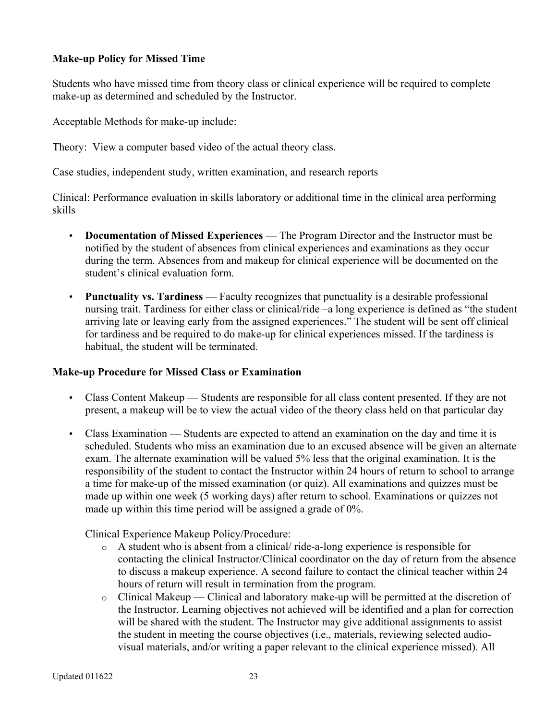### <span id="page-22-1"></span>**Make-up Policy for Missed Time**

Students who have missed time from theory class or clinical experience will be required to complete make-up as determined and scheduled by the Instructor.

Acceptable Methods for make-up include:

Theory: View a computer based video of the actual theory class.

Case studies, independent study, written examination, and research reports

Clinical: Performance evaluation in skills laboratory or additional time in the clinical area performing skills

- **Documentation of Missed Experiences** The Program Director and the Instructor must be notified by the student of absences from clinical experiences and examinations as they occur during the term. Absences from and makeup for clinical experience will be documented on the student's clinical evaluation form.
- **Punctuality vs. Tardiness** Faculty recognizes that punctuality is a desirable professional nursing trait. Tardiness for either class or clinical/ride –a long experience is defined as "the student arriving late or leaving early from the assigned experiences." The student will be sent off clinical for tardiness and be required to do make-up for clinical experiences missed. If the tardiness is habitual, the student will be terminated.

#### <span id="page-22-0"></span>**Make-up Procedure for Missed Class or Examination**

- Class Content Makeup Students are responsible for all class content presented. If they are not present, a makeup will be to view the actual video of the theory class held on that particular day
- Class Examination Students are expected to attend an examination on the day and time it is scheduled. Students who miss an examination due to an excused absence will be given an alternate exam. The alternate examination will be valued 5% less that the original examination. It is the responsibility of the student to contact the Instructor within 24 hours of return to school to arrange a time for make-up of the missed examination (or quiz). All examinations and quizzes must be made up within one week (5 working days) after return to school. Examinations or quizzes not made up within this time period will be assigned a grade of 0%.

Clinical Experience Makeup Policy/Procedure:

- o A student who is absent from a clinical/ ride-a-long experience is responsible for contacting the clinical Instructor/Clinical coordinator on the day of return from the absence to discuss a makeup experience. A second failure to contact the clinical teacher within 24 hours of return will result in termination from the program.
- $\circ$  Clinical Makeup Clinical and laboratory make-up will be permitted at the discretion of the Instructor. Learning objectives not achieved will be identified and a plan for correction will be shared with the student. The Instructor may give additional assignments to assist the student in meeting the course objectives (i.e., materials, reviewing selected audiovisual materials, and/or writing a paper relevant to the clinical experience missed). All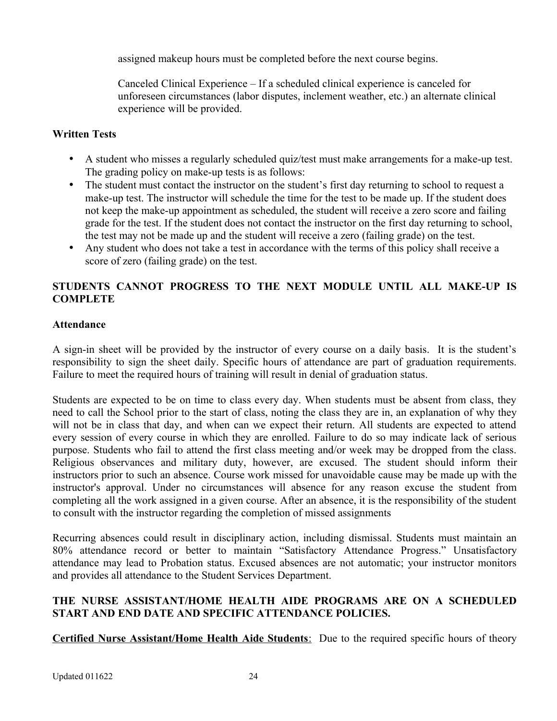assigned makeup hours must be completed before the next course begins.

Canceled Clinical Experience – If a scheduled clinical experience is canceled for unforeseen circumstances (labor disputes, inclement weather, etc.) an alternate clinical experience will be provided.

# <span id="page-23-1"></span>**Written Tests**

- A student who misses a regularly scheduled quiz/test must make arrangements for a make-up test. The grading policy on make-up tests is as follows:
- The student must contact the instructor on the student's first day returning to school to request a make-up test. The instructor will schedule the time for the test to be made up. If the student does not keep the make-up appointment as scheduled, the student will receive a zero score and failing grade for the test. If the student does not contact the instructor on the first day returning to school, the test may not be made up and the student will receive a zero (failing grade) on the test.
- Any student who does not take a test in accordance with the terms of this policy shall receive a score of zero (failing grade) on the test.

# **STUDENTS CANNOT PROGRESS TO THE NEXT MODULE UNTIL ALL MAKE-UP IS COMPLETE**

# <span id="page-23-0"></span>**Attendance**

A sign-in sheet will be provided by the instructor of every course on a daily basis. It is the student's responsibility to sign the sheet daily. Specific hours of attendance are part of graduation requirements. Failure to meet the required hours of training will result in denial of graduation status.

Students are expected to be on time to class every day. When students must be absent from class, they need to call the School prior to the start of class, noting the class they are in, an explanation of why they will not be in class that day, and when can we expect their return. All students are expected to attend every session of every course in which they are enrolled. Failure to do so may indicate lack of serious purpose. Students who fail to attend the first class meeting and/or week may be dropped from the class. Religious observances and military duty, however, are excused. The student should inform their instructors prior to such an absence. Course work missed for unavoidable cause may be made up with the instructor's approval. Under no circumstances will absence for any reason excuse the student from completing all the work assigned in a given course. After an absence, it is the responsibility of the student to consult with the instructor regarding the completion of missed assignments

Recurring absences could result in disciplinary action, including dismissal. Students must maintain an 80% attendance record or better to maintain "Satisfactory Attendance Progress." Unsatisfactory attendance may lead to Probation status. Excused absences are not automatic; your instructor monitors and provides all attendance to the Student Services Department.

# **THE NURSE ASSISTANT/HOME HEALTH AIDE PROGRAMS ARE ON A SCHEDULED START AND END DATE AND SPECIFIC ATTENDANCE POLICIES.**

 **Certified Nurse Assistant/Home Health Aide Students** : Due to the required specific hours of theory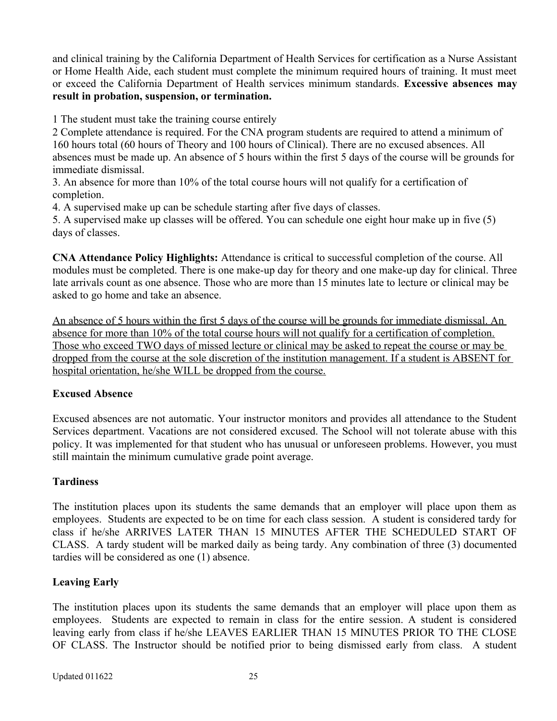and clinical training by the California Department of Health Services for certification as a Nurse Assistant or Home Health Aide, each student must complete the minimum required hours of training. It must meet or exceed the California Department of Health services minimum standards. **Excessive absences may result in probation, suspension, or termination.**

1 The student must take the training course entirely

2 Complete attendance is required. For the CNA program students are required to attend a minimum of 160 hours total (60 hours of Theory and 100 hours of Clinical). There are no excused absences. All absences must be made up. An absence of 5 hours within the first 5 days of the course will be grounds for immediate dismissal.

3. An absence for more than 10% of the total course hours will not qualify for a certification of completion.

4. A supervised make up can be schedule starting after five days of classes.

5. A supervised make up classes will be offered. You can schedule one eight hour make up in five (5) days of classes.

**CNA Attendance Policy Highlights:** Attendance is critical to successful completion of the course. All modules must be completed. There is one make-up day for theory and one make-up day for clinical. Three late arrivals count as one absence. Those who are more than 15 minutes late to lecture or clinical may be asked to go home and take an absence.

An absence of 5 hours within the first 5 days of the course will be grounds for immediate dismissal. An absence for more than 10% of the total course hours will not qualify for a certification of completion. Those who exceed TWO days of missed lecture or clinical may be asked to repeat the course or may be dropped from the course at the sole discretion of the institution management. If a student is ABSENT for hospital orientation, he/she WILL be dropped from the course.

#### <span id="page-24-2"></span>**Excused Absence**

Excused absences are not automatic. Your instructor monitors and provides all attendance to the Student Services department. Vacations are not considered excused. The School will not tolerate abuse with this policy. It was implemented for that student who has unusual or unforeseen problems. However, you must still maintain the minimum cumulative grade point average.

# <span id="page-24-1"></span>**Tardiness**

The institution places upon its students the same demands that an employer will place upon them as employees. Students are expected to be on time for each class session. A student is considered tardy for class if he/she ARRIVES LATER THAN 15 MINUTES AFTER THE SCHEDULED START OF CLASS. A tardy student will be marked daily as being tardy. Any combination of three (3) documented tardies will be considered as one (1) absence.

#### <span id="page-24-0"></span>**Leaving Early**

The institution places upon its students the same demands that an employer will place upon them as employees. Students are expected to remain in class for the entire session. A student is considered leaving early from class if he/she LEAVES EARLIER THAN 15 MINUTES PRIOR TO THE CLOSE OF CLASS. The Instructor should be notified prior to being dismissed early from class. A student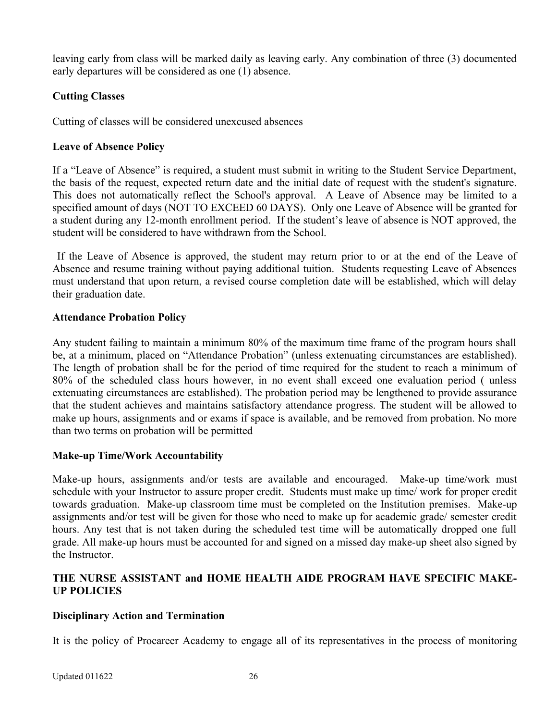leaving early from class will be marked daily as leaving early. Any combination of three (3) documented early departures will be considered as one (1) absence.

# <span id="page-25-4"></span>**Cutting Classes**

Cutting of classes will be considered unexcused absences

## <span id="page-25-3"></span>**Leave of Absence Policy**

If a "Leave of Absence" is required, a student must submit in writing to the Student Service Department, the basis of the request, expected return date and the initial date of request with the student's signature. This does not automatically reflect the School's approval. A Leave of Absence may be limited to a specified amount of days (NOT TO EXCEED 60 DAYS). Only one Leave of Absence will be granted for a student during any 12-month enrollment period. If the student's leave of absence is NOT approved, the student will be considered to have withdrawn from the School.

If the Leave of Absence is approved, the student may return prior to or at the end of the Leave of Absence and resume training without paying additional tuition. Students requesting Leave of Absences must understand that upon return, a revised course completion date will be established, which will delay their graduation date.

#### <span id="page-25-2"></span>**Attendance Probation Policy**

Any student failing to maintain a minimum 80% of the maximum time frame of the program hours shall be, at a minimum, placed on "Attendance Probation" (unless extenuating circumstances are established). The length of probation shall be for the period of time required for the student to reach a minimum of 80% of the scheduled class hours however, in no event shall exceed one evaluation period ( unless extenuating circumstances are established). The probation period may be lengthened to provide assurance that the student achieves and maintains satisfactory attendance progress. The student will be allowed to make up hours, assignments and or exams if space is available, and be removed from probation. No more than two terms on probation will be permitted

# <span id="page-25-1"></span>**Make-up Time/Work Accountability**

Make-up hours, assignments and/or tests are available and encouraged. Make-up time/work must schedule with your Instructor to assure proper credit. Students must make up time/ work for proper credit towards graduation. Make-up classroom time must be completed on the Institution premises. Make-up assignments and/or test will be given for those who need to make up for academic grade/ semester credit hours. Any test that is not taken during the scheduled test time will be automatically dropped one full grade. All make-up hours must be accounted for and signed on a missed day make-up sheet also signed by the Instructor.

# **THE NURSE ASSISTANT and HOME HEALTH AIDE PROGRAM HAVE SPECIFIC MAKE-UP POLICIES**

# <span id="page-25-0"></span>**Disciplinary Action and Termination**

It is the policy of Procareer Academy to engage all of its representatives in the process of monitoring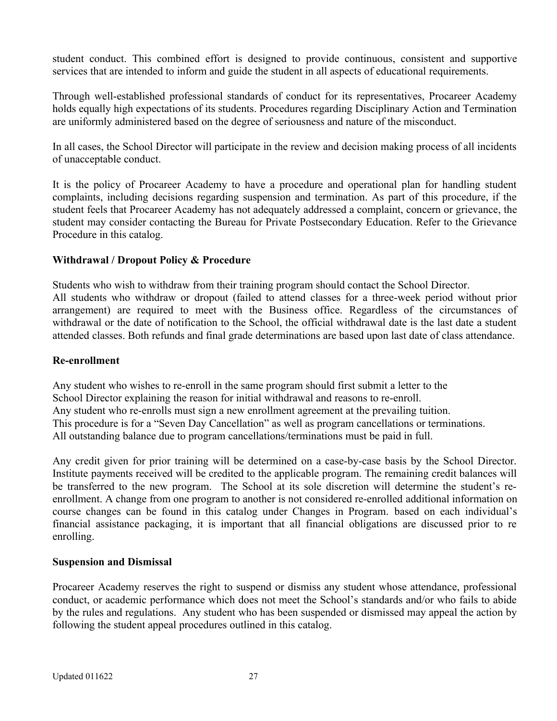student conduct. This combined effort is designed to provide continuous, consistent and supportive services that are intended to inform and guide the student in all aspects of educational requirements.

Through well-established professional standards of conduct for its representatives, Procareer Academy holds equally high expectations of its students. Procedures regarding Disciplinary Action and Termination are uniformly administered based on the degree of seriousness and nature of the misconduct.

In all cases, the School Director will participate in the review and decision making process of all incidents of unacceptable conduct.

It is the policy of Procareer Academy to have a procedure and operational plan for handling student complaints, including decisions regarding suspension and termination. As part of this procedure, if the student feels that Procareer Academy has not adequately addressed a complaint, concern or grievance, the student may consider contacting the Bureau for Private Postsecondary Education. Refer to the Grievance Procedure in this catalog.

# <span id="page-26-2"></span>**Withdrawal / Dropout Policy & Procedure**

Students who wish to withdraw from their training program should contact the School Director. All students who withdraw or dropout (failed to attend classes for a three-week period without prior arrangement) are required to meet with the Business office. Regardless of the circumstances of withdrawal or the date of notification to the School, the official withdrawal date is the last date a student attended classes. Both refunds and final grade determinations are based upon last date of class attendance.

#### <span id="page-26-1"></span>**Re-enrollment**

Any student who wishes to re-enroll in the same program should first submit a letter to the School Director explaining the reason for initial withdrawal and reasons to re-enroll. Any student who re-enrolls must sign a new enrollment agreement at the prevailing tuition. This procedure is for a "Seven Day Cancellation" as well as program cancellations or terminations. All outstanding balance due to program cancellations/terminations must be paid in full.

Any credit given for prior training will be determined on a case-by-case basis by the School Director. Institute payments received will be credited to the applicable program. The remaining credit balances will be transferred to the new program. The School at its sole discretion will determine the student's reenrollment. A change from one program to another is not considered re-enrolled additional information on course changes can be found in this catalog under Changes in Program. based on each individual's financial assistance packaging, it is important that all financial obligations are discussed prior to re enrolling.

#### <span id="page-26-0"></span>**Suspension and Dismissal**

Procareer Academy reserves the right to suspend or dismiss any student whose attendance, professional conduct, or academic performance which does not meet the School's standards and/or who fails to abide by the rules and regulations. Any student who has been suspended or dismissed may appeal the action by following the student appeal procedures outlined in this catalog.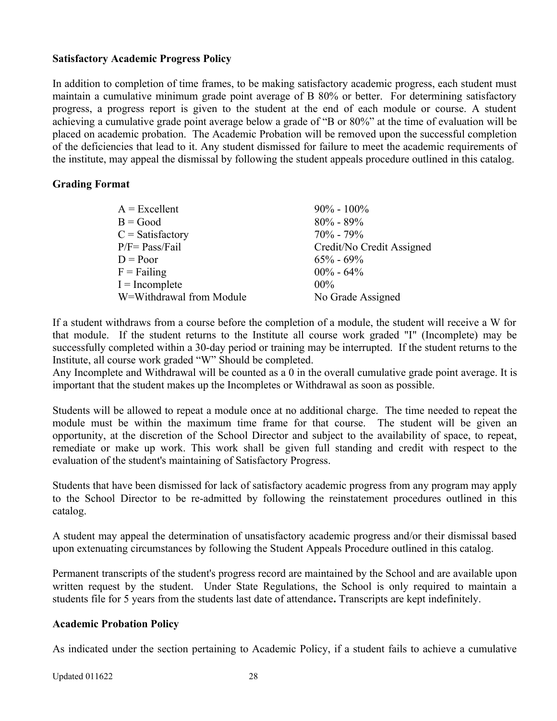#### <span id="page-27-2"></span>**Satisfactory Academic Progress Policy**

In addition to completion of time frames, to be making satisfactory academic progress, each student must maintain a cumulative minimum grade point average of B 80% or better. For determining satisfactory progress, a progress report is given to the student at the end of each module or course. A student achieving a cumulative grade point average below a grade of "B or 80%" at the time of evaluation will be placed on academic probation. The Academic Probation will be removed upon the successful completion of the deficiencies that lead to it. Any student dismissed for failure to meet the academic requirements of the institute, may appeal the dismissal by following the student appeals procedure outlined in this catalog.

#### <span id="page-27-1"></span>**Grading Format**

| $A = Excellent$          | $90\% - 100\%$            |
|--------------------------|---------------------------|
| $B = Good$               | $80\% - 89\%$             |
| $C = Satisfactory$       | $70\% - 79\%$             |
| $P/F = Pass/Fail$        | Credit/No Credit Assigned |
| $D = Poor$               | $65\% - 69\%$             |
| $F = Failing$            | $00\% - 64\%$             |
| $I = Incomplete$         | $00\%$                    |
| W=Withdrawal from Module | No Grade Assigned         |
|                          |                           |

If a student withdraws from a course before the completion of a module, the student will receive a W for that module. If the student returns to the Institute all course work graded "I" (Incomplete) may be successfully completed within a 30-day period or training may be interrupted. If the student returns to the Institute, all course work graded "W" Should be completed.

Any Incomplete and Withdrawal will be counted as a 0 in the overall cumulative grade point average. It is important that the student makes up the Incompletes or Withdrawal as soon as possible.

Students will be allowed to repeat a module once at no additional charge. The time needed to repeat the module must be within the maximum time frame for that course. The student will be given an opportunity, at the discretion of the School Director and subject to the availability of space, to repeat, remediate or make up work. This work shall be given full standing and credit with respect to the evaluation of the student's maintaining of Satisfactory Progress.

Students that have been dismissed for lack of satisfactory academic progress from any program may apply to the School Director to be re-admitted by following the reinstatement procedures outlined in this catalog.

A student may appeal the determination of unsatisfactory academic progress and/or their dismissal based upon extenuating circumstances by following the Student Appeals Procedure outlined in this catalog.

Permanent transcripts of the student's progress record are maintained by the School and are available upon written request by the student. Under State Regulations, the School is only required to maintain a students file for 5 years from the students last date of attendance**.** Transcripts are kept indefinitely.

#### <span id="page-27-0"></span>**Academic Probation Policy**

As indicated under the section pertaining to Academic Policy, if a student fails to achieve a cumulative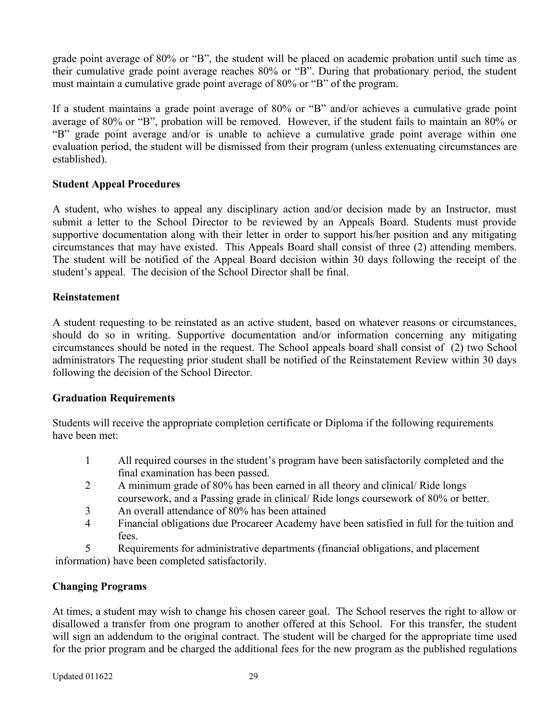grade point average of 80% or "B", the student will be placed on academic probation until such time as their cumulative grade point average reaches 80% or "B". During that probationary period, the student must maintain a cumulative grade point average of 80% or "B" of the program.

If a student maintains a grade point average of 80% or "B" and/or achieves a cumulative grade point average of 80% or "B", probation will be removed. However, if the student fails to maintain an 80% or "B" grade point average and/or is unable to achieve a cumulative grade point average within one evaluation period, the student will be dismissed from their program (unless extenuating circumstances are established).

# <span id="page-28-2"></span>**Student Appeal Procedures**

A student, who wishes to appeal any disciplinary action and/or decision made by an Instructor, must submit a letter to the School Director to be reviewed by an Appeals Board. Students must provide supportive documentation along with their letter in order to support his/her position and any mitigating circumstances that may have existed. This Appeals Board shall consist of three (2) attending members. The student will be notified of the Appeal Board decision within 30 days following the receipt of the student's appeal. The decision of the School Director shall be final.

#### <span id="page-28-1"></span>**Reinstatement**

A student requesting to be reinstated as an active student, based on whatever reasons or circumstances, should do so in writing. Supportive documentation and/or information concerning any mitigating circumstances should be noted in the request. The School appeals board shall consist of (2) two School administrators The requesting prior student shall be notified of the Reinstatement Review within 30 days following the decision of the School Director.

#### <span id="page-28-0"></span>**Graduation Requirements**

Students will receive the appropriate completion certificate or Diploma if the following requirements have been met:

- 1 All required courses in the student's program have been satisfactorily completed and the final examination has been passed.
- 2 A minimum grade of 80% has been earned in all theory and clinical/ Ride longs coursework, and a Passing grade in clinical/ Ride longs coursework of 80% or better.
- 3 An overall attendance of 80% has been attained
- 4 Financial obligations due Procareer Academy have been satisfied in full for the tuition and fees.

5 Requirements for administrative departments (financial obligations, and placement information) have been completed satisfactorily.

# <span id="page-28-3"></span>**Changing Programs**

At times, a student may wish to change his chosen career goal. The School reserves the right to allow or disallowed a transfer from one program to another offered at this School. For this transfer, the student will sign an addendum to the original contract. The student will be charged for the appropriate time used for the prior program and be charged the additional fees for the new program as the published regulations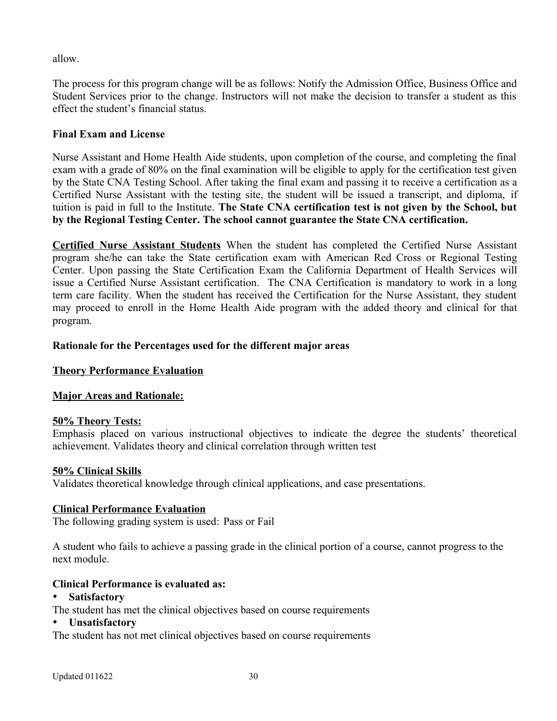allow.

The process for this program change will be as follows: Notify the Admission Office, Business Office and Student Services prior to the change. Instructors will not make the decision to transfer a student as this effect the student's financial status.

# <span id="page-29-1"></span>**Final Exam and License**

Nurse Assistant and Home Health Aide students, upon completion of the course, and completing the final exam with a grade of 80% on the final examination will be eligible to apply for the certification test given by the State CNA Testing School. After taking the final exam and passing it to receive a certification as a Certified Nurse Assistant with the testing site, the student will be issued a transcript, and diploma, if tuition is paid in full to the Institute. **The State CNA certification test is not given by the School, but by the Regional Testing Center. The school cannot guarantee the State CNA certification.** 

**Certified Nurse Assistant Students** When the student has completed the Certified Nurse Assistant program she/he can take the State certification exam with American Red Cross or Regional Testing Center. Upon passing the State Certification Exam the California Department of Health Services will issue a Certified Nurse Assistant certification. The CNA Certification is mandatory to work in a long term care facility. When the student has received the Certification for the Nurse Assistant, they student may proceed to enroll in the Home Health Aide program with the added theory and clinical for that program.

# <span id="page-29-0"></span>**Rationale for the Percentages used for the different major areas**

# **Theory Performance Evaluation**

# **Major Areas and Rationale:**

# **50% Theory Tests:**

Emphasis placed on various instructional objectives to indicate the degree the students' theoretical achievement. Validates theory and clinical correlation through written test

# **50% Clinical Skills**

Validates theoretical knowledge through clinical applications, and case presentations.

# **Clinical Performance Evaluation**

The following grading system is used: Pass or Fail

A student who fails to achieve a passing grade in the clinical portion of a course, cannot progress to the next module.

# **Clinical Performance is evaluated as:**

#### **Satisfactory**

The student has met the clinical objectives based on course requirements

#### **Unsatisfactory**

The student has not met clinical objectives based on course requirements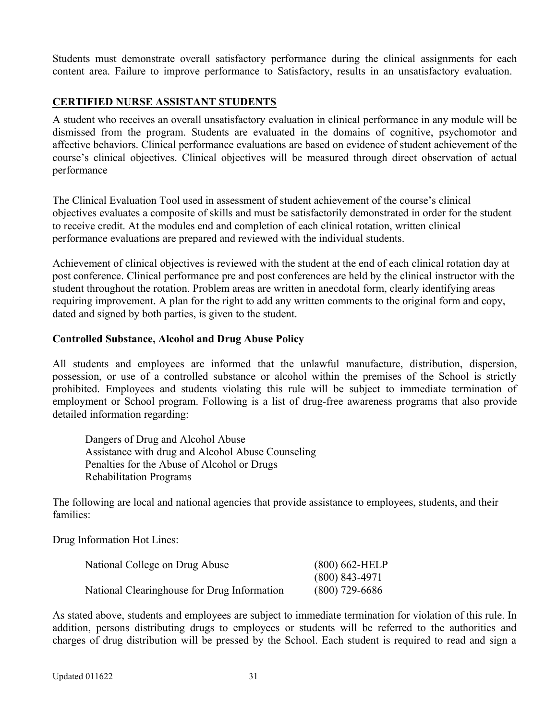Students must demonstrate overall satisfactory performance during the clinical assignments for each content area. Failure to improve performance to Satisfactory, results in an unsatisfactory evaluation.

# **CERTIFIED NURSE ASSISTANT STUDENTS**

A student who receives an overall unsatisfactory evaluation in clinical performance in any module will be dismissed from the program. Students are evaluated in the domains of cognitive, psychomotor and affective behaviors. Clinical performance evaluations are based on evidence of student achievement of the course's clinical objectives. Clinical objectives will be measured through direct observation of actual performance

The Clinical Evaluation Tool used in assessment of student achievement of the course's clinical objectives evaluates a composite of skills and must be satisfactorily demonstrated in order for the student to receive credit. At the modules end and completion of each clinical rotation, written clinical performance evaluations are prepared and reviewed with the individual students.

Achievement of clinical objectives is reviewed with the student at the end of each clinical rotation day at post conference. Clinical performance pre and post conferences are held by the clinical instructor with the student throughout the rotation. Problem areas are written in anecdotal form, clearly identifying areas requiring improvement. A plan for the right to add any written comments to the original form and copy, dated and signed by both parties, is given to the student.

#### <span id="page-30-0"></span>**Controlled Substance, Alcohol and Drug Abuse Policy**

All students and employees are informed that the unlawful manufacture, distribution, dispersion, possession, or use of a controlled substance or alcohol within the premises of the School is strictly prohibited. Employees and students violating this rule will be subject to immediate termination of employment or School program. Following is a list of drug-free awareness programs that also provide detailed information regarding:

Dangers of Drug and Alcohol Abuse Assistance with drug and Alcohol Abuse Counseling Penalties for the Abuse of Alcohol or Drugs Rehabilitation Programs

The following are local and national agencies that provide assistance to employees, students, and their families:

Drug Information Hot Lines:

| National College on Drug Abuse              | $(800) 662$ -HELP |
|---------------------------------------------|-------------------|
|                                             | $(800)$ 843-4971  |
| National Clearinghouse for Drug Information | $(800)$ 729-6686  |

As stated above, students and employees are subject to immediate termination for violation of this rule. In addition, persons distributing drugs to employees or students will be referred to the authorities and charges of drug distribution will be pressed by the School. Each student is required to read and sign a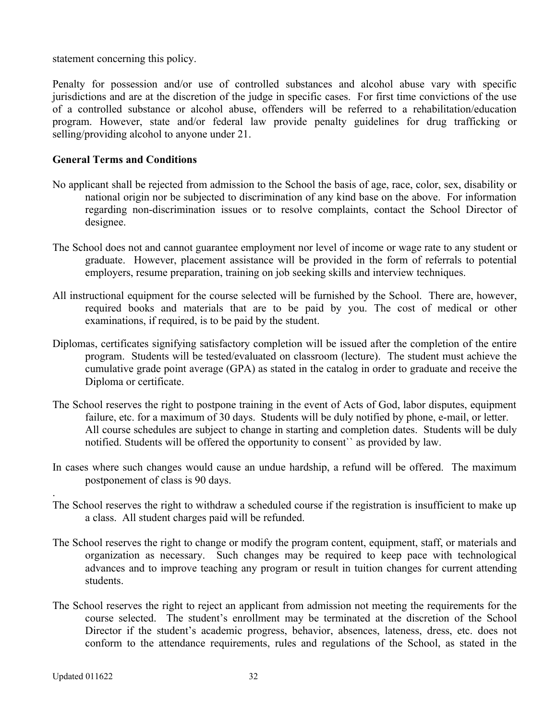statement concerning this policy.

Penalty for possession and/or use of controlled substances and alcohol abuse vary with specific jurisdictions and are at the discretion of the judge in specific cases. For first time convictions of the use of a controlled substance or alcohol abuse, offenders will be referred to a rehabilitation/education program. However, state and/or federal law provide penalty guidelines for drug trafficking or selling/providing alcohol to anyone under 21.

#### <span id="page-31-0"></span>**General Terms and Conditions**

- No applicant shall be rejected from admission to the School the basis of age, race, color, sex, disability or national origin nor be subjected to discrimination of any kind base on the above. For information regarding non-discrimination issues or to resolve complaints, contact the School Director of designee.
- The School does not and cannot guarantee employment nor level of income or wage rate to any student or graduate. However, placement assistance will be provided in the form of referrals to potential employers, resume preparation, training on job seeking skills and interview techniques.
- All instructional equipment for the course selected will be furnished by the School. There are, however, required books and materials that are to be paid by you. The cost of medical or other examinations, if required, is to be paid by the student.
- Diplomas, certificates signifying satisfactory completion will be issued after the completion of the entire program. Students will be tested/evaluated on classroom (lecture). The student must achieve the cumulative grade point average (GPA) as stated in the catalog in order to graduate and receive the Diploma or certificate.
- The School reserves the right to postpone training in the event of Acts of God, labor disputes, equipment failure, etc. for a maximum of 30 days. Students will be duly notified by phone, e-mail, or letter. All course schedules are subject to change in starting and completion dates. Students will be duly notified. Students will be offered the opportunity to consent`` as provided by law.
- In cases where such changes would cause an undue hardship, a refund will be offered. The maximum postponement of class is 90 days.
- The School reserves the right to withdraw a scheduled course if the registration is insufficient to make up a class. All student charges paid will be refunded.
- The School reserves the right to change or modify the program content, equipment, staff, or materials and organization as necessary. Such changes may be required to keep pace with technological advances and to improve teaching any program or result in tuition changes for current attending students.
- The School reserves the right to reject an applicant from admission not meeting the requirements for the course selected. The student's enrollment may be terminated at the discretion of the School Director if the student's academic progress, behavior, absences, lateness, dress, etc. does not conform to the attendance requirements, rules and regulations of the School, as stated in the

.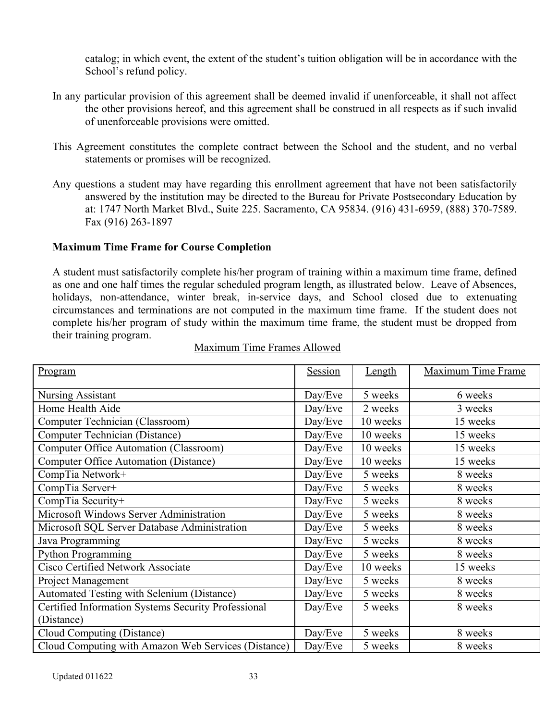catalog; in which event, the extent of the student's tuition obligation will be in accordance with the School's refund policy.

- In any particular provision of this agreement shall be deemed invalid if unenforceable, it shall not affect the other provisions hereof, and this agreement shall be construed in all respects as if such invalid of unenforceable provisions were omitted.
- This Agreement constitutes the complete contract between the School and the student, and no verbal statements or promises will be recognized.
- Any questions a student may have regarding this enrollment agreement that have not been satisfactorily answered by the institution may be directed to the Bureau for Private Postsecondary Education by at: 1747 North Market Blvd., Suite 225. Sacramento, CA 95834. (916) 431-6959, (888) 370-7589. Fax (916) 263-1897

# <span id="page-32-0"></span>**Maximum Time Frame for Course Completion**

A student must satisfactorily complete his/her program of training within a maximum time frame, defined as one and one half times the regular scheduled program length, as illustrated below. Leave of Absences, holidays, non-attendance, winter break, in-service days, and School closed due to extenuating circumstances and terminations are not computed in the maximum time frame. If the student does not complete his/her program of study within the maximum time frame, the student must be dropped from their training program.

| Program                                             | Session | Length   | <b>Maximum Time Frame</b> |
|-----------------------------------------------------|---------|----------|---------------------------|
|                                                     |         |          |                           |
| <b>Nursing Assistant</b>                            | Day/Eve | 5 weeks  | 6 weeks                   |
| Home Health Aide                                    | Day/Eve | 2 weeks  | 3 weeks                   |
| Computer Technician (Classroom)                     | Day/Eve | 10 weeks | 15 weeks                  |
| Computer Technician (Distance)                      | Day/Eve | 10 weeks | 15 weeks                  |
| <b>Computer Office Automation (Classroom)</b>       | Day/Eve | 10 weeks | 15 weeks                  |
| <b>Computer Office Automation (Distance)</b>        | Day/Eve | 10 weeks | 15 weeks                  |
| CompTia Network+                                    | Day/Eve | 5 weeks  | 8 weeks                   |
| CompTia Server+                                     | Day/Eve | 5 weeks  | 8 weeks                   |
| CompTia Security+                                   | Day/Eve | 5 weeks  | 8 weeks                   |
| Microsoft Windows Server Administration             | Day/Eve | 5 weeks  | 8 weeks                   |
| Microsoft SQL Server Database Administration        | Day/Eve | 5 weeks  | 8 weeks                   |
| Java Programming                                    | Day/Eve | 5 weeks  | 8 weeks                   |
| <b>Python Programming</b>                           | Day/Eve | 5 weeks  | 8 weeks                   |
| Cisco Certified Network Associate                   | Day/Eve | 10 weeks | 15 weeks                  |
| Project Management                                  | Day/Eve | 5 weeks  | 8 weeks                   |
| Automated Testing with Selenium (Distance)          | Day/Eve | 5 weeks  | 8 weeks                   |
| Certified Information Systems Security Professional | Day/Eve | 5 weeks  | 8 weeks                   |
| (Distance)                                          |         |          |                           |
| Cloud Computing (Distance)                          | Day/Eve | 5 weeks  | 8 weeks                   |
| Cloud Computing with Amazon Web Services (Distance) | Day/Eve | 5 weeks  | 8 weeks                   |

#### Maximum Time Frames Allowed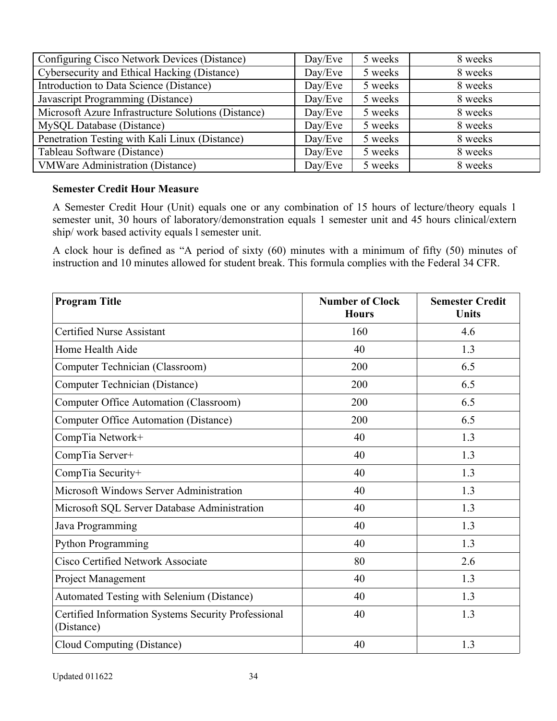| Configuring Cisco Network Devices (Distance)        | Day/Eve | 5 weeks | 8 weeks |
|-----------------------------------------------------|---------|---------|---------|
| Cybersecurity and Ethical Hacking (Distance)        | Day/Eve | 5 weeks | 8 weeks |
| Introduction to Data Science (Distance)             | Day/Eve | 5 weeks | 8 weeks |
| Javascript Programming (Distance)                   | Day/Eve | 5 weeks | 8 weeks |
| Microsoft Azure Infrastructure Solutions (Distance) | Day/Eve | 5 weeks | 8 weeks |
| MySQL Database (Distance)                           | Day/Eve | 5 weeks | 8 weeks |
| Penetration Testing with Kali Linux (Distance)      | Day/Eve | 5 weeks | 8 weeks |
| Tableau Software (Distance)                         | Day/Eve | 5 weeks | 8 weeks |
| <b>VMWare Administration (Distance)</b>             | Day/Eve | 5 weeks | 8 weeks |

#### <span id="page-33-0"></span>**Semester Credit Hour Measure**

A Semester Credit Hour (Unit) equals one or any combination of 15 hours of lecture/theory equals 1 semester unit, 30 hours of laboratory/demonstration equals 1 semester unit and 45 hours clinical/extern ship/ work based activity equals l semester unit.

A clock hour is defined as "A period of sixty (60) minutes with a minimum of fifty (50) minutes of instruction and 10 minutes allowed for student break. This formula complies with the Federal 34 CFR.

| <b>Program Title</b>                                              | <b>Number of Clock</b><br><b>Hours</b> | <b>Semester Credit</b><br><b>Units</b> |
|-------------------------------------------------------------------|----------------------------------------|----------------------------------------|
| <b>Certified Nurse Assistant</b>                                  | 160                                    | 4.6                                    |
| Home Health Aide                                                  | 40                                     | 1.3                                    |
| Computer Technician (Classroom)                                   | 200                                    | 6.5                                    |
| Computer Technician (Distance)                                    | 200                                    | 6.5                                    |
| <b>Computer Office Automation (Classroom)</b>                     | 200                                    | 6.5                                    |
| Computer Office Automation (Distance)                             | 200                                    | 6.5                                    |
| CompTia Network+                                                  | 40                                     | 1.3                                    |
| CompTia Server+                                                   | 40                                     | 1.3                                    |
| CompTia Security+                                                 | 40                                     | 1.3                                    |
| Microsoft Windows Server Administration                           | 40                                     | 1.3                                    |
| Microsoft SQL Server Database Administration                      | 40                                     | 1.3                                    |
| Java Programming                                                  | 40                                     | 1.3                                    |
| Python Programming                                                | 40                                     | 1.3                                    |
| Cisco Certified Network Associate                                 | 80                                     | 2.6                                    |
| Project Management                                                | 40                                     | 1.3                                    |
| Automated Testing with Selenium (Distance)                        | 40                                     | 1.3                                    |
| Certified Information Systems Security Professional<br>(Distance) | 40                                     | 1.3                                    |
| Cloud Computing (Distance)                                        | 40                                     | 1.3                                    |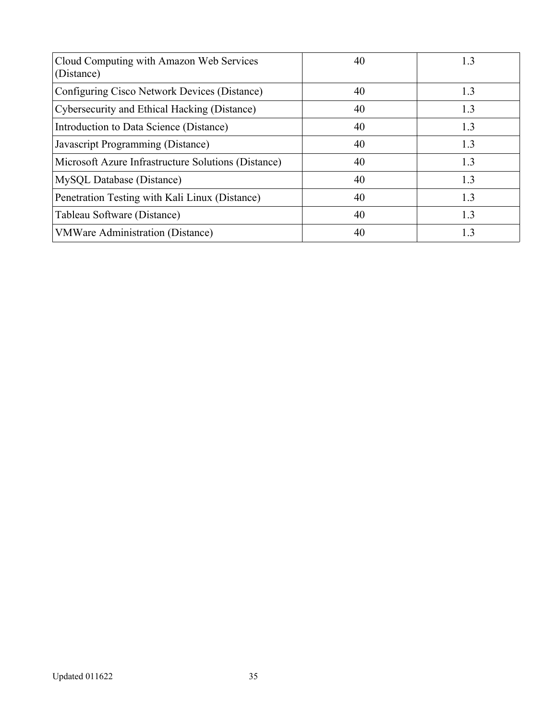| Cloud Computing with Amazon Web Services<br>(Distance) | 40 | 1.3 |
|--------------------------------------------------------|----|-----|
| Configuring Cisco Network Devices (Distance)           | 40 | 1.3 |
| Cybersecurity and Ethical Hacking (Distance)           | 40 | 1.3 |
| Introduction to Data Science (Distance)                | 40 | 1.3 |
| Javascript Programming (Distance)                      | 40 | 13  |
| Microsoft Azure Infrastructure Solutions (Distance)    | 40 | 1.3 |
| MySQL Database (Distance)                              | 40 | 1.3 |
| Penetration Testing with Kali Linux (Distance)         | 40 | 1.3 |
| Tableau Software (Distance)                            | 40 | 13  |
| <b>VMWare Administration (Distance)</b>                | 40 | 13  |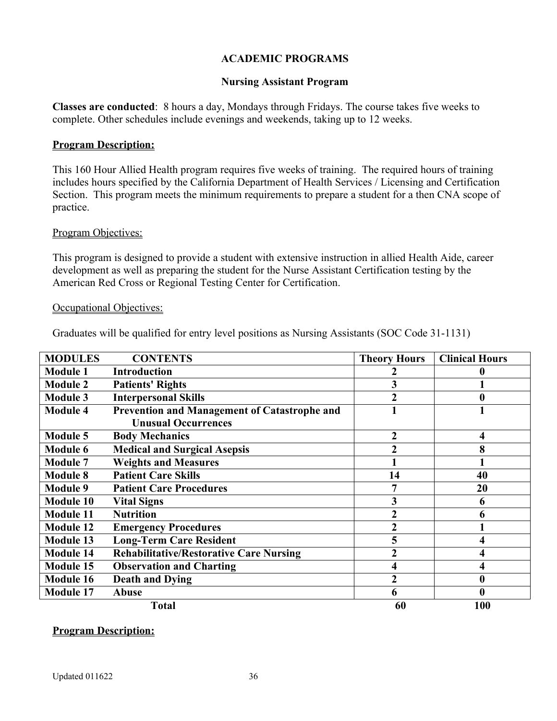### <span id="page-35-1"></span>**ACADEMIC PROGRAMS**

#### <span id="page-35-0"></span>**Nursing Assistant Program**

**Classes are conducted**: 8 hours a day, Mondays through Fridays. The course takes five weeks to complete. Other schedules include evenings and weekends, taking up to 12 weeks.

#### **Program Description:**

This 160 Hour Allied Health program requires five weeks of training. The required hours of training includes hours specified by the California Department of Health Services / Licensing and Certification Section. This program meets the minimum requirements to prepare a student for a then CNA scope of practice.

#### Program Objectives:

This program is designed to provide a student with extensive instruction in allied Health Aide, career development as well as preparing the student for the Nurse Assistant Certification testing by the American Red Cross or Regional Testing Center for Certification.

#### Occupational Objectives:

Graduates will be qualified for entry level positions as Nursing Assistants (SOC Code 31-1131)

| <b>MODULES</b>   | <b>CONTENTS</b>                                     | <b>Theory Hours</b> | <b>Clinical Hours</b>   |
|------------------|-----------------------------------------------------|---------------------|-------------------------|
| <b>Module 1</b>  | <b>Introduction</b>                                 |                     |                         |
| <b>Module 2</b>  | <b>Patients' Rights</b>                             | 3                   |                         |
| <b>Module 3</b>  | <b>Interpersonal Skills</b>                         | 2                   | 0                       |
| <b>Module 4</b>  | <b>Prevention and Management of Catastrophe and</b> |                     |                         |
|                  | <b>Unusual Occurrences</b>                          |                     |                         |
| <b>Module 5</b>  | <b>Body Mechanics</b>                               | 2                   | $\overline{\mathbf{4}}$ |
| <b>Module 6</b>  | <b>Medical and Surgical Asepsis</b>                 | $\overline{2}$      | 8                       |
| <b>Module 7</b>  | <b>Weights and Measures</b>                         |                     |                         |
| <b>Module 8</b>  | <b>Patient Care Skills</b>                          | 14                  | 40                      |
| <b>Module 9</b>  | <b>Patient Care Procedures</b>                      | 7                   | 20                      |
| <b>Module 10</b> | <b>Vital Signs</b>                                  | 3                   | 6                       |
| <b>Module 11</b> | <b>Nutrition</b>                                    | $\boldsymbol{2}$    | 6                       |
| <b>Module 12</b> | <b>Emergency Procedures</b>                         | $\overline{2}$      |                         |
| <b>Module 13</b> | <b>Long-Term Care Resident</b>                      | 5                   | 4                       |
| <b>Module 14</b> | <b>Rehabilitative/Restorative Care Nursing</b>      | $\boldsymbol{2}$    | $\overline{\mathbf{4}}$ |
| <b>Module 15</b> | <b>Observation and Charting</b>                     | 4                   | 4                       |
| <b>Module 16</b> | <b>Death and Dying</b>                              | $\overline{c}$      | 0                       |
| <b>Module 17</b> | <b>Abuse</b>                                        | 6                   | 0                       |
|                  | <b>Total</b>                                        | 60                  | 100                     |

#### **Program Description:**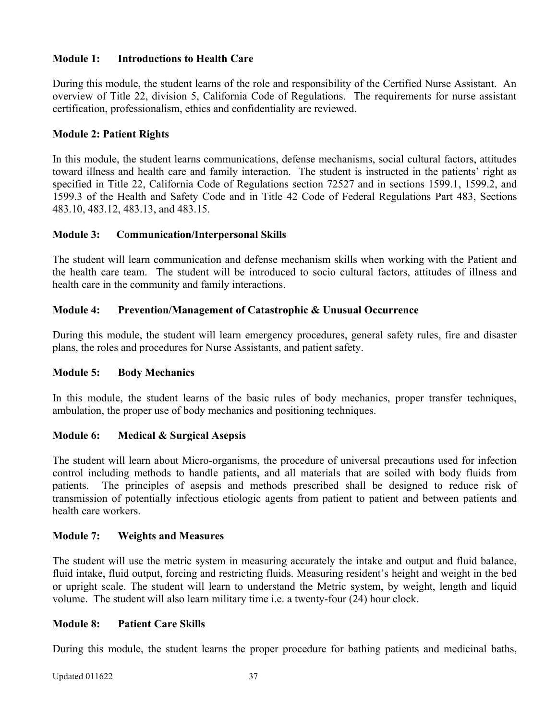# **Module 1: Introductions to Health Care**

During this module, the student learns of the role and responsibility of the Certified Nurse Assistant. An overview of Title 22, division 5, California Code of Regulations. The requirements for nurse assistant certification, professionalism, ethics and confidentiality are reviewed.

### **Module 2: Patient Rights**

In this module, the student learns communications, defense mechanisms, social cultural factors, attitudes toward illness and health care and family interaction. The student is instructed in the patients' right as specified in Title 22, California Code of Regulations section 72527 and in sections 1599.1, 1599.2, and 1599.3 of the Health and Safety Code and in Title 42 Code of Federal Regulations Part 483, Sections 483.10, 483.12, 483.13, and 483.15.

### **Module 3: Communication/Interpersonal Skills**

The student will learn communication and defense mechanism skills when working with the Patient and the health care team. The student will be introduced to socio cultural factors, attitudes of illness and health care in the community and family interactions.

### **Module 4: Prevention/Management of Catastrophic & Unusual Occurrence**

During this module, the student will learn emergency procedures, general safety rules, fire and disaster plans, the roles and procedures for Nurse Assistants, and patient safety.

#### **Module 5: Body Mechanics**

In this module, the student learns of the basic rules of body mechanics, proper transfer techniques, ambulation, the proper use of body mechanics and positioning techniques.

# **Module 6: Medical & Surgical Asepsis**

The student will learn about Micro-organisms, the procedure of universal precautions used for infection control including methods to handle patients, and all materials that are soiled with body fluids from patients. The principles of asepsis and methods prescribed shall be designed to reduce risk of transmission of potentially infectious etiologic agents from patient to patient and between patients and health care workers.

# **Module 7: Weights and Measures**

The student will use the metric system in measuring accurately the intake and output and fluid balance, fluid intake, fluid output, forcing and restricting fluids. Measuring resident's height and weight in the bed or upright scale. The student will learn to understand the Metric system, by weight, length and liquid volume. The student will also learn military time i.e. a twenty-four (24) hour clock.

#### **Module 8: Patient Care Skills**

During this module, the student learns the proper procedure for bathing patients and medicinal baths,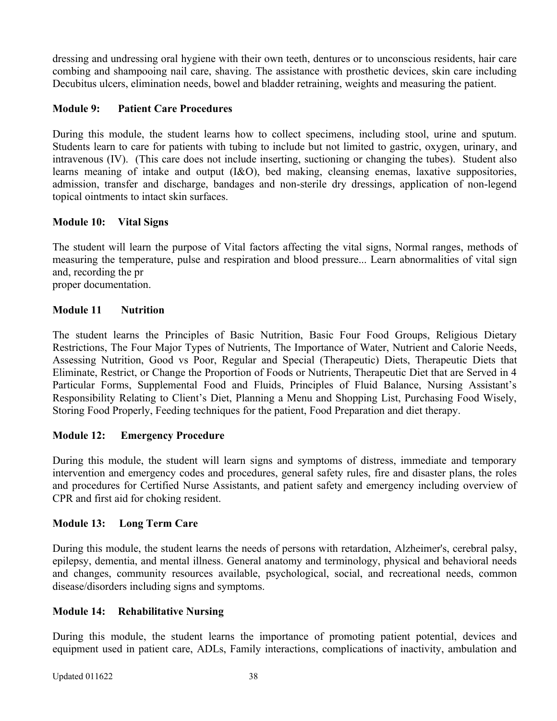dressing and undressing oral hygiene with their own teeth, dentures or to unconscious residents, hair care combing and shampooing nail care, shaving. The assistance with prosthetic devices, skin care including Decubitus ulcers, elimination needs, bowel and bladder retraining, weights and measuring the patient.

# **Module 9: Patient Care Procedures**

During this module, the student learns how to collect specimens, including stool, urine and sputum. Students learn to care for patients with tubing to include but not limited to gastric, oxygen, urinary, and intravenous (IV). (This care does not include inserting, suctioning or changing the tubes). Student also learns meaning of intake and output (I&O), bed making, cleansing enemas, laxative suppositories, admission, transfer and discharge, bandages and non-sterile dry dressings, application of non-legend topical ointments to intact skin surfaces.

# **Module 10: Vital Signs**

The student will learn the purpose of Vital factors affecting the vital signs, Normal ranges, methods of measuring the temperature, pulse and respiration and blood pressure... Learn abnormalities of vital sign and, recording the pr proper documentation.

# **Module 11 Nutrition**

The student learns the Principles of Basic Nutrition, Basic Four Food Groups, Religious Dietary Restrictions, The Four Major Types of Nutrients, The Importance of Water, Nutrient and Calorie Needs, Assessing Nutrition, Good vs Poor, Regular and Special (Therapeutic) Diets, Therapeutic Diets that Eliminate, Restrict, or Change the Proportion of Foods or Nutrients, Therapeutic Diet that are Served in 4 Particular Forms, Supplemental Food and Fluids, Principles of Fluid Balance, Nursing Assistant's Responsibility Relating to Client's Diet, Planning a Menu and Shopping List, Purchasing Food Wisely, Storing Food Properly, Feeding techniques for the patient, Food Preparation and diet therapy.

# **Module 12: Emergency Procedure**

During this module, the student will learn signs and symptoms of distress, immediate and temporary intervention and emergency codes and procedures, general safety rules, fire and disaster plans, the roles and procedures for Certified Nurse Assistants, and patient safety and emergency including overview of CPR and first aid for choking resident.

# **Module 13: Long Term Care**

During this module, the student learns the needs of persons with retardation, Alzheimer's, cerebral palsy, epilepsy, dementia, and mental illness. General anatomy and terminology, physical and behavioral needs and changes, community resources available, psychological, social, and recreational needs, common disease/disorders including signs and symptoms.

# **Module 14: Rehabilitative Nursing**

During this module, the student learns the importance of promoting patient potential, devices and equipment used in patient care, ADLs, Family interactions, complications of inactivity, ambulation and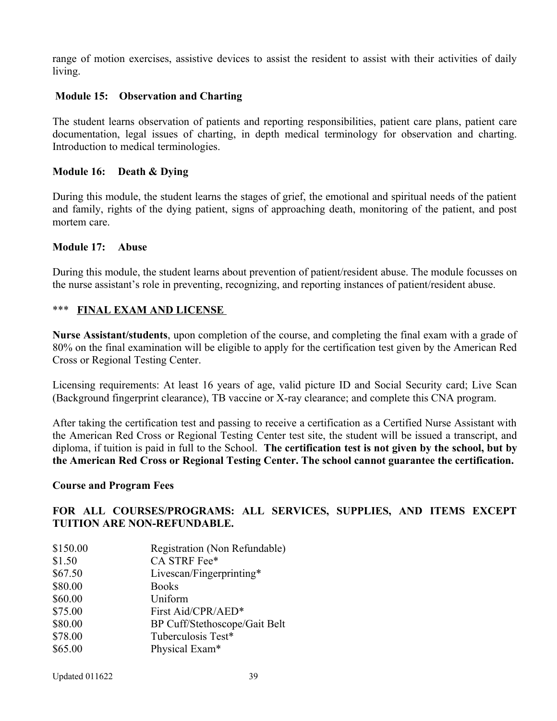range of motion exercises, assistive devices to assist the resident to assist with their activities of daily living.

### **Module 15: Observation and Charting**

The student learns observation of patients and reporting responsibilities, patient care plans, patient care documentation, legal issues of charting, in depth medical terminology for observation and charting. Introduction to medical terminologies.

#### **Module 16: Death & Dying**

During this module, the student learns the stages of grief, the emotional and spiritual needs of the patient and family, rights of the dying patient, signs of approaching death, monitoring of the patient, and post mortem care.

#### **Module 17: Abuse**

During this module, the student learns about prevention of patient/resident abuse. The module focusses on the nurse assistant's role in preventing, recognizing, and reporting instances of patient/resident abuse.

### \*\*\* **FINAL EXAM AND LICENSE**

**Nurse Assistant/students**, upon completion of the course, and completing the final exam with a grade of 80% on the final examination will be eligible to apply for the certification test given by the American Red Cross or Regional Testing Center.

Licensing requirements: At least 16 years of age, valid picture ID and Social Security card; Live Scan (Background fingerprint clearance), TB vaccine or X-ray clearance; and complete this CNA program.

After taking the certification test and passing to receive a certification as a Certified Nurse Assistant with the American Red Cross or Regional Testing Center test site, the student will be issued a transcript, and diploma, if tuition is paid in full to the School. **The certification test is not given by the school, but by the American Red Cross or Regional Testing Center. The school cannot guarantee the certification.**

#### **Course and Program Fees**

# **FOR ALL COURSES/PROGRAMS: ALL SERVICES, SUPPLIES, AND ITEMS EXCEPT TUITION ARE NON-REFUNDABLE.**

\$150.00 Registration (Non Refundable) \$1.50 CA STRF Fee\* \$67.50 Livescan/Fingerprinting\* \$80.00 Books \$60.00 Uniform \$75.00 First Aid/CPR/AED\* \$80.00 BP Cuff/Stethoscope/Gait Belt \$78.00 Tuberculosis Test\* \$65.00 Physical Exam\*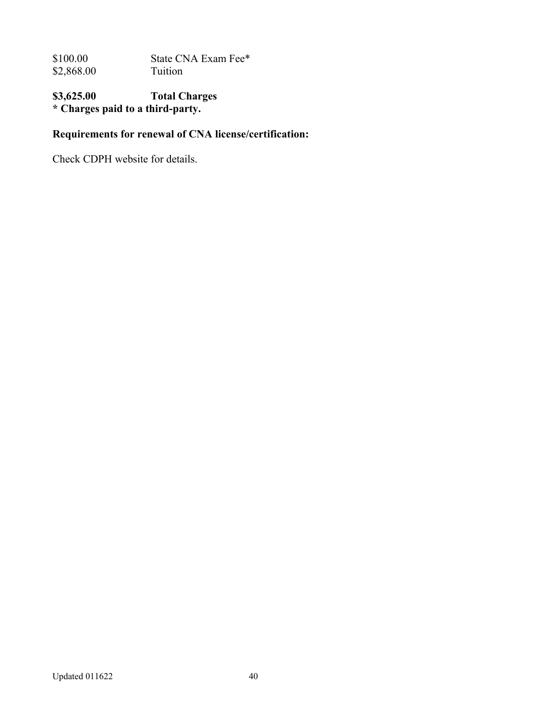\$100.00 State CNA Exam Fee\*<br>\$2,868.00 Tuition  $$2,868.00$ 

# **\$3,625.00 Total Charges \* Charges paid to a third-party.**

# **Requirements for renewal of CNA license/certification:**

Check CDPH website for details.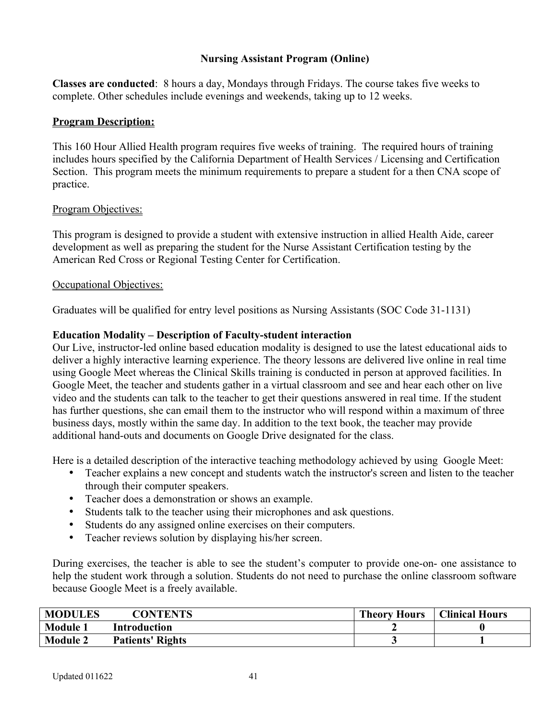### **Nursing Assistant Program (Online)**

**Classes are conducted**: 8 hours a day, Mondays through Fridays. The course takes five weeks to complete. Other schedules include evenings and weekends, taking up to 12 weeks.

#### **Program Description:**

This 160 Hour Allied Health program requires five weeks of training. The required hours of training includes hours specified by the California Department of Health Services / Licensing and Certification Section. This program meets the minimum requirements to prepare a student for a then CNA scope of practice.

#### Program Objectives:

This program is designed to provide a student with extensive instruction in allied Health Aide, career development as well as preparing the student for the Nurse Assistant Certification testing by the American Red Cross or Regional Testing Center for Certification.

#### Occupational Objectives:

Graduates will be qualified for entry level positions as Nursing Assistants (SOC Code 31-1131)

### **Education Modality – Description of Faculty-student interaction**

Our Live, instructor-led online based education modality is designed to use the latest educational aids to deliver a highly interactive learning experience. The theory lessons are delivered live online in real time using Google Meet whereas the Clinical Skills training is conducted in person at approved facilities. In Google Meet, the teacher and students gather in a virtual classroom and see and hear each other on live video and the students can talk to the teacher to get their questions answered in real time. If the student has further questions, she can email them to the instructor who will respond within a maximum of three business days, mostly within the same day. In addition to the text book, the teacher may provide additional hand-outs and documents on Google Drive designated for the class.

Here is a detailed description of the interactive teaching methodology achieved by using Google Meet:

- Teacher explains a new concept and students watch the instructor's screen and listen to the teacher through their computer speakers.
- Teacher does a demonstration or shows an example.
- Students talk to the teacher using their microphones and ask questions.
- Students do any assigned online exercises on their computers.
- Teacher reviews solution by displaying his/her screen.

During exercises, the teacher is able to see the student's computer to provide one-on- one assistance to help the student work through a solution. Students do not need to purchase the online classroom software because Google Meet is a freely available.

| <b>MODULES</b>  | <b>CONTENTS</b>         | <b>Theory Hours</b> | <b>Clinical Hours</b> |
|-----------------|-------------------------|---------------------|-----------------------|
| <b>Module 1</b> | <b>Introduction</b>     |                     |                       |
| <b>Module 2</b> | <b>Patients' Rights</b> |                     |                       |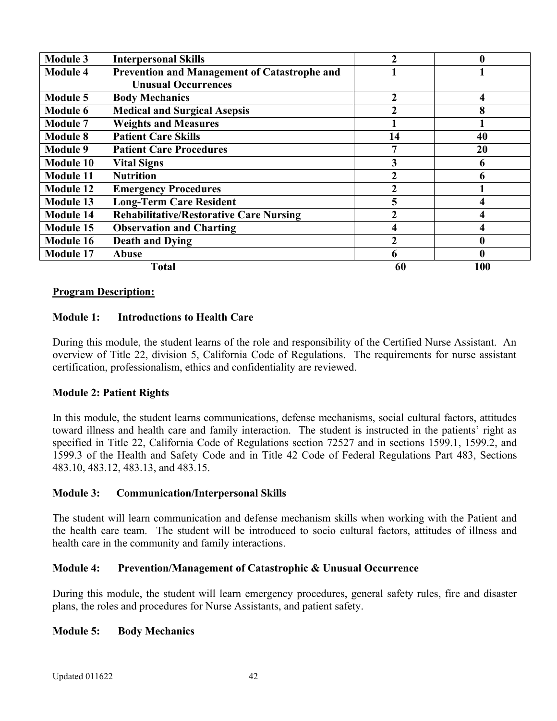| <b>Module 3</b>  | <b>Interpersonal Skills</b>                    | 2  | 0   |
|------------------|------------------------------------------------|----|-----|
| <b>Module 4</b>  | Prevention and Management of Catastrophe and   |    |     |
|                  | <b>Unusual Occurrences</b>                     |    |     |
| <b>Module 5</b>  | <b>Body Mechanics</b>                          | 2  |     |
| <b>Module 6</b>  | <b>Medical and Surgical Asepsis</b>            | 2  | 8   |
| <b>Module 7</b>  | <b>Weights and Measures</b>                    |    |     |
| <b>Module 8</b>  | <b>Patient Care Skills</b>                     | 14 | 40  |
| <b>Module 9</b>  | <b>Patient Care Procedures</b>                 |    | 20  |
| <b>Module 10</b> | <b>Vital Signs</b>                             | 3  | 0   |
| <b>Module 11</b> | <b>Nutrition</b>                               | 2  | 6   |
| <b>Module 12</b> | <b>Emergency Procedures</b>                    |    |     |
| <b>Module 13</b> | <b>Long-Term Care Resident</b>                 | 5  |     |
| <b>Module 14</b> | <b>Rehabilitative/Restorative Care Nursing</b> | 2  |     |
| <b>Module 15</b> | <b>Observation and Charting</b>                | 4  |     |
| <b>Module 16</b> | <b>Death and Dying</b>                         | 2  | 0   |
| Module 17        | <b>Abuse</b>                                   | 6  |     |
|                  | <b>Total</b>                                   | 60 | 100 |

#### **Program Description:**

#### **Module 1: Introductions to Health Care**

During this module, the student learns of the role and responsibility of the Certified Nurse Assistant. An overview of Title 22, division 5, California Code of Regulations. The requirements for nurse assistant certification, professionalism, ethics and confidentiality are reviewed.

#### **Module 2: Patient Rights**

In this module, the student learns communications, defense mechanisms, social cultural factors, attitudes toward illness and health care and family interaction. The student is instructed in the patients' right as specified in Title 22, California Code of Regulations section 72527 and in sections 1599.1, 1599.2, and 1599.3 of the Health and Safety Code and in Title 42 Code of Federal Regulations Part 483, Sections 483.10, 483.12, 483.13, and 483.15.

#### **Module 3: Communication/Interpersonal Skills**

The student will learn communication and defense mechanism skills when working with the Patient and the health care team. The student will be introduced to socio cultural factors, attitudes of illness and health care in the community and family interactions.

#### **Module 4: Prevention/Management of Catastrophic & Unusual Occurrence**

During this module, the student will learn emergency procedures, general safety rules, fire and disaster plans, the roles and procedures for Nurse Assistants, and patient safety.

#### **Module 5: Body Mechanics**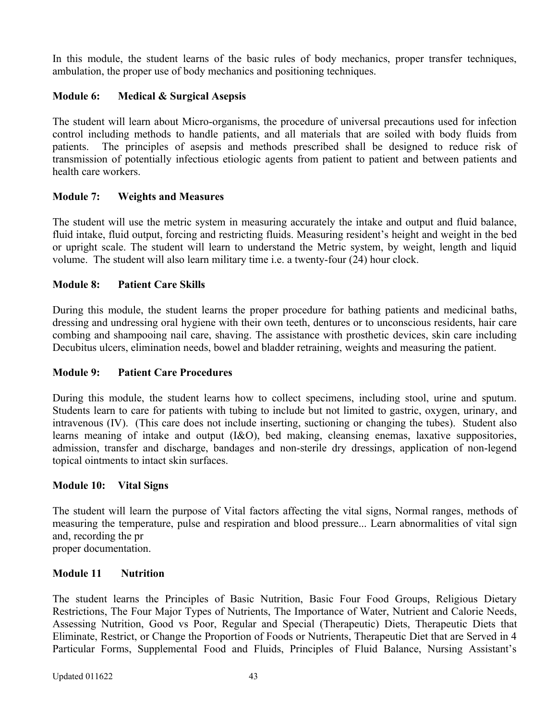In this module, the student learns of the basic rules of body mechanics, proper transfer techniques, ambulation, the proper use of body mechanics and positioning techniques.

# **Module 6: Medical & Surgical Asepsis**

The student will learn about Micro-organisms, the procedure of universal precautions used for infection control including methods to handle patients, and all materials that are soiled with body fluids from patients. The principles of asepsis and methods prescribed shall be designed to reduce risk of transmission of potentially infectious etiologic agents from patient to patient and between patients and health care workers.

# **Module 7: Weights and Measures**

The student will use the metric system in measuring accurately the intake and output and fluid balance, fluid intake, fluid output, forcing and restricting fluids. Measuring resident's height and weight in the bed or upright scale. The student will learn to understand the Metric system, by weight, length and liquid volume. The student will also learn military time i.e. a twenty-four (24) hour clock.

# **Module 8: Patient Care Skills**

During this module, the student learns the proper procedure for bathing patients and medicinal baths, dressing and undressing oral hygiene with their own teeth, dentures or to unconscious residents, hair care combing and shampooing nail care, shaving. The assistance with prosthetic devices, skin care including Decubitus ulcers, elimination needs, bowel and bladder retraining, weights and measuring the patient.

# **Module 9: Patient Care Procedures**

During this module, the student learns how to collect specimens, including stool, urine and sputum. Students learn to care for patients with tubing to include but not limited to gastric, oxygen, urinary, and intravenous (IV). (This care does not include inserting, suctioning or changing the tubes). Student also learns meaning of intake and output (I&O), bed making, cleansing enemas, laxative suppositories, admission, transfer and discharge, bandages and non-sterile dry dressings, application of non-legend topical ointments to intact skin surfaces.

# **Module 10: Vital Signs**

The student will learn the purpose of Vital factors affecting the vital signs, Normal ranges, methods of measuring the temperature, pulse and respiration and blood pressure... Learn abnormalities of vital sign and, recording the pr

proper documentation.

# **Module 11 Nutrition**

The student learns the Principles of Basic Nutrition, Basic Four Food Groups, Religious Dietary Restrictions, The Four Major Types of Nutrients, The Importance of Water, Nutrient and Calorie Needs, Assessing Nutrition, Good vs Poor, Regular and Special (Therapeutic) Diets, Therapeutic Diets that Eliminate, Restrict, or Change the Proportion of Foods or Nutrients, Therapeutic Diet that are Served in 4 Particular Forms, Supplemental Food and Fluids, Principles of Fluid Balance, Nursing Assistant's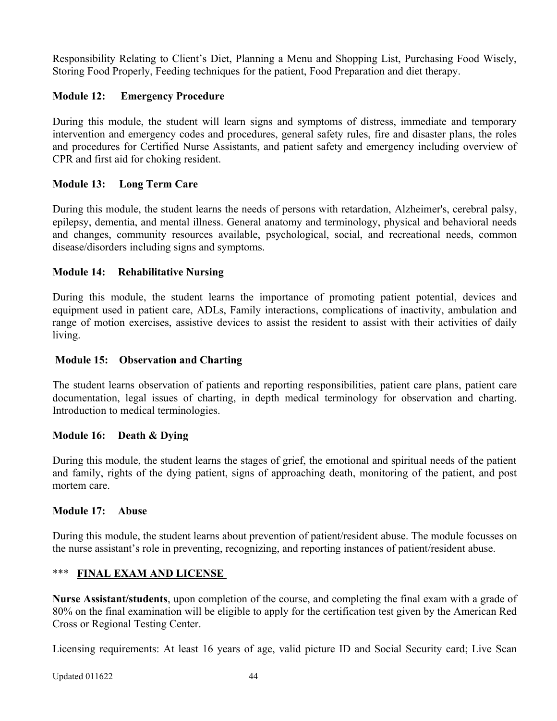Responsibility Relating to Client's Diet, Planning a Menu and Shopping List, Purchasing Food Wisely, Storing Food Properly, Feeding techniques for the patient, Food Preparation and diet therapy.

# **Module 12: Emergency Procedure**

During this module, the student will learn signs and symptoms of distress, immediate and temporary intervention and emergency codes and procedures, general safety rules, fire and disaster plans, the roles and procedures for Certified Nurse Assistants, and patient safety and emergency including overview of CPR and first aid for choking resident.

# **Module 13: Long Term Care**

During this module, the student learns the needs of persons with retardation, Alzheimer's, cerebral palsy, epilepsy, dementia, and mental illness. General anatomy and terminology, physical and behavioral needs and changes, community resources available, psychological, social, and recreational needs, common disease/disorders including signs and symptoms.

# **Module 14: Rehabilitative Nursing**

During this module, the student learns the importance of promoting patient potential, devices and equipment used in patient care, ADLs, Family interactions, complications of inactivity, ambulation and range of motion exercises, assistive devices to assist the resident to assist with their activities of daily living.

### **Module 15: Observation and Charting**

The student learns observation of patients and reporting responsibilities, patient care plans, patient care documentation, legal issues of charting, in depth medical terminology for observation and charting. Introduction to medical terminologies.

# **Module 16: Death & Dying**

During this module, the student learns the stages of grief, the emotional and spiritual needs of the patient and family, rights of the dying patient, signs of approaching death, monitoring of the patient, and post mortem care.

### **Module 17: Abuse**

During this module, the student learns about prevention of patient/resident abuse. The module focusses on the nurse assistant's role in preventing, recognizing, and reporting instances of patient/resident abuse.

# \*\*\* **FINAL EXAM AND LICENSE**

**Nurse Assistant/students**, upon completion of the course, and completing the final exam with a grade of 80% on the final examination will be eligible to apply for the certification test given by the American Red Cross or Regional Testing Center.

Licensing requirements: At least 16 years of age, valid picture ID and Social Security card; Live Scan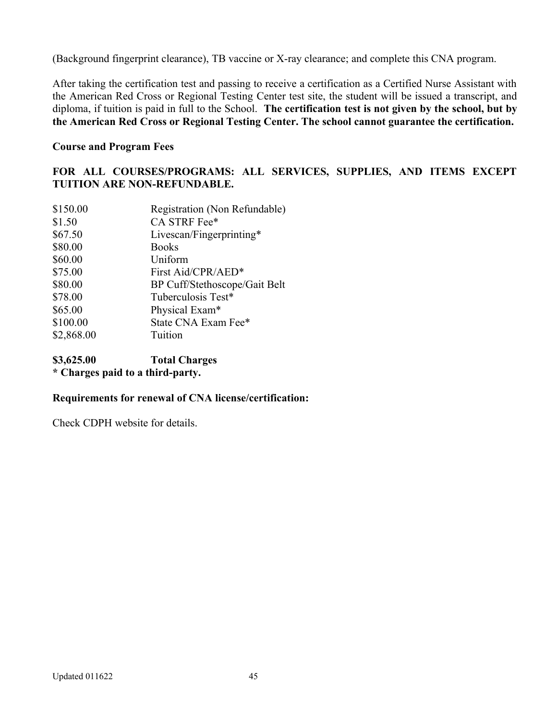(Background fingerprint clearance), TB vaccine or X-ray clearance; and complete this CNA program.

After taking the certification test and passing to receive a certification as a Certified Nurse Assistant with the American Red Cross or Regional Testing Center test site, the student will be issued a transcript, and diploma, if tuition is paid in full to the School. **The certification test is not given by the school, but by the American Red Cross or Regional Testing Center. The school cannot guarantee the certification.**

### **Course and Program Fees**

# **FOR ALL COURSES/PROGRAMS: ALL SERVICES, SUPPLIES, AND ITEMS EXCEPT TUITION ARE NON-REFUNDABLE.**

| \$150.00   | Registration (Non Refundable) |
|------------|-------------------------------|
| \$1.50     | CA STRF Fee*                  |
| \$67.50    | Livescan/Fingerprinting*      |
| \$80.00    | <b>Books</b>                  |
| \$60.00    | Uniform                       |
| \$75.00    | First Aid/CPR/AED*            |
| \$80.00    | BP Cuff/Stethoscope/Gait Belt |
| \$78.00    | Tuberculosis Test*            |
| \$65.00    | Physical Exam*                |
| \$100.00   | State CNA Exam Fee*           |
| \$2,868.00 | Tuition                       |

**\$3,625.00 Total Charges \* Charges paid to a third-party.**

# **Requirements for renewal of CNA license/certification:**

Check CDPH website for details.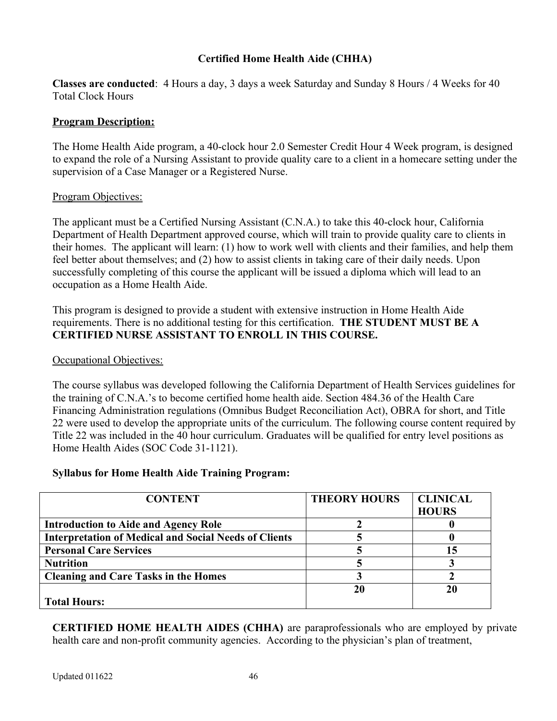# **Certified Home Health Aide (CHHA)**

**Classes are conducted**: 4 Hours a day, 3 days a week Saturday and Sunday 8 Hours / 4 Weeks for 40 Total Clock Hours

#### **Program Description:**

The Home Health Aide program, a 40-clock hour 2.0 Semester Credit Hour 4 Week program, is designed to expand the role of a Nursing Assistant to provide quality care to a client in a homecare setting under the supervision of a Case Manager or a Registered Nurse.

#### Program Objectives:

The applicant must be a Certified Nursing Assistant (C.N.A.) to take this 40-clock hour, California Department of Health Department approved course, which will train to provide quality care to clients in their homes. The applicant will learn: (1) how to work well with clients and their families, and help them feel better about themselves; and (2) how to assist clients in taking care of their daily needs. Upon successfully completing of this course the applicant will be issued a diploma which will lead to an occupation as a Home Health Aide.

This program is designed to provide a student with extensive instruction in Home Health Aide requirements. There is no additional testing for this certification. **THE STUDENT MUST BE A CERTIFIED NURSE ASSISTANT TO ENROLL IN THIS COURSE.**

#### Occupational Objectives:

The course syllabus was developed following the California Department of Health Services guidelines for the training of C.N.A.'s to become certified home health aide. Section 484.36 of the Health Care Financing Administration regulations (Omnibus Budget Reconciliation Act), OBRA for short, and Title 22 were used to develop the appropriate units of the curriculum. The following course content required by Title 22 was included in the 40 hour curriculum. Graduates will be qualified for entry level positions as Home Health Aides (SOC Code 31-1121).

#### **Syllabus for Home Health Aide Training Program:**

| <b>CONTENT</b>                                               | <b>THEORY HOURS</b> | <b>CLINICAL</b> |
|--------------------------------------------------------------|---------------------|-----------------|
|                                                              |                     | <b>HOURS</b>    |
| <b>Introduction to Aide and Agency Role</b>                  |                     |                 |
| <b>Interpretation of Medical and Social Needs of Clients</b> |                     |                 |
| <b>Personal Care Services</b>                                |                     | 15              |
| <b>Nutrition</b>                                             |                     |                 |
| <b>Cleaning and Care Tasks in the Homes</b>                  |                     |                 |
|                                                              | 20                  | 20              |
| <b>Total Hours:</b>                                          |                     |                 |

**CERTIFIED HOME HEALTH AIDES (CHHA)** are paraprofessionals who are employed by private health care and non-profit community agencies. According to the physician's plan of treatment,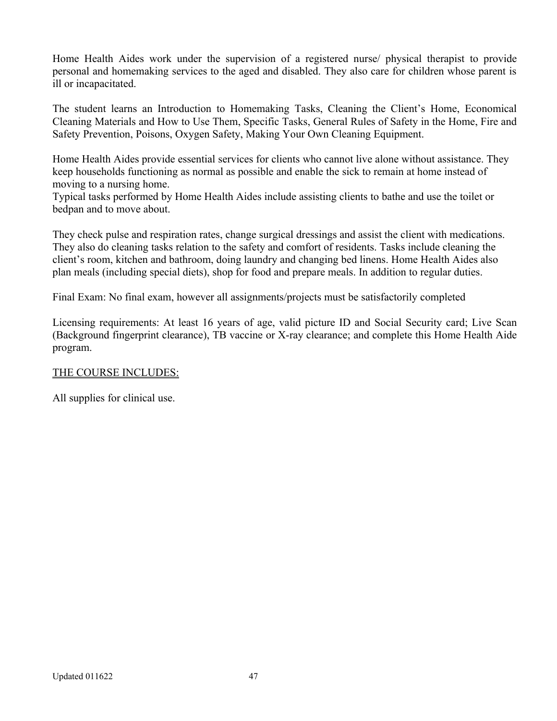Home Health Aides work under the supervision of a registered nurse/ physical therapist to provide personal and homemaking services to the aged and disabled. They also care for children whose parent is ill or incapacitated.

The student learns an Introduction to Homemaking Tasks, Cleaning the Client's Home, Economical Cleaning Materials and How to Use Them, Specific Tasks, General Rules of Safety in the Home, Fire and Safety Prevention, Poisons, Oxygen Safety, Making Your Own Cleaning Equipment.

Home Health Aides provide essential services for clients who cannot live alone without assistance. They keep households functioning as normal as possible and enable the sick to remain at home instead of moving to a nursing home.

Typical tasks performed by Home Health Aides include assisting clients to bathe and use the toilet or bedpan and to move about.

They check pulse and respiration rates, change surgical dressings and assist the client with medications. They also do cleaning tasks relation to the safety and comfort of residents. Tasks include cleaning the client's room, kitchen and bathroom, doing laundry and changing bed linens. Home Health Aides also plan meals (including special diets), shop for food and prepare meals. In addition to regular duties.

Final Exam: No final exam, however all assignments/projects must be satisfactorily completed

Licensing requirements: At least 16 years of age, valid picture ID and Social Security card; Live Scan (Background fingerprint clearance), TB vaccine or X-ray clearance; and complete this Home Health Aide program.

# THE COURSE INCLUDES:

All supplies for clinical use.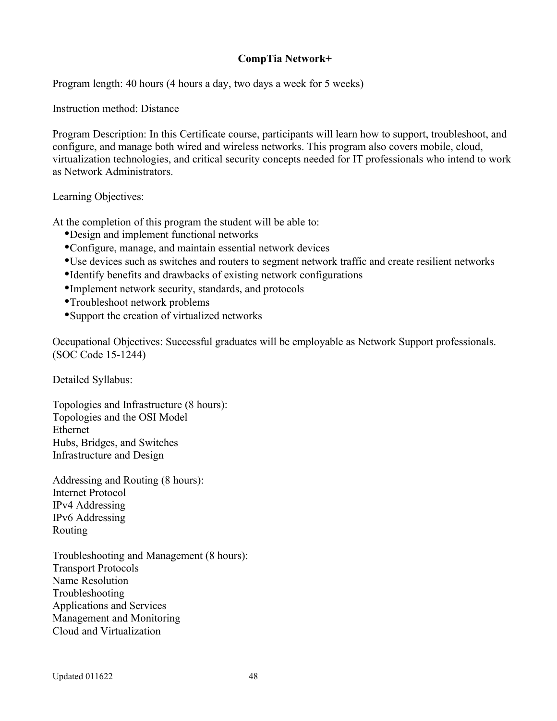# **CompTia Network+**

Program length: 40 hours (4 hours a day, two days a week for 5 weeks)

Instruction method: Distance

Program Description: In this Certificate course, participants will learn how to support, troubleshoot, and configure, and manage both wired and wireless networks. This program also covers mobile, cloud, virtualization technologies, and critical security concepts needed for IT professionals who intend to work as Network Administrators.

Learning Objectives:

At the completion of this program the student will be able to:

- Design and implement functional networks
- Configure, manage, and maintain essential network devices
- Use devices such as switches and routers to segment network traffic and create resilient networks
- Identify benefits and drawbacks of existing network configurations
- Implement network security, standards, and protocols
- Troubleshoot network problems
- Support the creation of virtualized networks

Occupational Objectives: Successful graduates will be employable as Network Support professionals. (SOC Code 15-1244)

Detailed Syllabus:

Topologies and Infrastructure (8 hours): Topologies and the OSI Model Ethernet Hubs, Bridges, and Switches Infrastructure and Design

Addressing and Routing (8 hours): Internet Protocol IPv4 Addressing IPv6 Addressing Routing

Troubleshooting and Management (8 hours): Transport Protocols Name Resolution Troubleshooting Applications and Services Management and Monitoring Cloud and Virtualization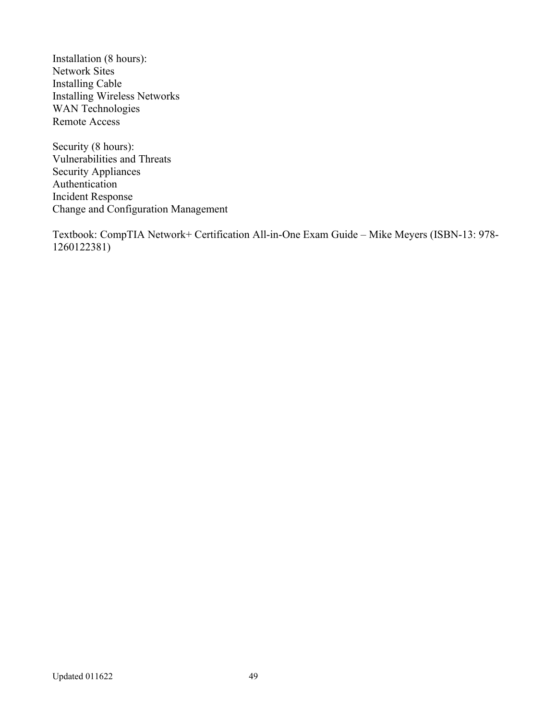Installation (8 hours): Network Sites Installing Cable Installing Wireless Networks WAN Technologies Remote Access

Security (8 hours): Vulnerabilities and Threats Security Appliances Authentication Incident Response Change and Configuration Management

Textbook: CompTIA Network+ Certification All-in-One Exam Guide – Mike Meyers (ISBN-13: 978- 1260122381)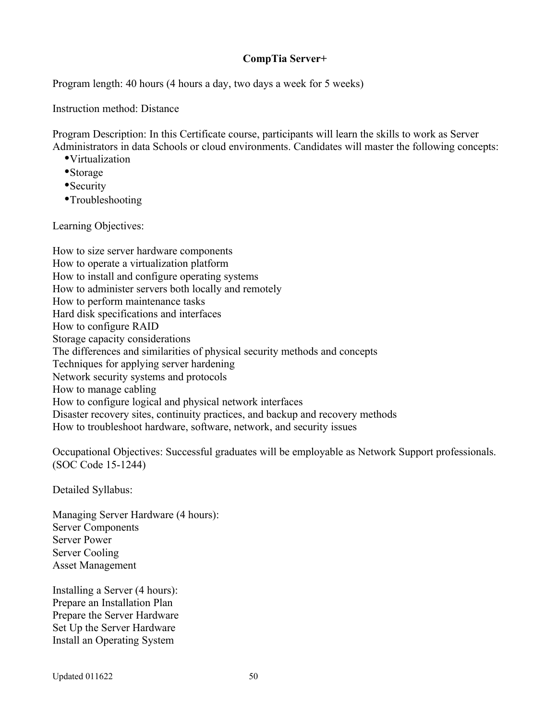# **CompTia Server+**

Program length: 40 hours (4 hours a day, two days a week for 5 weeks)

Instruction method: Distance

Program Description: In this Certificate course, participants will learn the skills to work as Server Administrators in data Schools or cloud environments. Candidates will master the following concepts:

- Virtualization
- Storage
- Security
- Troubleshooting

Learning Objectives:

How to size server hardware components How to operate a virtualization platform How to install and configure operating systems How to administer servers both locally and remotely How to perform maintenance tasks Hard disk specifications and interfaces How to configure RAID Storage capacity considerations The differences and similarities of physical security methods and concepts Techniques for applying server hardening Network security systems and protocols How to manage cabling How to configure logical and physical network interfaces Disaster recovery sites, continuity practices, and backup and recovery methods How to troubleshoot hardware, software, network, and security issues

Occupational Objectives: Successful graduates will be employable as Network Support professionals. (SOC Code 15-1244)

Detailed Syllabus:

Managing Server Hardware (4 hours): Server Components Server Power Server Cooling Asset Management

Installing a Server (4 hours): Prepare an Installation Plan Prepare the Server Hardware Set Up the Server Hardware Install an Operating System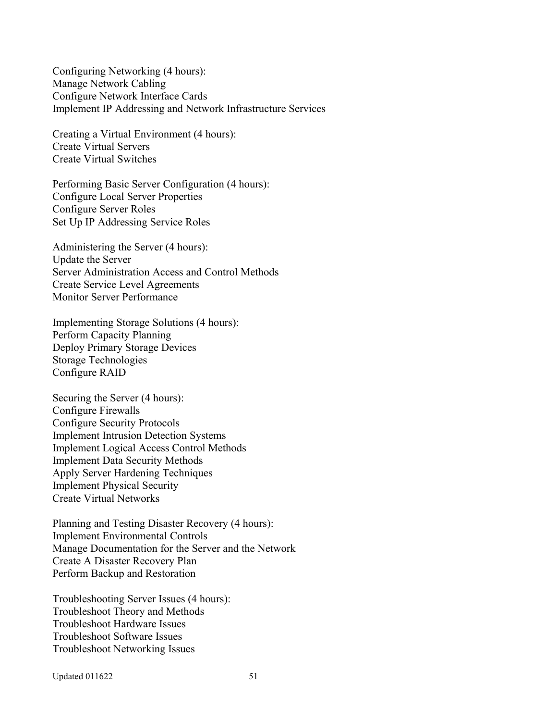Configuring Networking (4 hours): Manage Network Cabling Configure Network Interface Cards Implement IP Addressing and Network Infrastructure Services

Creating a Virtual Environment (4 hours): Create Virtual Servers Create Virtual Switches

Performing Basic Server Configuration (4 hours): Configure Local Server Properties Configure Server Roles Set Up IP Addressing Service Roles

Administering the Server (4 hours): Update the Server Server Administration Access and Control Methods Create Service Level Agreements Monitor Server Performance

Implementing Storage Solutions (4 hours): Perform Capacity Planning Deploy Primary Storage Devices Storage Technologies Configure RAID

Securing the Server (4 hours): Configure Firewalls Configure Security Protocols Implement Intrusion Detection Systems Implement Logical Access Control Methods Implement Data Security Methods Apply Server Hardening Techniques Implement Physical Security Create Virtual Networks

Planning and Testing Disaster Recovery (4 hours): Implement Environmental Controls Manage Documentation for the Server and the Network Create A Disaster Recovery Plan Perform Backup and Restoration

Troubleshooting Server Issues (4 hours): Troubleshoot Theory and Methods Troubleshoot Hardware Issues Troubleshoot Software Issues Troubleshoot Networking Issues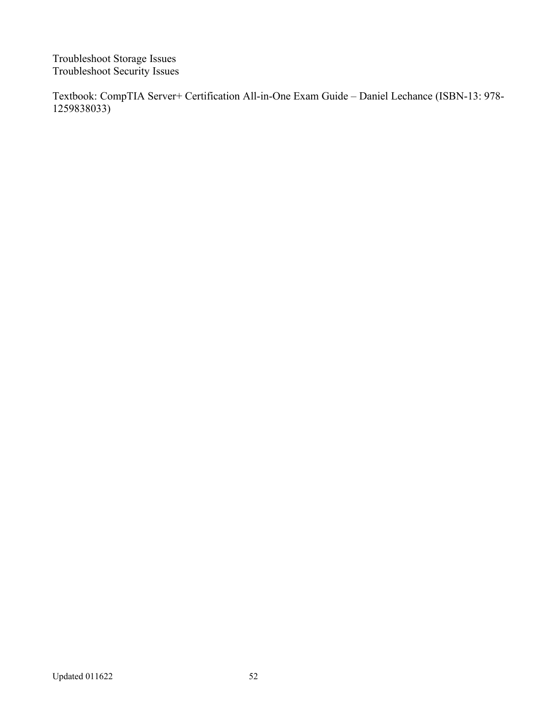Troubleshoot Storage Issues Troubleshoot Security Issues

Textbook: CompTIA Server+ Certification All-in-One Exam Guide – Daniel Lechance (ISBN-13: 978- 1259838033)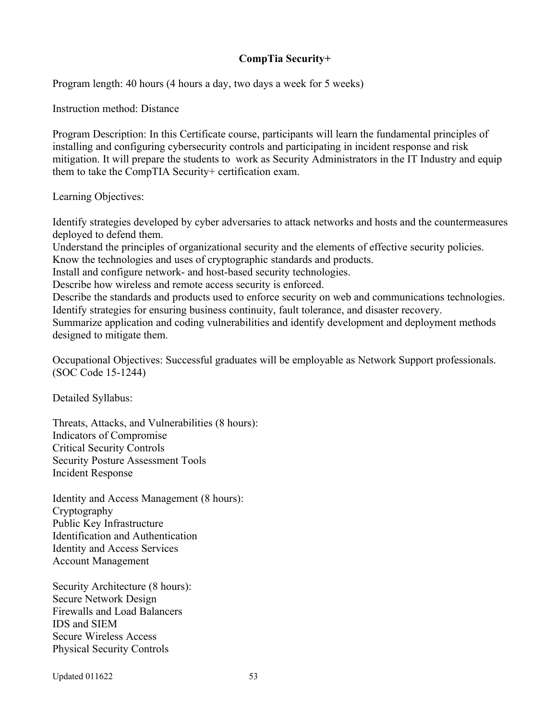### **CompTia Security+**

Program length: 40 hours (4 hours a day, two days a week for 5 weeks)

Instruction method: Distance

Program Description: In this Certificate course, participants will learn the fundamental principles of installing and configuring cybersecurity controls and participating in incident response and risk mitigation. It will prepare the students to work as Security Administrators in the IT Industry and equip them to take the CompTIA Security+ certification exam.

Learning Objectives:

Identify strategies developed by cyber adversaries to attack networks and hosts and the countermeasures deployed to defend them.

Understand the principles of organizational security and the elements of effective security policies. Know the technologies and uses of cryptographic standards and products.

Install and configure network- and host-based security technologies.

Describe how wireless and remote access security is enforced.

Describe the standards and products used to enforce security on web and communications technologies. Identify strategies for ensuring business continuity, fault tolerance, and disaster recovery.

Summarize application and coding vulnerabilities and identify development and deployment methods designed to mitigate them.

Occupational Objectives: Successful graduates will be employable as Network Support professionals. (SOC Code 15-1244)

Detailed Syllabus:

Threats, Attacks, and Vulnerabilities (8 hours): Indicators of Compromise Critical Security Controls Security Posture Assessment Tools Incident Response

Identity and Access Management (8 hours): Cryptography Public Key Infrastructure Identification and Authentication Identity and Access Services Account Management

Security Architecture (8 hours): Secure Network Design Firewalls and Load Balancers IDS and SIEM Secure Wireless Access Physical Security Controls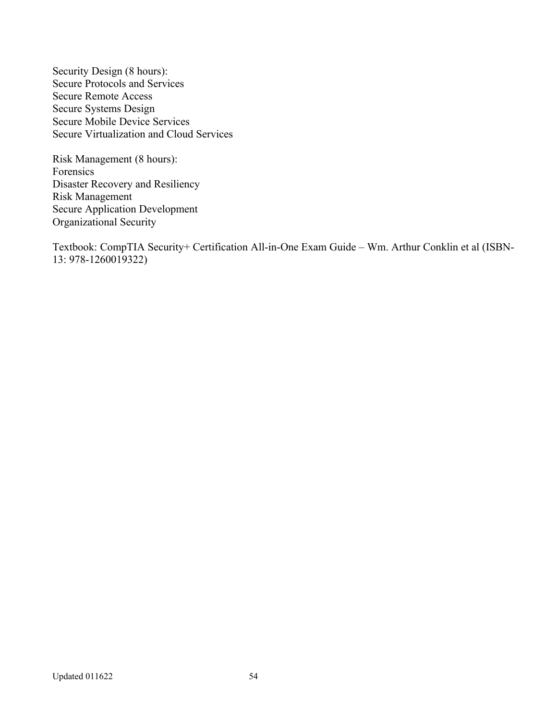Security Design (8 hours): Secure Protocols and Services Secure Remote Access Secure Systems Design Secure Mobile Device Services Secure Virtualization and Cloud Services

Risk Management (8 hours): Forensics Disaster Recovery and Resiliency Risk Management Secure Application Development Organizational Security

Textbook: CompTIA Security+ Certification All-in-One Exam Guide – Wm. Arthur Conklin et al (ISBN-13: 978-1260019322)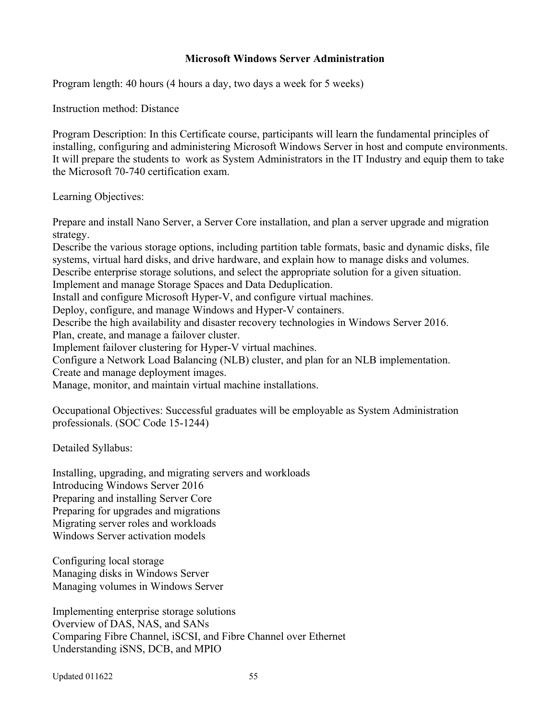### **Microsoft Windows Server Administration**

Program length: 40 hours (4 hours a day, two days a week for 5 weeks)

Instruction method: Distance

Program Description: In this Certificate course, participants will learn the fundamental principles of installing, configuring and administering Microsoft Windows Server in host and compute environments. It will prepare the students to work as System Administrators in the IT Industry and equip them to take the Microsoft 70-740 certification exam.

Learning Objectives:

Prepare and install Nano Server, a Server Core installation, and plan a server upgrade and migration strategy.

Describe the various storage options, including partition table formats, basic and dynamic disks, file systems, virtual hard disks, and drive hardware, and explain how to manage disks and volumes.

Describe enterprise storage solutions, and select the appropriate solution for a given situation.

Implement and manage Storage Spaces and Data Deduplication. Install and configure Microsoft Hyper-V, and configure virtual machines.

Deploy, configure, and manage Windows and Hyper-V containers.

Describe the high availability and disaster recovery technologies in Windows Server 2016.

Plan, create, and manage a failover cluster.

Implement failover clustering for Hyper-V virtual machines.

Configure a Network Load Balancing (NLB) cluster, and plan for an NLB implementation.

Create and manage deployment images.

Manage, monitor, and maintain virtual machine installations.

Occupational Objectives: Successful graduates will be employable as System Administration professionals. (SOC Code 15-1244)

Detailed Syllabus:

Installing, upgrading, and migrating servers and workloads Introducing Windows Server 2016 Preparing and installing Server Core Preparing for upgrades and migrations Migrating server roles and workloads Windows Server activation models

Configuring local storage Managing disks in Windows Server Managing volumes in Windows Server

Implementing enterprise storage solutions Overview of DAS, NAS, and SANs Comparing Fibre Channel, iSCSI, and Fibre Channel over Ethernet Understanding iSNS, DCB, and MPIO

Updated 011622 55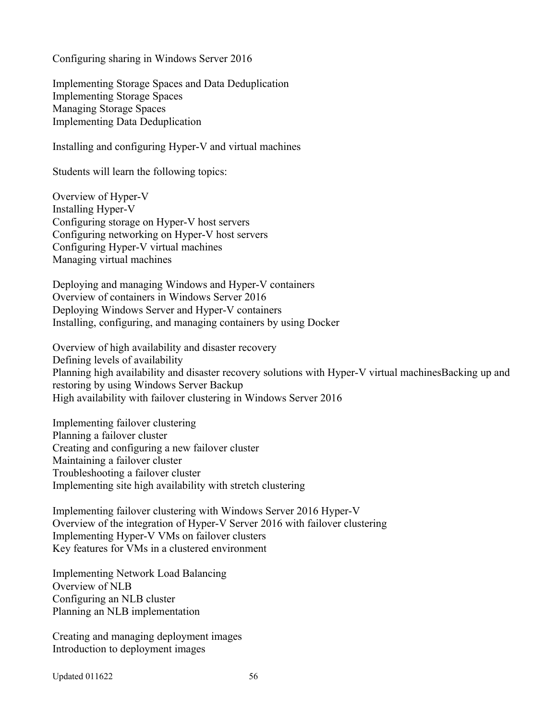Configuring sharing in Windows Server 2016

Implementing Storage Spaces and Data Deduplication Implementing Storage Spaces Managing Storage Spaces Implementing Data Deduplication

Installing and configuring Hyper-V and virtual machines

Students will learn the following topics:

Overview of Hyper-V Installing Hyper-V Configuring storage on Hyper-V host servers Configuring networking on Hyper-V host servers Configuring Hyper-V virtual machines Managing virtual machines

Deploying and managing Windows and Hyper-V containers Overview of containers in Windows Server 2016 Deploying Windows Server and Hyper-V containers Installing, configuring, and managing containers by using Docker

Overview of high availability and disaster recovery Defining levels of availability Planning high availability and disaster recovery solutions with Hyper-V virtual machinesBacking up and restoring by using Windows Server Backup High availability with failover clustering in Windows Server 2016

Implementing failover clustering Planning a failover cluster Creating and configuring a new failover cluster Maintaining a failover cluster Troubleshooting a failover cluster Implementing site high availability with stretch clustering

Implementing failover clustering with Windows Server 2016 Hyper-V Overview of the integration of Hyper-V Server 2016 with failover clustering Implementing Hyper-V VMs on failover clusters Key features for VMs in a clustered environment

Implementing Network Load Balancing Overview of NLB Configuring an NLB cluster Planning an NLB implementation

Creating and managing deployment images Introduction to deployment images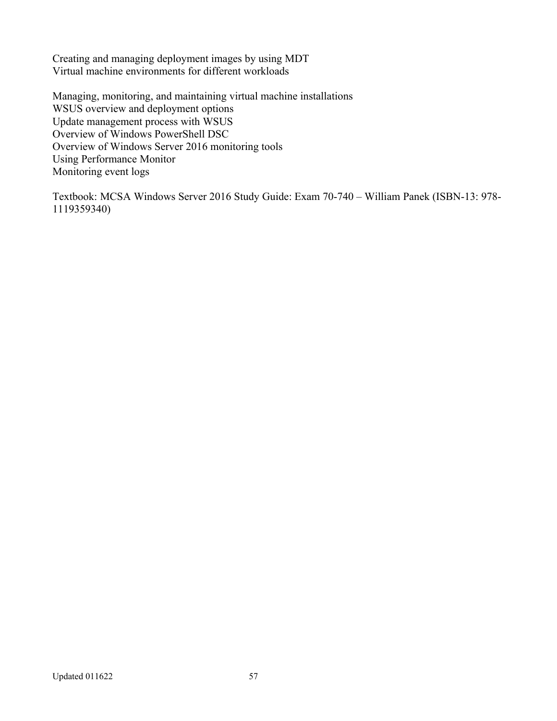Creating and managing deployment images by using MDT Virtual machine environments for different workloads

Managing, monitoring, and maintaining virtual machine installations WSUS overview and deployment options Update management process with WSUS Overview of Windows PowerShell DSC Overview of Windows Server 2016 monitoring tools Using Performance Monitor Monitoring event logs

Textbook: MCSA Windows Server 2016 Study Guide: Exam 70-740 – William Panek (ISBN-13: 978- 1119359340)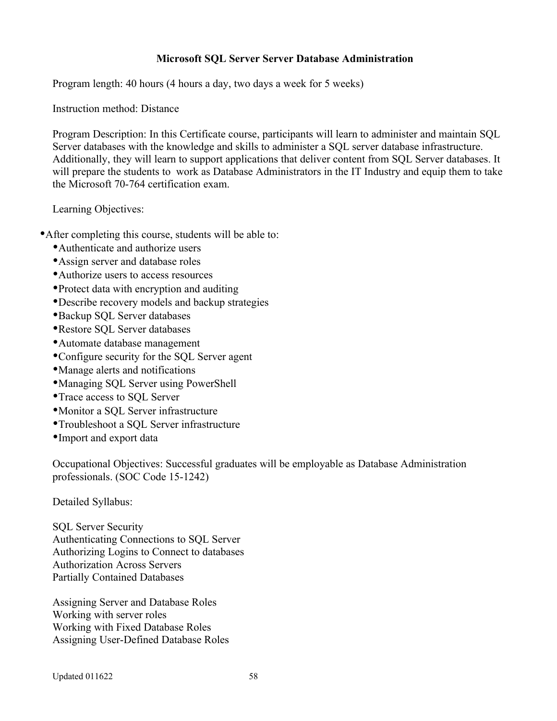### **Microsoft SQL Server Server Database Administration**

Program length: 40 hours (4 hours a day, two days a week for 5 weeks)

Instruction method: Distance

Program Description: In this Certificate course, participants will learn to administer and maintain SQL Server databases with the knowledge and skills to administer a SQL server database infrastructure. Additionally, they will learn to support applications that deliver content from SQL Server databases. It will prepare the students to work as Database Administrators in the IT Industry and equip them to take the Microsoft 70-764 certification exam.

Learning Objectives:

- After completing this course, students will be able to:
	- Authenticate and authorize users
	- Assign server and database roles
	- Authorize users to access resources
	- Protect data with encryption and auditing
	- Describe recovery models and backup strategies
	- Backup SQL Server databases
	- Restore SQL Server databases
	- Automate database management
	- Configure security for the SQL Server agent
	- Manage alerts and notifications
	- Managing SQL Server using PowerShell
	- Trace access to SQL Server
	- Monitor a SQL Server infrastructure
	- Troubleshoot a SQL Server infrastructure
	- Import and export data

Occupational Objectives: Successful graduates will be employable as Database Administration professionals. (SOC Code 15-1242)

Detailed Syllabus:

SQL Server Security Authenticating Connections to SQL Server Authorizing Logins to Connect to databases Authorization Across Servers Partially Contained Databases

Assigning Server and Database Roles Working with server roles Working with Fixed Database Roles Assigning User-Defined Database Roles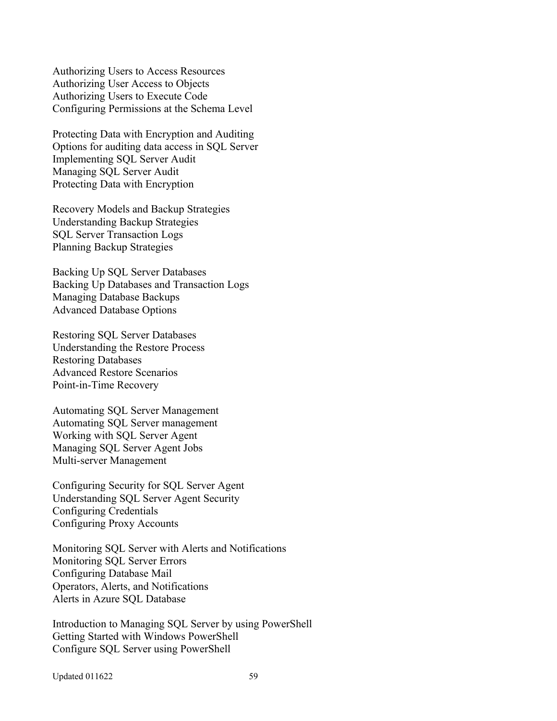Authorizing Users to Access Resources Authorizing User Access to Objects Authorizing Users to Execute Code Configuring Permissions at the Schema Level

Protecting Data with Encryption and Auditing Options for auditing data access in SQL Server Implementing SQL Server Audit Managing SQL Server Audit Protecting Data with Encryption

Recovery Models and Backup Strategies Understanding Backup Strategies SQL Server Transaction Logs Planning Backup Strategies

Backing Up SQL Server Databases Backing Up Databases and Transaction Logs Managing Database Backups Advanced Database Options

Restoring SQL Server Databases Understanding the Restore Process Restoring Databases Advanced Restore Scenarios Point-in-Time Recovery

Automating SQL Server Management Automating SQL Server management Working with SQL Server Agent Managing SQL Server Agent Jobs Multi-server Management

Configuring Security for SQL Server Agent Understanding SQL Server Agent Security Configuring Credentials Configuring Proxy Accounts

Monitoring SQL Server with Alerts and Notifications Monitoring SQL Server Errors Configuring Database Mail Operators, Alerts, and Notifications Alerts in Azure SQL Database

Introduction to Managing SQL Server by using PowerShell Getting Started with Windows PowerShell Configure SQL Server using PowerShell

Updated 011622 59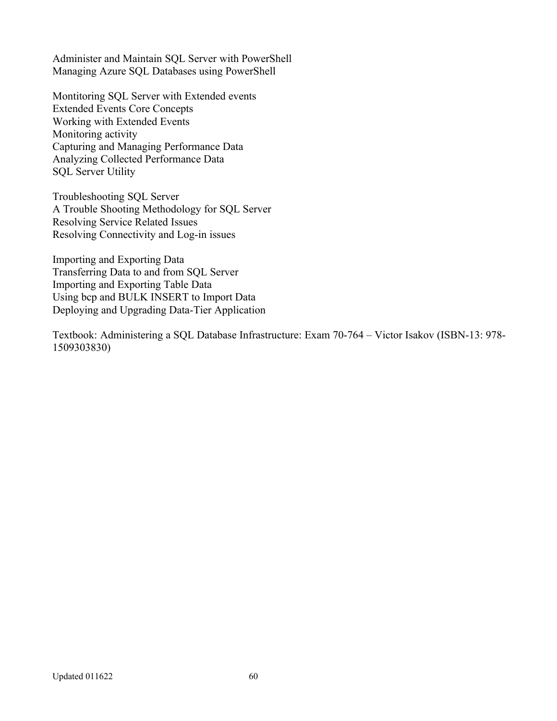Administer and Maintain SQL Server with PowerShell Managing Azure SQL Databases using PowerShell

Montitoring SQL Server with Extended events Extended Events Core Concepts Working with Extended Events Monitoring activity Capturing and Managing Performance Data Analyzing Collected Performance Data SQL Server Utility

Troubleshooting SQL Server A Trouble Shooting Methodology for SQL Server Resolving Service Related Issues Resolving Connectivity and Log-in issues

Importing and Exporting Data Transferring Data to and from SQL Server Importing and Exporting Table Data Using bcp and BULK INSERT to Import Data Deploying and Upgrading Data-Tier Application

Textbook: Administering a SQL Database Infrastructure: Exam 70-764 – Victor Isakov (ISBN-13: 978- 1509303830)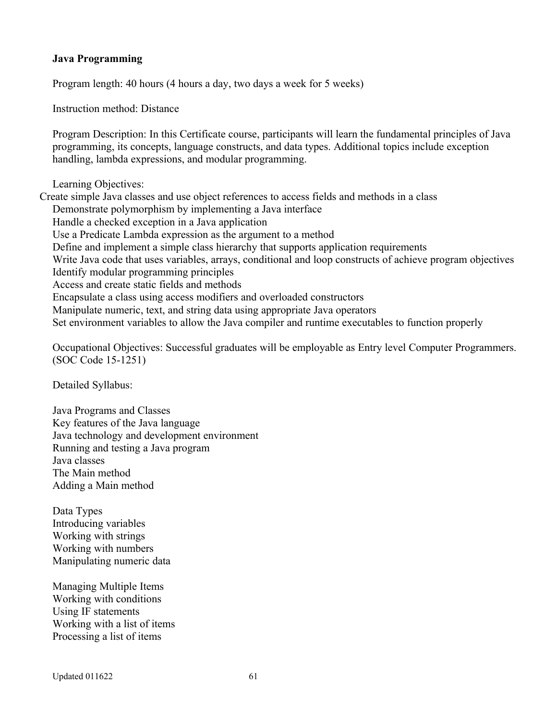#### **Java Programming**

Program length: 40 hours (4 hours a day, two days a week for 5 weeks)

Instruction method: Distance

Program Description: In this Certificate course, participants will learn the fundamental principles of Java programming, its concepts, language constructs, and data types. Additional topics include exception handling, lambda expressions, and modular programming.

Learning Objectives:

Create simple Java classes and use object references to access fields and methods in a class Demonstrate polymorphism by implementing a Java interface Handle a checked exception in a Java application Use a Predicate Lambda expression as the argument to a method Define and implement a simple class hierarchy that supports application requirements Write Java code that uses variables, arrays, conditional and loop constructs of achieve program objectives Identify modular programming principles Access and create static fields and methods Encapsulate a class using access modifiers and overloaded constructors Manipulate numeric, text, and string data using appropriate Java operators Set environment variables to allow the Java compiler and runtime executables to function properly

Occupational Objectives: Successful graduates will be employable as Entry level Computer Programmers. (SOC Code 15-1251)

Detailed Syllabus:

Java Programs and Classes Key features of the Java language Java technology and development environment Running and testing a Java program Java classes The Main method Adding a Main method

Data Types Introducing variables Working with strings Working with numbers Manipulating numeric data

Managing Multiple Items Working with conditions Using IF statements Working with a list of items Processing a list of items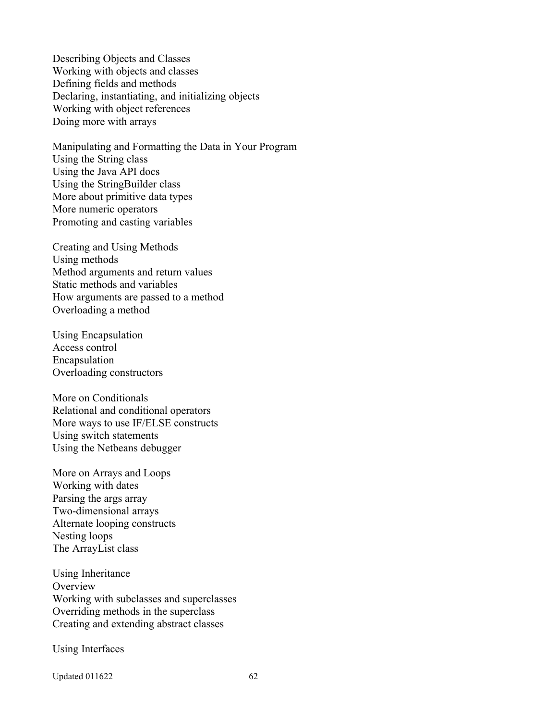Describing Objects and Classes Working with objects and classes Defining fields and methods Declaring, instantiating, and initializing objects Working with object references Doing more with arrays

Manipulating and Formatting the Data in Your Program Using the String class Using the Java API docs Using the StringBuilder class More about primitive data types More numeric operators Promoting and casting variables

Creating and Using Methods Using methods Method arguments and return values Static methods and variables How arguments are passed to a method Overloading a method

Using Encapsulation Access control Encapsulation Overloading constructors

More on Conditionals Relational and conditional operators More ways to use IF/ELSE constructs Using switch statements Using the Netbeans debugger

More on Arrays and Loops Working with dates Parsing the args array Two-dimensional arrays Alternate looping constructs Nesting loops The ArrayList class

Using Inheritance **Overview** Working with subclasses and superclasses Overriding methods in the superclass Creating and extending abstract classes

Using Interfaces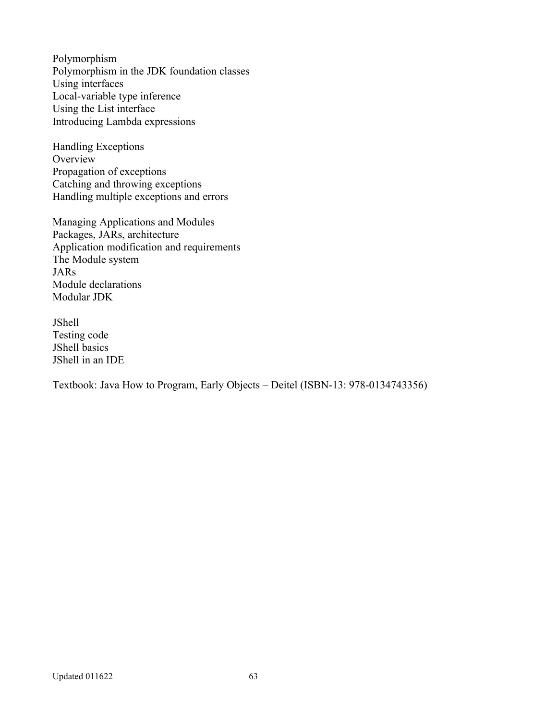Polymorphism Polymorphism in the JDK foundation classes Using interfaces Local-variable type inference Using the List interface Introducing Lambda expressions

Handling Exceptions **Overview** Propagation of exceptions Catching and throwing exceptions Handling multiple exceptions and errors

Managing Applications and Modules Packages, JARs, architecture Application modification and requirements The Module system JARs Module declarations Modular JDK

JShell Testing code JShell basics JShell in an IDE

Textbook: Java How to Program, Early Objects – Deitel (ISBN-13: 978-0134743356)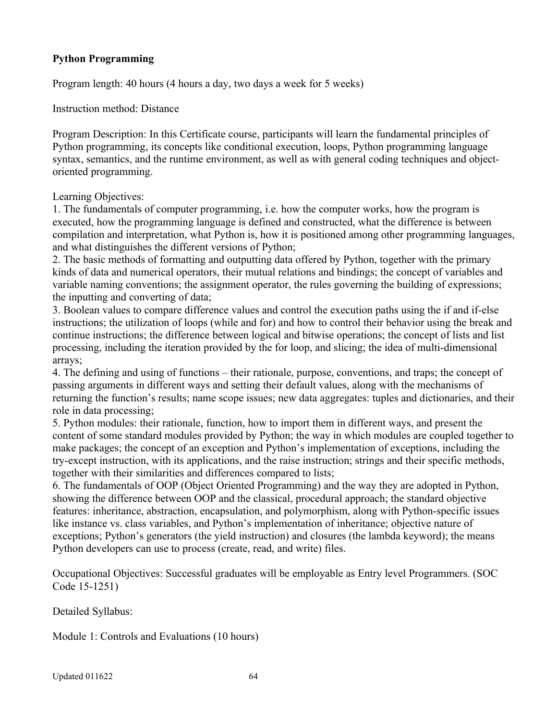# **Python Programming**

Program length: 40 hours (4 hours a day, two days a week for 5 weeks)

Instruction method: Distance

Program Description: In this Certificate course, participants will learn the fundamental principles of Python programming, its concepts like conditional execution, loops, Python programming language syntax, semantics, and the runtime environment, as well as with general coding techniques and objectoriented programming.

### Learning Objectives:

1. The fundamentals of computer programming, i.e. how the computer works, how the program is executed, how the programming language is defined and constructed, what the difference is between compilation and interpretation, what Python is, how it is positioned among other programming languages, and what distinguishes the different versions of Python;

2. The basic methods of formatting and outputting data offered by Python, together with the primary kinds of data and numerical operators, their mutual relations and bindings; the concept of variables and variable naming conventions; the assignment operator, the rules governing the building of expressions; the inputting and converting of data;

3. Boolean values to compare difference values and control the execution paths using the if and if-else instructions; the utilization of loops (while and for) and how to control their behavior using the break and continue instructions; the difference between logical and bitwise operations; the concept of lists and list processing, including the iteration provided by the for loop, and slicing; the idea of multi-dimensional arrays;

4. The defining and using of functions – their rationale, purpose, conventions, and traps; the concept of passing arguments in different ways and setting their default values, along with the mechanisms of returning the function's results; name scope issues; new data aggregates: tuples and dictionaries, and their role in data processing;

5. Python modules: their rationale, function, how to import them in different ways, and present the content of some standard modules provided by Python; the way in which modules are coupled together to make packages; the concept of an exception and Python's implementation of exceptions, including the try-except instruction, with its applications, and the raise instruction; strings and their specific methods, together with their similarities and differences compared to lists;

6. The fundamentals of OOP (Object Oriented Programming) and the way they are adopted in Python, showing the difference between OOP and the classical, procedural approach; the standard objective features: inheritance, abstraction, encapsulation, and polymorphism, along with Python-specific issues like instance vs. class variables, and Python's implementation of inheritance; objective nature of exceptions; Python's generators (the yield instruction) and closures (the lambda keyword); the means Python developers can use to process (create, read, and write) files.

Occupational Objectives: Successful graduates will be employable as Entry level Programmers. (SOC Code 15-1251)

Detailed Syllabus:

Module 1: Controls and Evaluations (10 hours)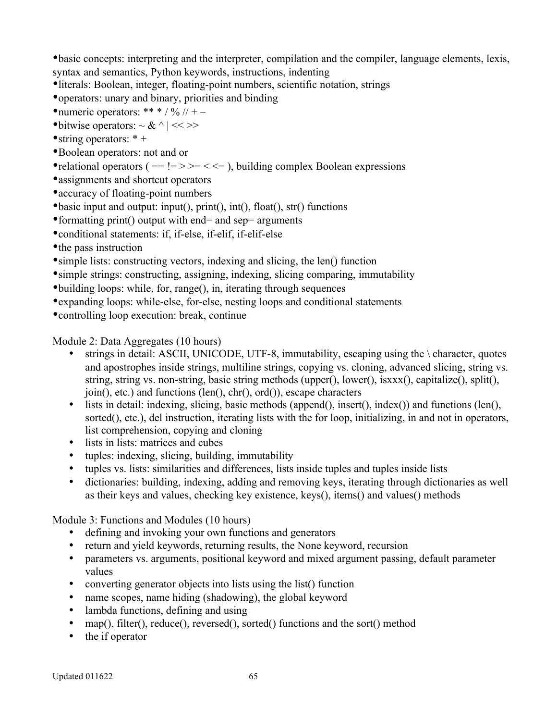basic concepts: interpreting and the interpreter, compilation and the compiler, language elements, lexis, syntax and semantics, Python keywords, instructions, indenting

literals: Boolean, integer, floating-point numbers, scientific notation, strings

- operators: unary and binary, priorities and binding
- numeric operators: \*\* \* / % // + –
- $\bullet$  bitwise operators:  $\sim \& \land \mid \ll \gg$
- string operators:  $* +$
- Boolean operators: not and or
- relational operators ( $==!=>=<=$ ), building complex Boolean expressions
- assignments and shortcut operators
- accuracy of floating-point numbers
- basic input and output: input(), print(), int(), float(), str() functions
- formatting print() output with end= and sep= arguments
- conditional statements: if, if-else, if-elif, if-elif-else
- the pass instruction
- simple lists: constructing vectors, indexing and slicing, the len() function
- simple strings: constructing, assigning, indexing, slicing comparing, immutability
- building loops: while, for, range(), in, iterating through sequences
- expanding loops: while-else, for-else, nesting loops and conditional statements
- controlling loop execution: break, continue

Module 2: Data Aggregates (10 hours)

- strings in detail: ASCII, UNICODE, UTF-8, immutability, escaping using the \ character, quotes and apostrophes inside strings, multiline strings, copying vs. cloning, advanced slicing, string vs. string, string vs. non-string, basic string methods (upper(), lower(), isxxx(), capitalize(), split(), join(), etc.) and functions (len(), chr(), ord()), escape characters
- lists in detail: indexing, slicing, basic methods (append(), insert(), index()) and functions (len(), sorted(), etc.), del instruction, iterating lists with the for loop, initializing, in and not in operators, list comprehension, copying and cloning
- lists in lists: matrices and cubes
- tuples: indexing, slicing, building, immutability
- tuples vs. lists: similarities and differences, lists inside tuples and tuples inside lists
- dictionaries: building, indexing, adding and removing keys, iterating through dictionaries as well as their keys and values, checking key existence, keys(), items() and values() methods

Module 3: Functions and Modules (10 hours)

- defining and invoking your own functions and generators
- return and yield keywords, returning results, the None keyword, recursion
- parameters vs. arguments, positional keyword and mixed argument passing, default parameter values
- converting generator objects into lists using the list() function
- name scopes, name hiding (shadowing), the global keyword
- lambda functions, defining and using
- map(), filter(), reduce(), reversed(), sorted() functions and the sort() method
- the if operator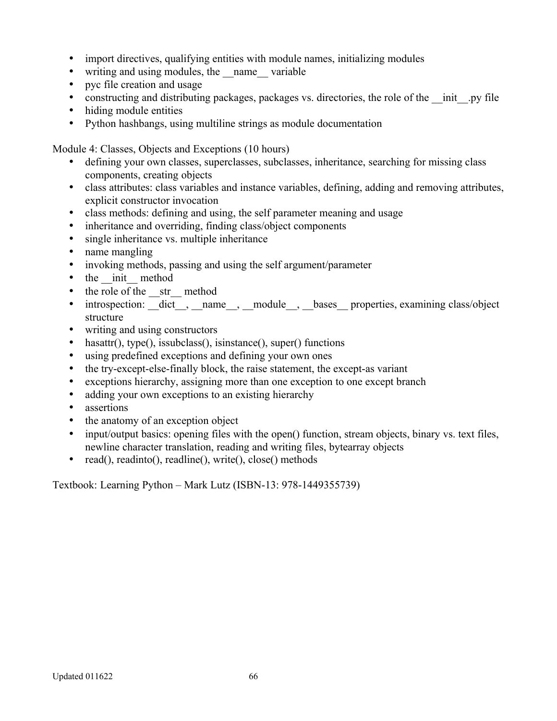- import directives, qualifying entities with module names, initializing modules
- writing and using modules, the name variable
- pyc file creation and usage
- constructing and distributing packages, packages vs. directories, the role of the \_\_init\_\_.py file
- hiding module entities
- Python hashbangs, using multiline strings as module documentation

Module 4: Classes, Objects and Exceptions (10 hours)

- defining your own classes, superclasses, subclasses, inheritance, searching for missing class components, creating objects
- class attributes: class variables and instance variables, defining, adding and removing attributes, explicit constructor invocation
- class methods: defining and using, the self parameter meaning and usage
- inheritance and overriding, finding class/object components
- single inheritance vs. multiple inheritance
- name mangling
- invoking methods, passing and using the self argument/parameter
- the init method
- the role of the str method
- introspection: \_\_dict\_\_, \_\_name\_\_, \_\_module\_\_, \_\_bases\_\_ properties, examining class/object structure
- writing and using constructors
- hasattr(), type(), issubclass(), isinstance(), super() functions
- using predefined exceptions and defining your own ones
- the try-except-else-finally block, the raise statement, the except-as variant
- exceptions hierarchy, assigning more than one exception to one except branch
- adding your own exceptions to an existing hierarchy
- assertions
- the anatomy of an exception object
- input/output basics: opening files with the open() function, stream objects, binary vs. text files, newline character translation, reading and writing files, bytearray objects
- read(), readinto(), readline(), write(), close() methods

Textbook: Learning Python – Mark Lutz (ISBN-13: 978-1449355739)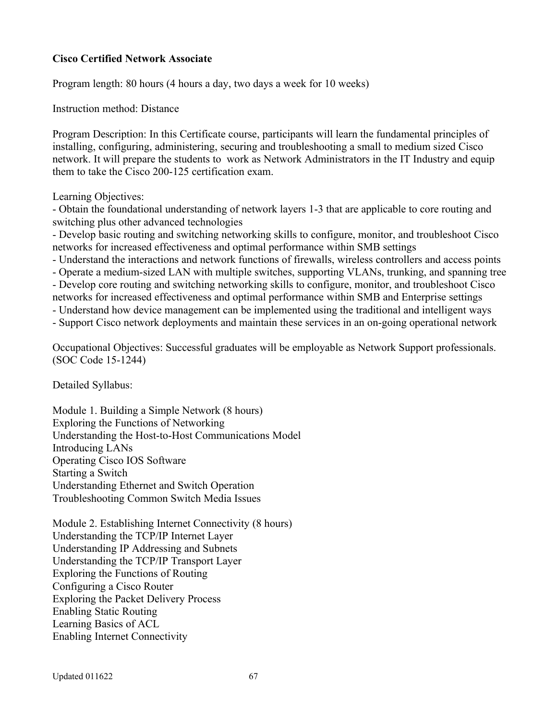### **Cisco Certified Network Associate**

Program length: 80 hours (4 hours a day, two days a week for 10 weeks)

Instruction method: Distance

Program Description: In this Certificate course, participants will learn the fundamental principles of installing, configuring, administering, securing and troubleshooting a small to medium sized Cisco network. It will prepare the students to work as Network Administrators in the IT Industry and equip them to take the Cisco 200-125 certification exam.

Learning Objectives:

- Obtain the foundational understanding of network layers 1-3 that are applicable to core routing and switching plus other advanced technologies

- Develop basic routing and switching networking skills to configure, monitor, and troubleshoot Cisco networks for increased effectiveness and optimal performance within SMB settings

- Understand the interactions and network functions of firewalls, wireless controllers and access points

- Operate a medium-sized LAN with multiple switches, supporting VLANs, trunking, and spanning tree

- Develop core routing and switching networking skills to configure, monitor, and troubleshoot Cisco networks for increased effectiveness and optimal performance within SMB and Enterprise settings

- Understand how device management can be implemented using the traditional and intelligent ways

- Support Cisco network deployments and maintain these services in an on-going operational network

Occupational Objectives: Successful graduates will be employable as Network Support professionals. (SOC Code 15-1244)

Detailed Syllabus:

Module 1. Building a Simple Network (8 hours) Exploring the Functions of Networking Understanding the Host-to-Host Communications Model Introducing LANs Operating Cisco IOS Software Starting a Switch Understanding Ethernet and Switch Operation Troubleshooting Common Switch Media Issues

Module 2. Establishing Internet Connectivity (8 hours) Understanding the TCP/IP Internet Layer Understanding IP Addressing and Subnets Understanding the TCP/IP Transport Layer Exploring the Functions of Routing Configuring a Cisco Router Exploring the Packet Delivery Process Enabling Static Routing Learning Basics of ACL Enabling Internet Connectivity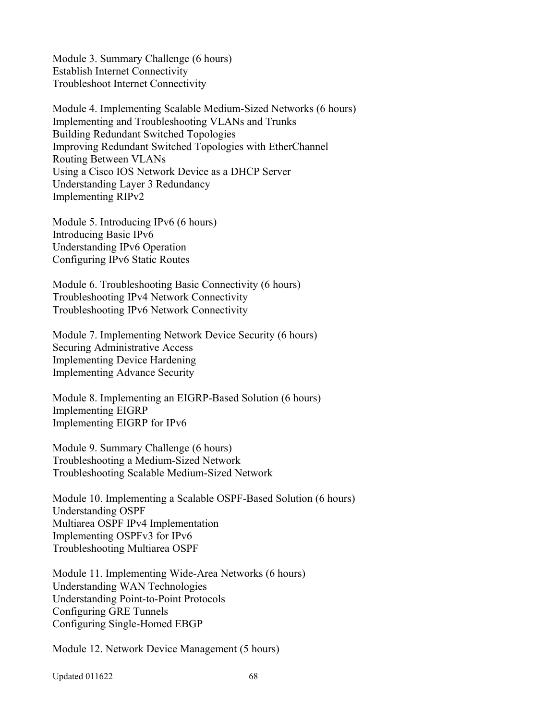Module 3. Summary Challenge (6 hours) Establish Internet Connectivity Troubleshoot Internet Connectivity

Module 4. Implementing Scalable Medium-Sized Networks (6 hours) Implementing and Troubleshooting VLANs and Trunks Building Redundant Switched Topologies Improving Redundant Switched Topologies with EtherChannel Routing Between VLANs Using a Cisco IOS Network Device as a DHCP Server Understanding Layer 3 Redundancy Implementing RIPv2

Module 5. Introducing IPv6 (6 hours) Introducing Basic IPv6 Understanding IPv6 Operation Configuring IPv6 Static Routes

Module 6. Troubleshooting Basic Connectivity (6 hours) Troubleshooting IPv4 Network Connectivity Troubleshooting IPv6 Network Connectivity

Module 7. Implementing Network Device Security (6 hours) Securing Administrative Access Implementing Device Hardening Implementing Advance Security

Module 8. Implementing an EIGRP-Based Solution (6 hours) Implementing EIGRP Implementing EIGRP for IPv6

Module 9. Summary Challenge (6 hours) Troubleshooting a Medium-Sized Network Troubleshooting Scalable Medium-Sized Network

Module 10. Implementing a Scalable OSPF-Based Solution (6 hours) Understanding OSPF Multiarea OSPF IPv4 Implementation Implementing OSPFv3 for IPv6 Troubleshooting Multiarea OSPF

Module 11. Implementing Wide-Area Networks (6 hours) Understanding WAN Technologies Understanding Point-to-Point Protocols Configuring GRE Tunnels Configuring Single-Homed EBGP

Module 12. Network Device Management (5 hours)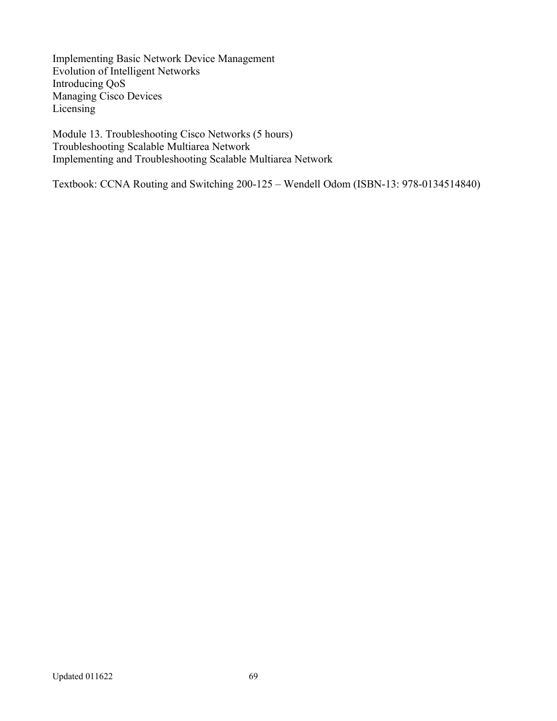Implementing Basic Network Device Management Evolution of Intelligent Networks Introducing QoS Managing Cisco Devices Licensing

Module 13. Troubleshooting Cisco Networks (5 hours) Troubleshooting Scalable Multiarea Network Implementing and Troubleshooting Scalable Multiarea Network

Textbook: CCNA Routing and Switching 200-125 – Wendell Odom (ISBN-13: 978-0134514840)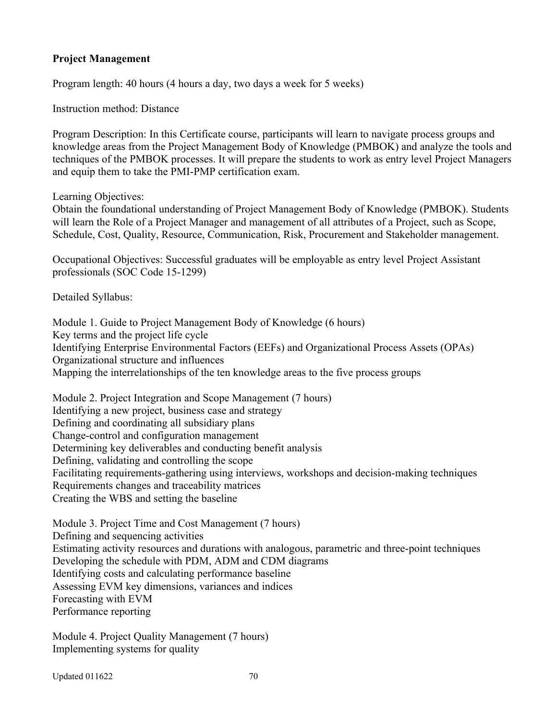### **Project Management**

Program length: 40 hours (4 hours a day, two days a week for 5 weeks)

Instruction method: Distance

Program Description: In this Certificate course, participants will learn to navigate process groups and knowledge areas from the Project Management Body of Knowledge (PMBOK) and analyze the tools and techniques of the PMBOK processes. It will prepare the students to work as entry level Project Managers and equip them to take the PMI-PMP certification exam.

Learning Objectives:

Obtain the foundational understanding of Project Management Body of Knowledge (PMBOK). Students will learn the Role of a Project Manager and management of all attributes of a Project, such as Scope, Schedule, Cost, Quality, Resource, Communication, Risk, Procurement and Stakeholder management.

Occupational Objectives: Successful graduates will be employable as entry level Project Assistant professionals (SOC Code 15-1299)

Detailed Syllabus:

Module 1. Guide to Project Management Body of Knowledge (6 hours) Key terms and the project life cycle Identifying Enterprise Environmental Factors (EEFs) and Organizational Process Assets (OPAs) Organizational structure and influences Mapping the interrelationships of the ten knowledge areas to the five process groups

Module 2. Project Integration and Scope Management (7 hours) Identifying a new project, business case and strategy Defining and coordinating all subsidiary plans Change-control and configuration management Determining key deliverables and conducting benefit analysis Defining, validating and controlling the scope Facilitating requirements-gathering using interviews, workshops and decision-making techniques Requirements changes and traceability matrices Creating the WBS and setting the baseline

Module 3. Project Time and Cost Management (7 hours) Defining and sequencing activities Estimating activity resources and durations with analogous, parametric and three-point techniques Developing the schedule with PDM, ADM and CDM diagrams Identifying costs and calculating performance baseline Assessing EVM key dimensions, variances and indices Forecasting with EVM Performance reporting

Module 4. Project Quality Management (7 hours) Implementing systems for quality

Updated 011622 70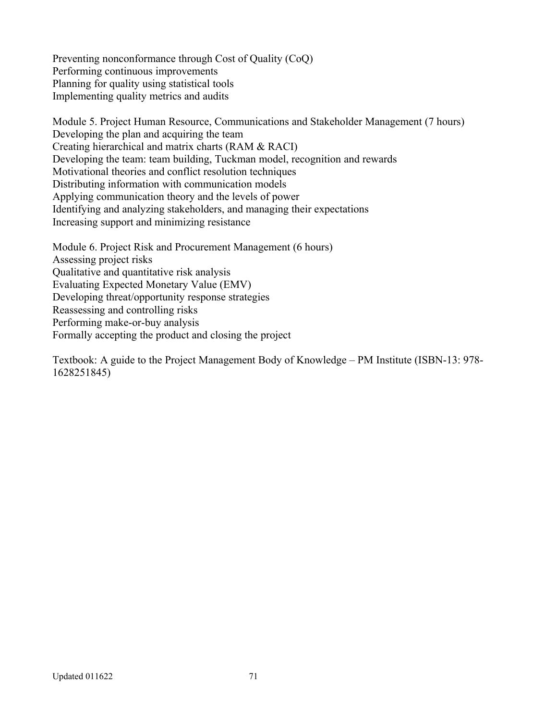Preventing nonconformance through Cost of Quality (CoQ) Performing continuous improvements Planning for quality using statistical tools Implementing quality metrics and audits

Module 5. Project Human Resource, Communications and Stakeholder Management (7 hours) Developing the plan and acquiring the team Creating hierarchical and matrix charts (RAM & RACI) Developing the team: team building, Tuckman model, recognition and rewards Motivational theories and conflict resolution techniques Distributing information with communication models Applying communication theory and the levels of power Identifying and analyzing stakeholders, and managing their expectations Increasing support and minimizing resistance

Module 6. Project Risk and Procurement Management (6 hours) Assessing project risks Qualitative and quantitative risk analysis Evaluating Expected Monetary Value (EMV) Developing threat/opportunity response strategies Reassessing and controlling risks Performing make-or-buy analysis Formally accepting the product and closing the project

Textbook: A guide to the Project Management Body of Knowledge – PM Institute (ISBN-13: 978- 1628251845)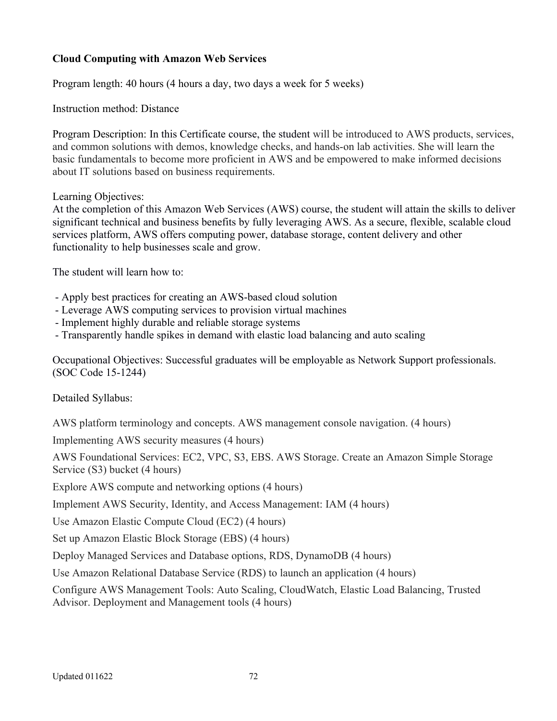# **Cloud Computing with Amazon Web Services**

Program length: 40 hours (4 hours a day, two days a week for 5 weeks)

Instruction method: Distance

Program Description: In this Certificate course, the student will be introduced to AWS products, services, and common solutions with demos, knowledge checks, and hands-on lab activities. She will learn the basic fundamentals to become more proficient in AWS and be empowered to make informed decisions about IT solutions based on business requirements.

### Learning Objectives:

At the completion of this Amazon Web Services (AWS) course, the student will attain the skills to deliver significant technical and business benefits by fully leveraging AWS. As a secure, flexible, scalable cloud services platform, AWS offers computing power, database storage, content delivery and other functionality to help businesses scale and grow.

The student will learn how to:

- Apply best practices for creating an AWS-based cloud solution
- Leverage AWS computing services to provision virtual machines
- Implement highly durable and reliable storage systems
- Transparently handle spikes in demand with elastic load balancing and auto scaling

Occupational Objectives: Successful graduates will be employable as Network Support professionals. (SOC Code 15-1244)

Detailed Syllabus:

AWS platform terminology and concepts. AWS management console navigation. (4 hours)

Implementing AWS security measures (4 hours)

AWS Foundational Services: EC2, VPC, S3, EBS. AWS Storage. Create an Amazon Simple Storage Service (S3) bucket (4 hours)

Explore AWS compute and networking options (4 hours)

Implement AWS Security, Identity, and Access Management: IAM (4 hours)

Use Amazon Elastic Compute Cloud (EC2) (4 hours)

Set up Amazon Elastic Block Storage (EBS) (4 hours)

Deploy Managed Services and Database options, RDS, DynamoDB (4 hours)

Use Amazon Relational Database Service (RDS) to launch an application (4 hours)

Configure AWS Management Tools: Auto Scaling, CloudWatch, Elastic Load Balancing, Trusted Advisor. Deployment and Management tools (4 hours)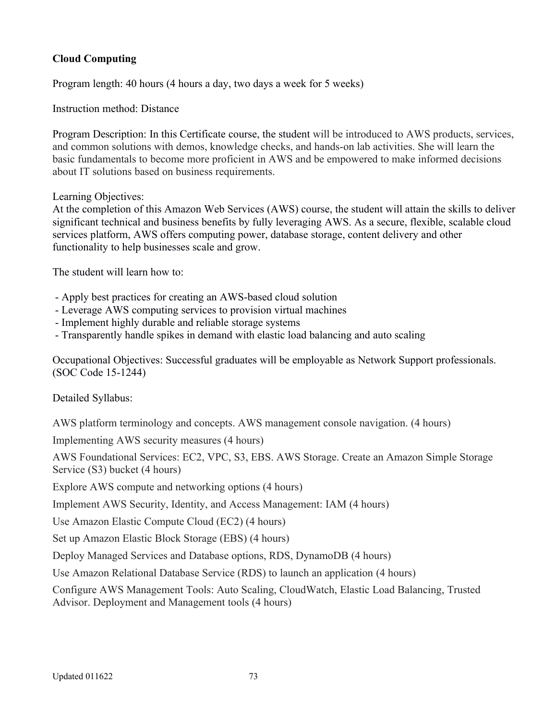# **Cloud Computing**

Program length: 40 hours (4 hours a day, two days a week for 5 weeks)

Instruction method: Distance

Program Description: In this Certificate course, the student will be introduced to AWS products, services, and common solutions with demos, knowledge checks, and hands-on lab activities. She will learn the basic fundamentals to become more proficient in AWS and be empowered to make informed decisions about IT solutions based on business requirements.

### Learning Objectives:

At the completion of this Amazon Web Services (AWS) course, the student will attain the skills to deliver significant technical and business benefits by fully leveraging AWS. As a secure, flexible, scalable cloud services platform, AWS offers computing power, database storage, content delivery and other functionality to help businesses scale and grow.

The student will learn how to:

- Apply best practices for creating an AWS-based cloud solution
- Leverage AWS computing services to provision virtual machines
- Implement highly durable and reliable storage systems
- Transparently handle spikes in demand with elastic load balancing and auto scaling

Occupational Objectives: Successful graduates will be employable as Network Support professionals. (SOC Code 15-1244)

Detailed Syllabus:

AWS platform terminology and concepts. AWS management console navigation. (4 hours)

Implementing AWS security measures (4 hours)

AWS Foundational Services: EC2, VPC, S3, EBS. AWS Storage. Create an Amazon Simple Storage Service (S3) bucket (4 hours)

Explore AWS compute and networking options (4 hours)

Implement AWS Security, Identity, and Access Management: IAM (4 hours)

Use Amazon Elastic Compute Cloud (EC2) (4 hours)

Set up Amazon Elastic Block Storage (EBS) (4 hours)

Deploy Managed Services and Database options, RDS, DynamoDB (4 hours)

Use Amazon Relational Database Service (RDS) to launch an application (4 hours)

Configure AWS Management Tools: Auto Scaling, CloudWatch, Elastic Load Balancing, Trusted Advisor. Deployment and Management tools (4 hours)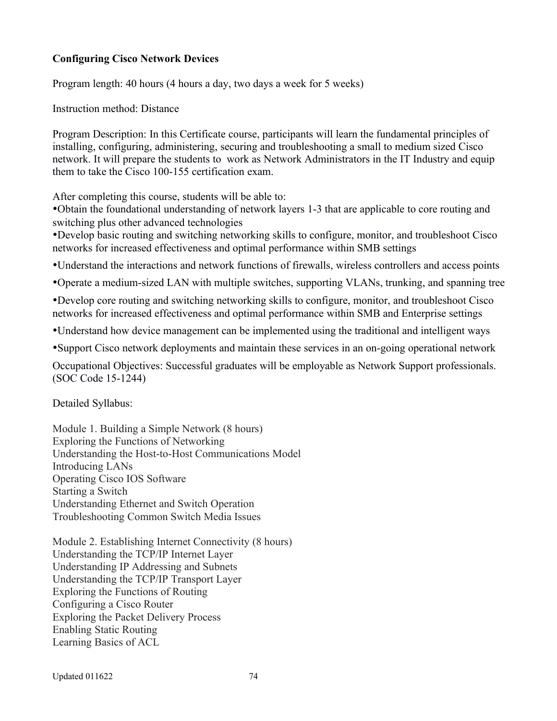### **Configuring Cisco Network Devices**

Program length: 40 hours (4 hours a day, two days a week for 5 weeks)

Instruction method: Distance

Program Description: In this Certificate course, participants will learn the fundamental principles of installing, configuring, administering, securing and troubleshooting a small to medium sized Cisco network. It will prepare the students to work as Network Administrators in the IT Industry and equip them to take the Cisco 100-155 certification exam.

After completing this course, students will be able to:

Obtain the foundational understanding of network layers 1-3 that are applicable to core routing and switching plus other advanced technologies

Develop basic routing and switching networking skills to configure, monitor, and troubleshoot Cisco networks for increased effectiveness and optimal performance within SMB settings

Understand the interactions and network functions of firewalls, wireless controllers and access points

Operate a medium-sized LAN with multiple switches, supporting VLANs, trunking, and spanning tree

Develop core routing and switching networking skills to configure, monitor, and troubleshoot Cisco networks for increased effectiveness and optimal performance within SMB and Enterprise settings

Understand how device management can be implemented using the traditional and intelligent ways

Support Cisco network deployments and maintain these services in an on-going operational network

Occupational Objectives: Successful graduates will be employable as Network Support professionals. (SOC Code 15-1244)

Detailed Syllabus:

Module 1. Building a Simple Network (8 hours) Exploring the Functions of Networking Understanding the Host-to-Host Communications Model Introducing LANs Operating Cisco IOS Software Starting a Switch Understanding Ethernet and Switch Operation Troubleshooting Common Switch Media Issues

Module 2. Establishing Internet Connectivity (8 hours) Understanding the TCP/IP Internet Layer Understanding IP Addressing and Subnets Understanding the TCP/IP Transport Layer Exploring the Functions of Routing Configuring a Cisco Router Exploring the Packet Delivery Process Enabling Static Routing Learning Basics of ACL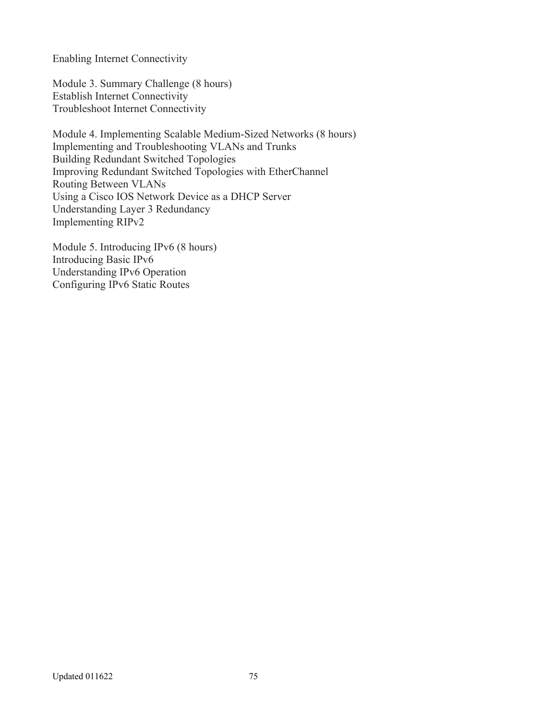Enabling Internet Connectivity

Module 3. Summary Challenge (8 hours) Establish Internet Connectivity Troubleshoot Internet Connectivity

Module 4. Implementing Scalable Medium-Sized Networks (8 hours) Implementing and Troubleshooting VLANs and Trunks Building Redundant Switched Topologies Improving Redundant Switched Topologies with EtherChannel Routing Between VLANs Using a Cisco IOS Network Device as a DHCP Server Understanding Layer 3 Redundancy Implementing RIPv2

Module 5. Introducing IPv6 (8 hours) Introducing Basic IPv6 Understanding IPv6 Operation Configuring IPv6 Static Routes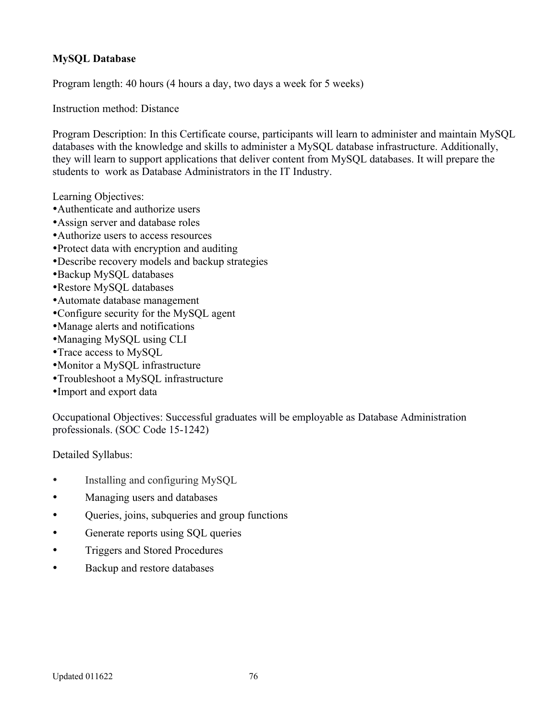# **MySQL Database**

Program length: 40 hours (4 hours a day, two days a week for 5 weeks)

Instruction method: Distance

Program Description: In this Certificate course, participants will learn to administer and maintain MySQL databases with the knowledge and skills to administer a MySQL database infrastructure. Additionally, they will learn to support applications that deliver content from MySQL databases. It will prepare the students to work as Database Administrators in the IT Industry.

Learning Objectives:

- Authenticate and authorize users
- Assign server and database roles
- Authorize users to access resources
- Protect data with encryption and auditing
- Describe recovery models and backup strategies
- Backup MySQL databases
- Restore MySQL databases
- Automate database management
- Configure security for the MySQL agent
- Manage alerts and notifications
- Managing MySQL using CLI
- Trace access to MySQL
- Monitor a MySQL infrastructure
- Troubleshoot a MySQL infrastructure
- Import and export data

Occupational Objectives: Successful graduates will be employable as Database Administration professionals. (SOC Code 15-1242)

Detailed Syllabus:

- Installing and configuring MySQL
- Managing users and databases
- Queries, joins, subqueries and group functions
- Generate reports using SQL queries
- Triggers and Stored Procedures
- Backup and restore databases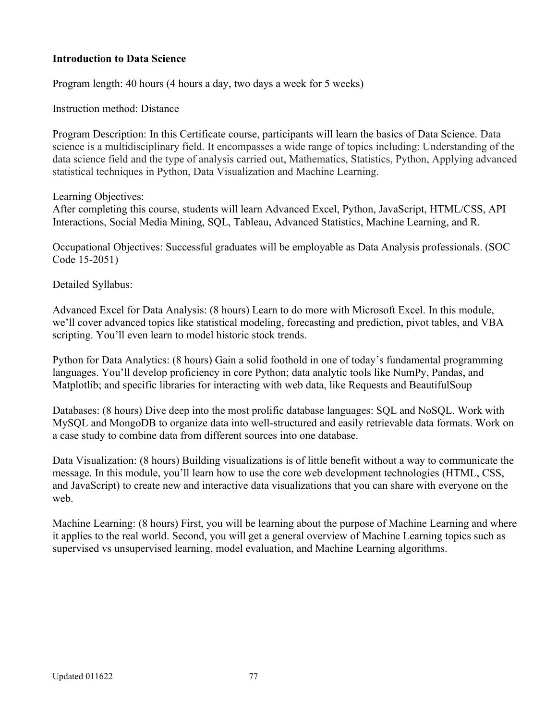### **Introduction to Data Science**

Program length: 40 hours (4 hours a day, two days a week for 5 weeks)

Instruction method: Distance

Program Description: In this Certificate course, participants will learn the basics of Data Science. Data science is a multidisciplinary field. It encompasses a wide range of topics including: Understanding of the data science field and the type of analysis carried out, Mathematics, Statistics, Python, Applying advanced statistical techniques in Python, Data Visualization and Machine Learning.

Learning Objectives:

After completing this course, students will learn Advanced Excel, Python, JavaScript, HTML/CSS, API Interactions, Social Media Mining, SQL, Tableau, Advanced Statistics, Machine Learning, and R.

Occupational Objectives: Successful graduates will be employable as Data Analysis professionals. (SOC Code 15-2051)

Detailed Syllabus:

Advanced Excel for Data Analysis: (8 hours) Learn to do more with Microsoft Excel. In this module, we'll cover advanced topics like statistical modeling, forecasting and prediction, pivot tables, and VBA scripting. You'll even learn to model historic stock trends.

Python for Data Analytics: (8 hours) Gain a solid foothold in one of today's fundamental programming languages. You'll develop proficiency in core Python; data analytic tools like NumPy, Pandas, and Matplotlib; and specific libraries for interacting with web data, like Requests and BeautifulSoup

Databases: (8 hours) Dive deep into the most prolific database languages: SQL and NoSQL. Work with MySQL and MongoDB to organize data into well-structured and easily retrievable data formats. Work on a case study to combine data from different sources into one database.

Data Visualization: (8 hours) Building visualizations is of little benefit without a way to communicate the message. In this module, you'll learn how to use the core web development technologies (HTML, CSS, and JavaScript) to create new and interactive data visualizations that you can share with everyone on the web.

Machine Learning: (8 hours) First, you will be learning about the purpose of Machine Learning and where it applies to the real world. Second, you will get a general overview of Machine Learning topics such as supervised vs unsupervised learning, model evaluation, and Machine Learning algorithms.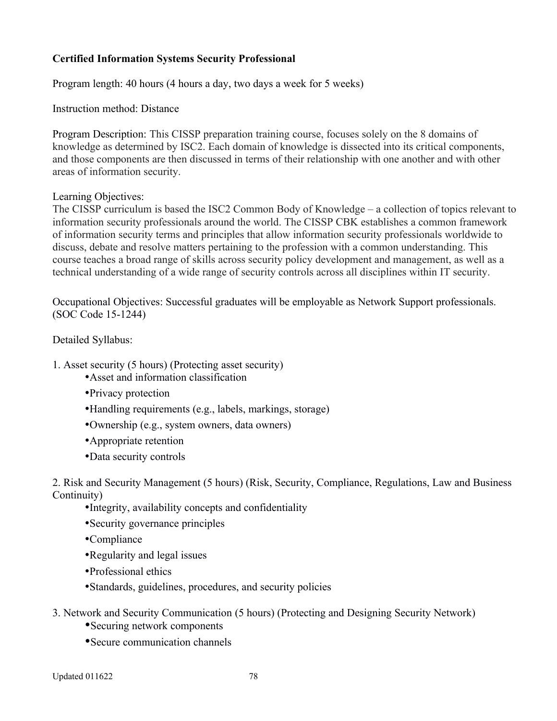# **Certified Information Systems Security Professional**

Program length: 40 hours (4 hours a day, two days a week for 5 weeks)

Instruction method: Distance

Program Description: This CISSP preparation training course, focuses solely on the 8 domains of knowledge as determined by ISC2. Each domain of knowledge is dissected into its critical components, and those components are then discussed in terms of their relationship with one another and with other areas of information security.

### Learning Objectives:

The CISSP curriculum is based the ISC2 Common Body of Knowledge – a collection of topics relevant to information security professionals around the world. The CISSP CBK establishes a common framework of information security terms and principles that allow information security professionals worldwide to discuss, debate and resolve matters pertaining to the profession with a common understanding. This course teaches a broad range of skills across security policy development and management, as well as a technical understanding of a wide range of security controls across all disciplines within IT security.

Occupational Objectives: Successful graduates will be employable as Network Support professionals. (SOC Code 15-1244)

Detailed Syllabus:

- 1. Asset security (5 hours) (Protecting asset security)
	- Asset and information classification
	- Privacy protection
	- Handling requirements (e.g., labels, markings, storage)
	- Ownership (e.g., system owners, data owners)
	- Appropriate retention
	- Data security controls

2. Risk and Security Management (5 hours) (Risk, Security, Compliance, Regulations, Law and Business Continuity)

- Integrity, availability concepts and confidentiality
- Security governance principles
- Compliance
- Regularity and legal issues
- Professional ethics
- Standards, guidelines, procedures, and security policies
- 3. Network and Security Communication (5 hours) (Protecting and Designing Security Network)
	- Securing network components
	- Secure communication channels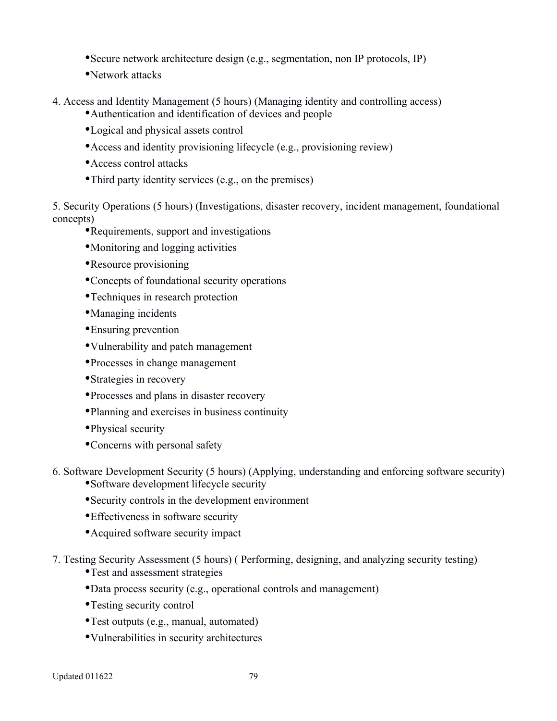- Secure network architecture design (e.g., segmentation, non IP protocols, IP)
- Network attacks
- 4. Access and Identity Management (5 hours) (Managing identity and controlling access)
	- Authentication and identification of devices and people
	- Logical and physical assets control
	- Access and identity provisioning lifecycle (e.g., provisioning review)
	- Access control attacks
	- Third party identity services (e.g., on the premises)

5. Security Operations (5 hours) (Investigations, disaster recovery, incident management, foundational concepts)

- Requirements, support and investigations
- Monitoring and logging activities
- Resource provisioning
- Concepts of foundational security operations
- Techniques in research protection
- Managing incidents
- Ensuring prevention
- Vulnerability and patch management
- Processes in change management
- Strategies in recovery
- Processes and plans in disaster recovery
- Planning and exercises in business continuity
- Physical security
- Concerns with personal safety
- 6. Software Development Security (5 hours) (Applying, understanding and enforcing software security) Software development lifecycle security
	- Security controls in the development environment
	- Effectiveness in software security
	- Acquired software security impact
- 7. Testing Security Assessment (5 hours) ( Performing, designing, and analyzing security testing)
	- Test and assessment strategies
	- Data process security (e.g., operational controls and management)
	- Testing security control
	- Test outputs (e.g., manual, automated)
	- Vulnerabilities in security architectures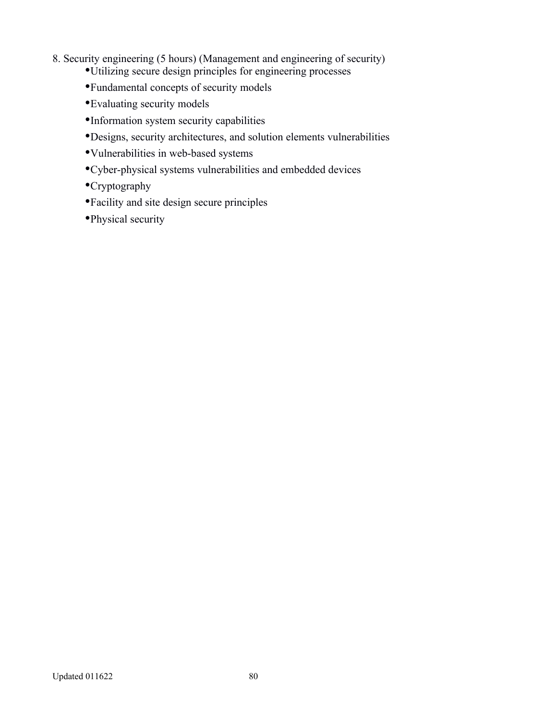- 8. Security engineering (5 hours) (Management and engineering of security)
	- Utilizing secure design principles for engineering processes
	- Fundamental concepts of security models
	- Evaluating security models
	- Information system security capabilities
	- Designs, security architectures, and solution elements vulnerabilities
	- Vulnerabilities in web-based systems
	- Cyber-physical systems vulnerabilities and embedded devices
	- Cryptography
	- Facility and site design secure principles
	- Physical security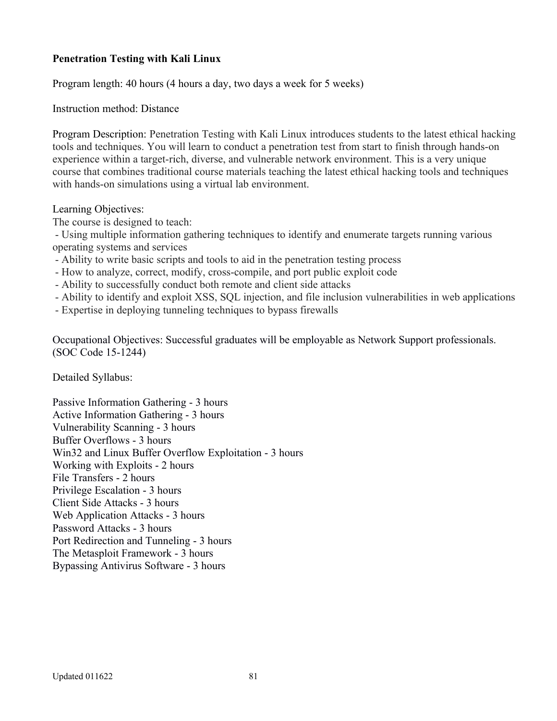# **Penetration Testing with Kali Linux**

Program length: 40 hours (4 hours a day, two days a week for 5 weeks)

Instruction method: Distance

Program Description: Penetration Testing with Kali Linux introduces students to the latest ethical hacking tools and techniques. You will learn to conduct a penetration test from start to finish through hands-on experience within a target-rich, diverse, and vulnerable network environment. This is a very unique course that combines traditional course materials teaching the latest ethical hacking tools and techniques with hands-on simulations using a virtual lab environment.

Learning Objectives:

The course is designed to teach:

 - Using multiple information gathering techniques to identify and enumerate targets running various operating systems and services

- Ability to write basic scripts and tools to aid in the penetration testing process
- How to analyze, correct, modify, cross-compile, and port public exploit code
- Ability to successfully conduct both remote and client side attacks
- Ability to identify and exploit XSS, SQL injection, and file inclusion vulnerabilities in web applications
- Expertise in deploying tunneling techniques to bypass firewalls

Occupational Objectives: Successful graduates will be employable as Network Support professionals. (SOC Code 15-1244)

Detailed Syllabus:

Passive Information Gathering - 3 hours Active Information Gathering - 3 hours Vulnerability Scanning - 3 hours Buffer Overflows - 3 hours Win32 and Linux Buffer Overflow Exploitation - 3 hours Working with Exploits - 2 hours File Transfers - 2 hours Privilege Escalation - 3 hours Client Side Attacks - 3 hours Web Application Attacks - 3 hours Password Attacks - 3 hours Port Redirection and Tunneling - 3 hours The Metasploit Framework - 3 hours Bypassing Antivirus Software - 3 hours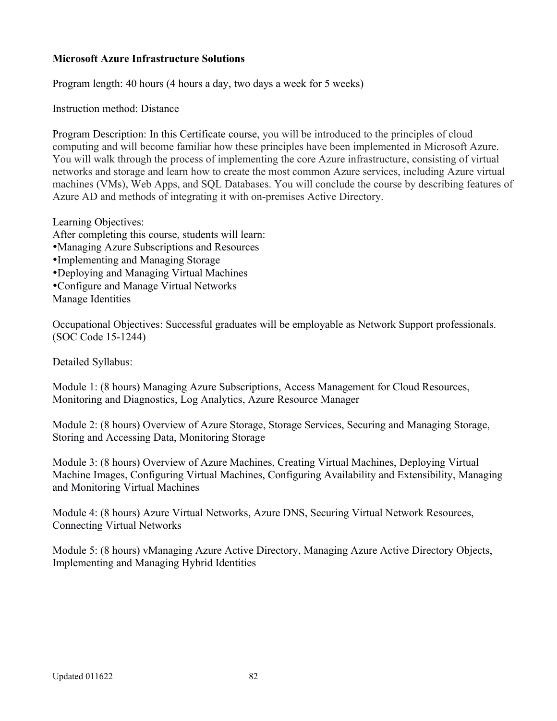# **Microsoft Azure Infrastructure Solutions**

Program length: 40 hours (4 hours a day, two days a week for 5 weeks)

Instruction method: Distance

Program Description: In this Certificate course, you will be introduced to the principles of cloud computing and will become familiar how these principles have been implemented in Microsoft Azure. You will walk through the process of implementing the core Azure infrastructure, consisting of virtual networks and storage and learn how to create the most common Azure services, including Azure virtual machines (VMs), Web Apps, and SQL Databases. You will conclude the course by describing features of Azure AD and methods of integrating it with on-premises Active Directory.

Learning Objectives:

After completing this course, students will learn:

- Managing Azure Subscriptions and Resources
- Implementing and Managing Storage
- Deploying and Managing Virtual Machines
- Configure and Manage Virtual Networks

Manage Identities

Occupational Objectives: Successful graduates will be employable as Network Support professionals. (SOC Code 15-1244)

Detailed Syllabus:

Module 1: (8 hours) Managing Azure Subscriptions, Access Management for Cloud Resources, Monitoring and Diagnostics, Log Analytics, Azure Resource Manager

Module 2: (8 hours) Overview of Azure Storage, Storage Services, Securing and Managing Storage, Storing and Accessing Data, Monitoring Storage

Module 3: (8 hours) Overview of Azure Machines, Creating Virtual Machines, Deploying Virtual Machine Images, Configuring Virtual Machines, Configuring Availability and Extensibility, Managing and Monitoring Virtual Machines

Module 4: (8 hours) Azure Virtual Networks, Azure DNS, Securing Virtual Network Resources, Connecting Virtual Networks

Module 5: (8 hours) vManaging Azure Active Directory, Managing Azure Active Directory Objects, Implementing and Managing Hybrid Identities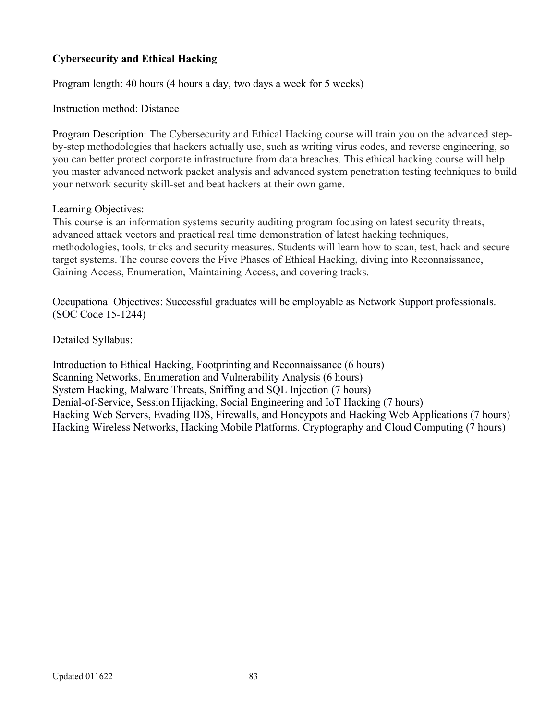# **Cybersecurity and Ethical Hacking**

Program length: 40 hours (4 hours a day, two days a week for 5 weeks)

Instruction method: Distance

Program Description: The Cybersecurity and Ethical Hacking course will train you on the advanced stepby-step methodologies that hackers actually use, such as writing virus codes, and reverse engineering, so you can better protect corporate infrastructure from data breaches. This ethical hacking course will help you master advanced network packet analysis and advanced system penetration testing techniques to build your network security skill-set and beat hackers at their own game.

### Learning Objectives:

This course is an information systems security auditing program focusing on latest security threats, advanced attack vectors and practical real time demonstration of latest hacking techniques, methodologies, tools, tricks and security measures. Students will learn how to scan, test, hack and secure target systems. The course covers the Five Phases of Ethical Hacking, diving into Reconnaissance, Gaining Access, Enumeration, Maintaining Access, and covering tracks.

Occupational Objectives: Successful graduates will be employable as Network Support professionals. (SOC Code 15-1244)

Detailed Syllabus:

Introduction to Ethical Hacking, Footprinting and Reconnaissance (6 hours) Scanning Networks, Enumeration and Vulnerability Analysis (6 hours) System Hacking, Malware Threats, Sniffing and SQL Injection (7 hours) Denial-of-Service, Session Hijacking, Social Engineering and IoT Hacking (7 hours) Hacking Web Servers, Evading IDS, Firewalls, and Honeypots and Hacking Web Applications (7 hours) Hacking Wireless Networks, Hacking Mobile Platforms. Cryptography and Cloud Computing (7 hours)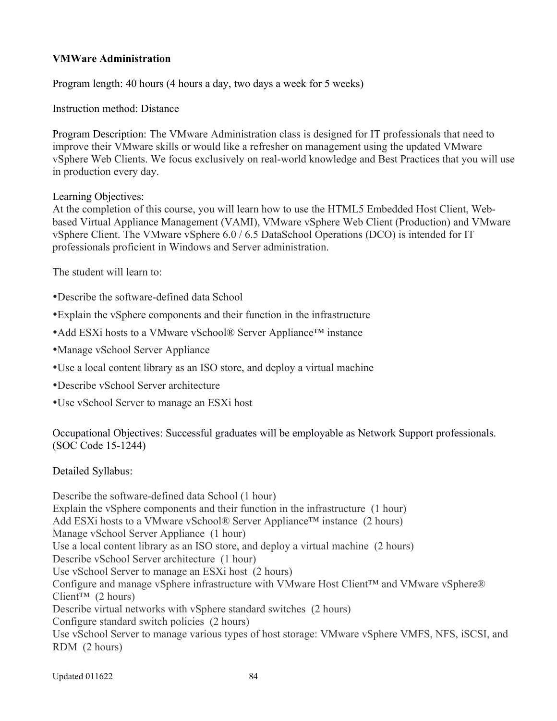# **VMWare Administration**

Program length: 40 hours (4 hours a day, two days a week for 5 weeks)

Instruction method: Distance

Program Description: The VMware Administration class is designed for IT professionals that need to improve their VMware skills or would like a refresher on management using the updated VMware vSphere Web Clients. We focus exclusively on real-world knowledge and Best Practices that you will use in production every day.

Learning Objectives:

At the completion of this course, you will learn how to use the HTML5 Embedded Host Client, Webbased Virtual Appliance Management (VAMI), VMware vSphere Web Client (Production) and VMware vSphere Client. The VMware vSphere 6.0 / 6.5 DataSchool Operations (DCO) is intended for IT professionals proficient in Windows and Server administration.

The student will learn to:

- Describe the software-defined data School
- Explain the vSphere components and their function in the infrastructure
- Add ESXi hosts to a VMware vSchool® Server Appliance™ instance
- Manage vSchool Server Appliance
- Use a local content library as an ISO store, and deploy a virtual machine
- Describe vSchool Server architecture
- Use vSchool Server to manage an ESXi host

Occupational Objectives: Successful graduates will be employable as Network Support professionals. (SOC Code 15-1244)

Detailed Syllabus:

Describe the software-defined data School (1 hour) Explain the vSphere components and their function in the infrastructure (1 hour) Add ESXi hosts to a VMware vSchool® Server Appliance<sup>™</sup> instance (2 hours) Manage vSchool Server Appliance (1 hour) Use a local content library as an ISO store, and deploy a virtual machine (2 hours) Describe vSchool Server architecture (1 hour) Use vSchool Server to manage an ESXi host (2 hours) Configure and manage vSphere infrastructure with VMware Host Client™ and VMware vSphere® Client<sup> $TM$ </sup> (2 hours) Describe virtual networks with vSphere standard switches (2 hours) Configure standard switch policies (2 hours) Use vSchool Server to manage various types of host storage: VMware vSphere VMFS, NFS, iSCSI, and RDM (2 hours)

Updated 011622 84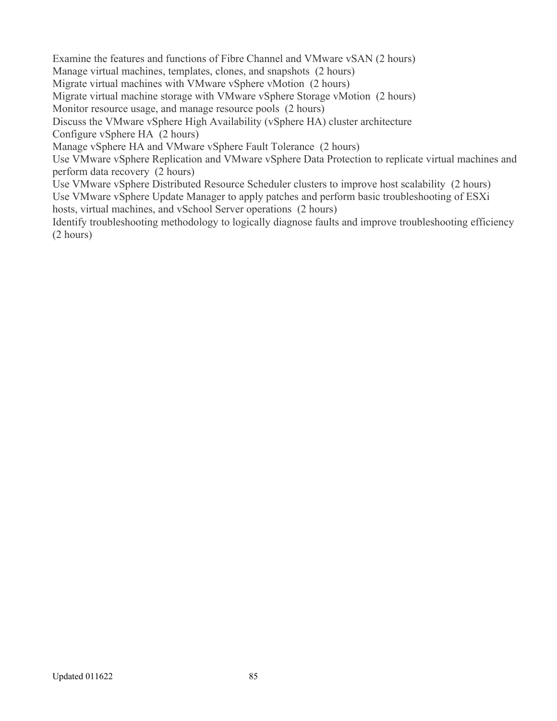Examine the features and functions of Fibre Channel and VMware vSAN (2 hours) Manage virtual machines, templates, clones, and snapshots (2 hours) Migrate virtual machines with VMware vSphere vMotion (2 hours) Migrate virtual machine storage with VMware vSphere Storage vMotion (2 hours) Monitor resource usage, and manage resource pools (2 hours) Discuss the VMware vSphere High Availability (vSphere HA) cluster architecture Configure vSphere HA (2 hours) Manage vSphere HA and VMware vSphere Fault Tolerance (2 hours) Use VMware vSphere Replication and VMware vSphere Data Protection to replicate virtual machines and perform data recovery (2 hours) Use VMware vSphere Distributed Resource Scheduler clusters to improve host scalability (2 hours) Use VMware vSphere Update Manager to apply patches and perform basic troubleshooting of ESXi hosts, virtual machines, and vSchool Server operations (2 hours) Identify troubleshooting methodology to logically diagnose faults and improve troubleshooting efficiency (2 hours)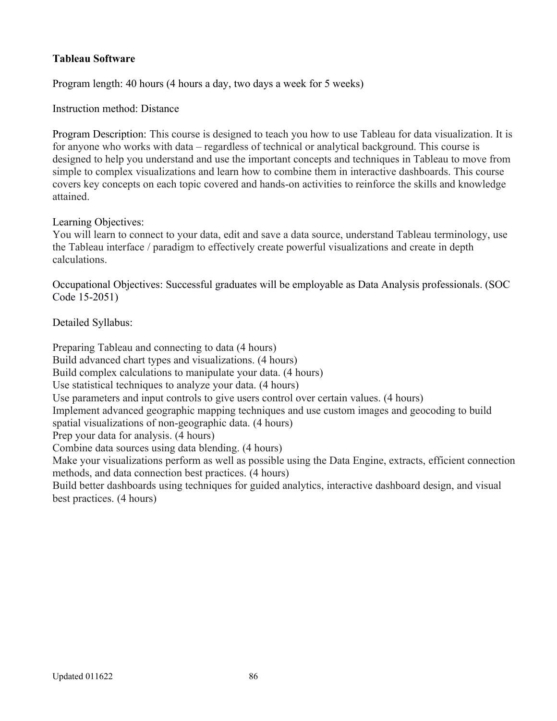# **Tableau Software**

Program length: 40 hours (4 hours a day, two days a week for 5 weeks)

Instruction method: Distance

Program Description: This course is designed to teach you how to use Tableau for data visualization. It is for anyone who works with data – regardless of technical or analytical background. This course is designed to help you understand and use the important concepts and techniques in Tableau to move from simple to complex visualizations and learn how to combine them in interactive dashboards. This course covers key concepts on each topic covered and hands-on activities to reinforce the skills and knowledge attained.

#### Learning Objectives:

You will learn to connect to your data, edit and save a data source, understand Tableau terminology, use the Tableau interface / paradigm to effectively create powerful visualizations and create in depth calculations.

Occupational Objectives: Successful graduates will be employable as Data Analysis professionals. (SOC Code 15-2051)

Detailed Syllabus:

Preparing Tableau and connecting to data (4 hours) Build advanced chart types and visualizations. (4 hours) Build complex calculations to manipulate your data. (4 hours) Use statistical techniques to analyze your data. (4 hours) Use parameters and input controls to give users control over certain values. (4 hours) Implement advanced geographic mapping techniques and use custom images and geocoding to build spatial visualizations of non-geographic data. (4 hours) Prep your data for analysis. (4 hours) Combine data sources using data blending. (4 hours) Make your visualizations perform as well as possible using the Data Engine, extracts, efficient connection methods, and data connection best practices. (4 hours) Build better dashboards using techniques for guided analytics, interactive dashboard design, and visual best practices. (4 hours)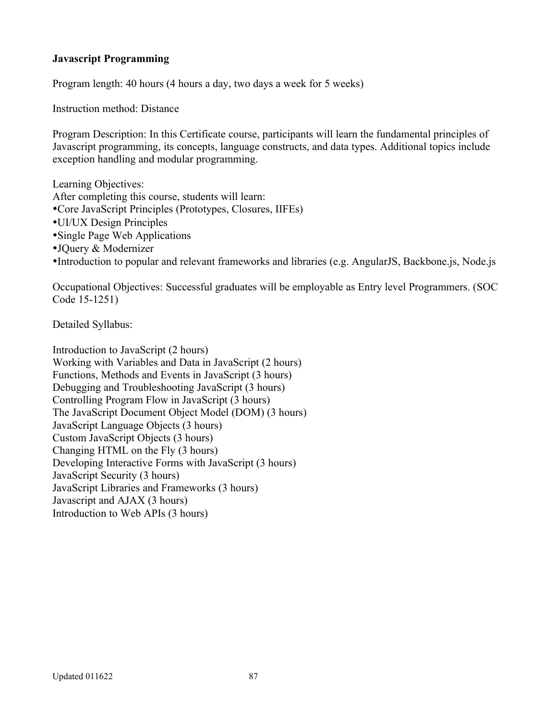## **Javascript Programming**

Program length: 40 hours (4 hours a day, two days a week for 5 weeks)

Instruction method: Distance

Program Description: In this Certificate course, participants will learn the fundamental principles of Javascript programming, its concepts, language constructs, and data types. Additional topics include exception handling and modular programming.

Learning Objectives: After completing this course, students will learn: Core JavaScript Principles (Prototypes, Closures, IIFEs) UI/UX Design Principles Single Page Web Applications JQuery & Modernizer

Introduction to popular and relevant frameworks and libraries (e.g. AngularJS, Backbone.js, Node.js

Occupational Objectives: Successful graduates will be employable as Entry level Programmers. (SOC Code 15-1251)

Detailed Syllabus:

Introduction to JavaScript (2 hours) Working with Variables and Data in JavaScript (2 hours) Functions, Methods and Events in JavaScript (3 hours) Debugging and Troubleshooting JavaScript (3 hours) Controlling Program Flow in JavaScript (3 hours) The JavaScript Document Object Model (DOM) (3 hours) JavaScript Language Objects (3 hours) Custom JavaScript Objects (3 hours) Changing HTML on the Fly (3 hours) Developing Interactive Forms with JavaScript (3 hours) JavaScript Security (3 hours) JavaScript Libraries and Frameworks (3 hours) Javascript and AJAX (3 hours) Introduction to Web APIs (3 hours)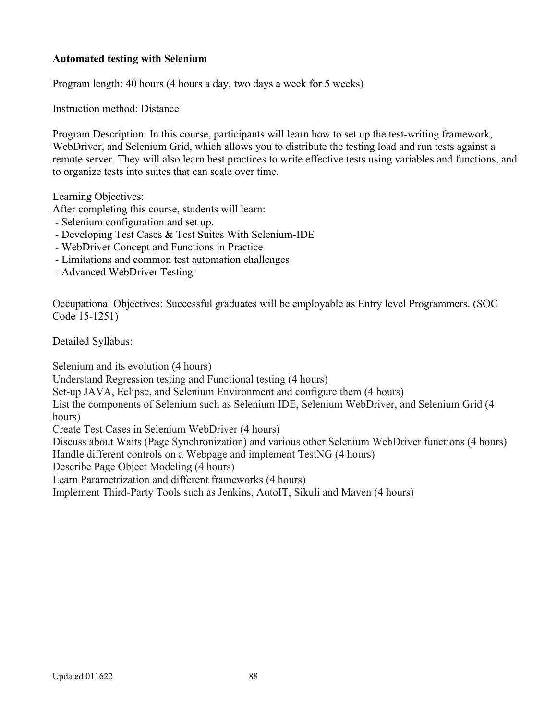## **Automated testing with Selenium**

Program length: 40 hours (4 hours a day, two days a week for 5 weeks)

Instruction method: Distance

Program Description: In this course, participants will learn how to set up the test-writing framework, WebDriver, and Selenium Grid, which allows you to distribute the testing load and run tests against a remote server. They will also learn best practices to write effective tests using variables and functions, and to organize tests into suites that can scale over time.

Learning Objectives:

After completing this course, students will learn:

- Selenium configuration and set up.
- Developing Test Cases & Test Suites With Selenium-IDE
- WebDriver Concept and Functions in Practice
- Limitations and common test automation challenges
- Advanced WebDriver Testing

Occupational Objectives: Successful graduates will be employable as Entry level Programmers. (SOC Code 15-1251)

Detailed Syllabus:

Selenium and its evolution (4 hours)

Understand Regression testing and Functional testing (4 hours)

Set-up JAVA, Eclipse, and Selenium Environment and configure them (4 hours)

List the components of Selenium such as Selenium IDE, Selenium WebDriver, and Selenium Grid (4 hours)

Create Test Cases in Selenium WebDriver (4 hours)

Discuss about Waits (Page Synchronization) and various other Selenium WebDriver functions (4 hours) Handle different controls on a Webpage and implement TestNG (4 hours)

Describe Page Object Modeling (4 hours)

Learn Parametrization and different frameworks (4 hours)

Implement Third-Party Tools such as Jenkins, AutoIT, Sikuli and Maven (4 hours)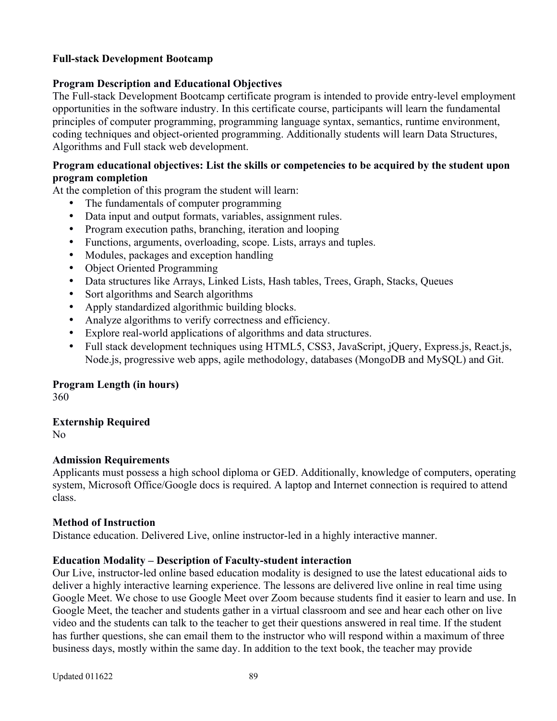### **Full-stack Development Bootcamp**

### **Program Description and Educational Objectives**

The Full-stack Development Bootcamp certificate program is intended to provide entry-level employment opportunities in the software industry. In this certificate course, participants will learn the fundamental principles of computer programming, programming language syntax, semantics, runtime environment, coding techniques and object-oriented programming. Additionally students will learn Data Structures, Algorithms and Full stack web development.

### **Program educational objectives: List the skills or competencies to be acquired by the student upon program completion**

At the completion of this program the student will learn:

- The fundamentals of computer programming
- Data input and output formats, variables, assignment rules.
- Program execution paths, branching, iteration and looping
- Functions, arguments, overloading, scope. Lists, arrays and tuples.
- Modules, packages and exception handling
- Object Oriented Programming
- Data structures like Arrays, Linked Lists, Hash tables, Trees, Graph, Stacks, Queues
- Sort algorithms and Search algorithms
- Apply standardized algorithmic building blocks.
- Analyze algorithms to verify correctness and efficiency.
- Explore real-world applications of algorithms and data structures.
- Full stack development techniques using HTML5, CSS3, JavaScript, jQuery, Express.js, React.js, Node.js, progressive web apps, agile methodology, databases (MongoDB and MySQL) and Git.

#### **Program Length (in hours)**

360

# **Externship Required**

No

#### **Admission Requirements**

Applicants must possess a high school diploma or GED. Additionally, knowledge of computers, operating system, Microsoft Office/Google docs is required. A laptop and Internet connection is required to attend class.

#### **Method of Instruction**

Distance education. Delivered Live, online instructor-led in a highly interactive manner.

#### **Education Modality – Description of Faculty-student interaction**

Our Live, instructor-led online based education modality is designed to use the latest educational aids to deliver a highly interactive learning experience. The lessons are delivered live online in real time using Google Meet. We chose to use Google Meet over Zoom because students find it easier to learn and use. In Google Meet, the teacher and students gather in a virtual classroom and see and hear each other on live video and the students can talk to the teacher to get their questions answered in real time. If the student has further questions, she can email them to the instructor who will respond within a maximum of three business days, mostly within the same day. In addition to the text book, the teacher may provide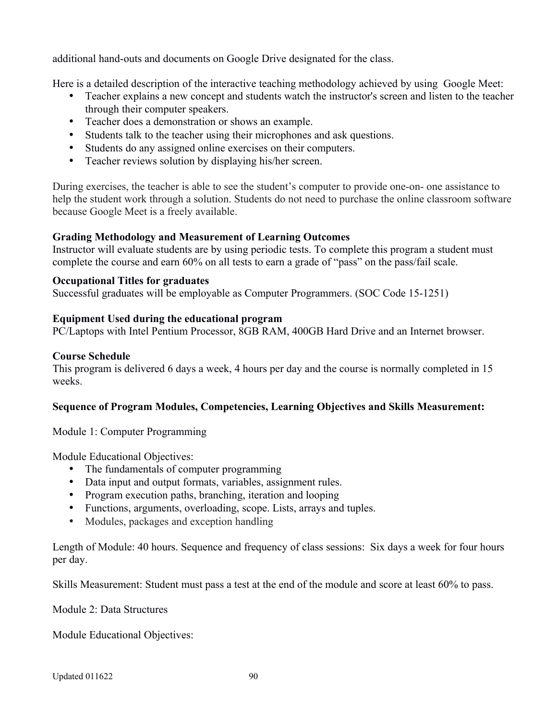additional hand-outs and documents on Google Drive designated for the class.

Here is a detailed description of the interactive teaching methodology achieved by using Google Meet:

- Teacher explains a new concept and students watch the instructor's screen and listen to the teacher through their computer speakers.
- Teacher does a demonstration or shows an example.
- Students talk to the teacher using their microphones and ask questions.
- Students do any assigned online exercises on their computers.
- Teacher reviews solution by displaying his/her screen.

During exercises, the teacher is able to see the student's computer to provide one-on- one assistance to help the student work through a solution. Students do not need to purchase the online classroom software because Google Meet is a freely available.

# **Grading Methodology and Measurement of Learning Outcomes**

Instructor will evaluate students are by using periodic tests. To complete this program a student must complete the course and earn 60% on all tests to earn a grade of "pass" on the pass/fail scale.

### **Occupational Titles for graduates**

Successful graduates will be employable as Computer Programmers. (SOC Code 15-1251)

### **Equipment Used during the educational program**

PC/Laptops with Intel Pentium Processor, 8GB RAM, 400GB Hard Drive and an Internet browser.

### **Course Schedule**

This program is delivered 6 days a week, 4 hours per day and the course is normally completed in 15 weeks.

#### **Sequence of Program Modules, Competencies, Learning Objectives and Skills Measurement:**

Module 1: Computer Programming

Module Educational Objectives:

- The fundamentals of computer programming
- Data input and output formats, variables, assignment rules.
- Program execution paths, branching, iteration and looping
- Functions, arguments, overloading, scope. Lists, arrays and tuples.
- Modules, packages and exception handling

Length of Module: 40 hours. Sequence and frequency of class sessions: Six days a week for four hours per day.

Skills Measurement: Student must pass a test at the end of the module and score at least 60% to pass.

Module 2: Data Structures

Module Educational Objectives: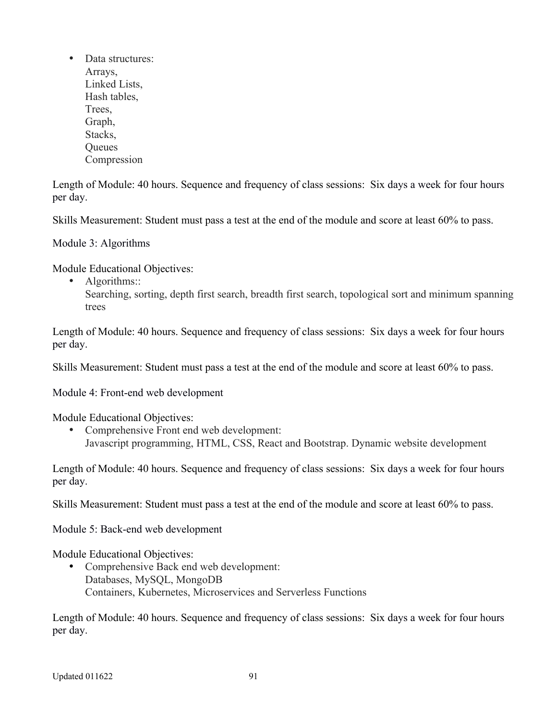• Data structures: Arrays, Linked Lists, Hash tables, Trees, Graph, Stacks, **Oueues** Compression

Length of Module: 40 hours. Sequence and frequency of class sessions: Six days a week for four hours per day.

Skills Measurement: Student must pass a test at the end of the module and score at least 60% to pass.

Module 3: Algorithms

Module Educational Objectives:

- Algorithms::
	- Searching, sorting, depth first search, breadth first search, topological sort and minimum spanning trees

Length of Module: 40 hours. Sequence and frequency of class sessions: Six days a week for four hours per day.

Skills Measurement: Student must pass a test at the end of the module and score at least 60% to pass.

Module 4: Front-end web development

Module Educational Objectives:

 Comprehensive Front end web development: Javascript programming, HTML, CSS, React and Bootstrap. Dynamic website development

Length of Module: 40 hours. Sequence and frequency of class sessions: Six days a week for four hours per day.

Skills Measurement: Student must pass a test at the end of the module and score at least 60% to pass.

Module 5: Back-end web development

Module Educational Objectives:

 Comprehensive Back end web development: Databases, MySQL, MongoDB Containers, Kubernetes, Microservices and Serverless Functions

Length of Module: 40 hours. Sequence and frequency of class sessions: Six days a week for four hours per day.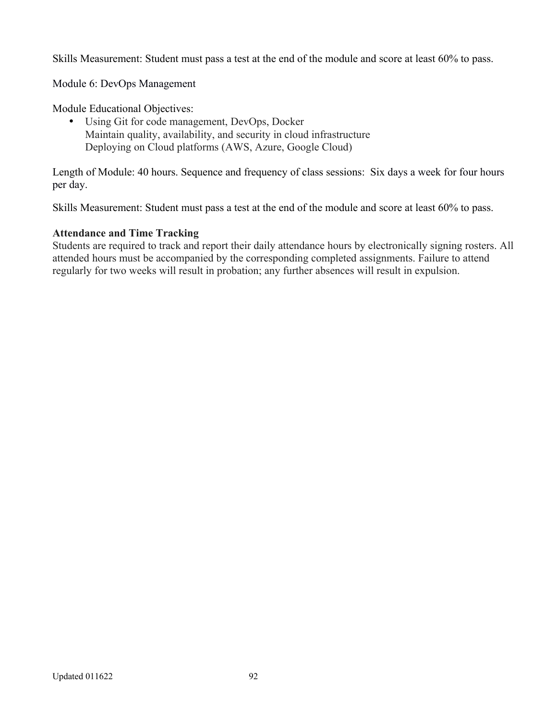Skills Measurement: Student must pass a test at the end of the module and score at least 60% to pass.

Module 6: DevOps Management

Module Educational Objectives:

 Using Git for code management, DevOps, Docker Maintain quality, availability, and security in cloud infrastructure Deploying on Cloud platforms (AWS, Azure, Google Cloud)

Length of Module: 40 hours. Sequence and frequency of class sessions: Six days a week for four hours per day.

Skills Measurement: Student must pass a test at the end of the module and score at least 60% to pass.

### **Attendance and Time Tracking**

Students are required to track and report their daily attendance hours by electronically signing rosters. All attended hours must be accompanied by the corresponding completed assignments. Failure to attend regularly for two weeks will result in probation; any further absences will result in expulsion.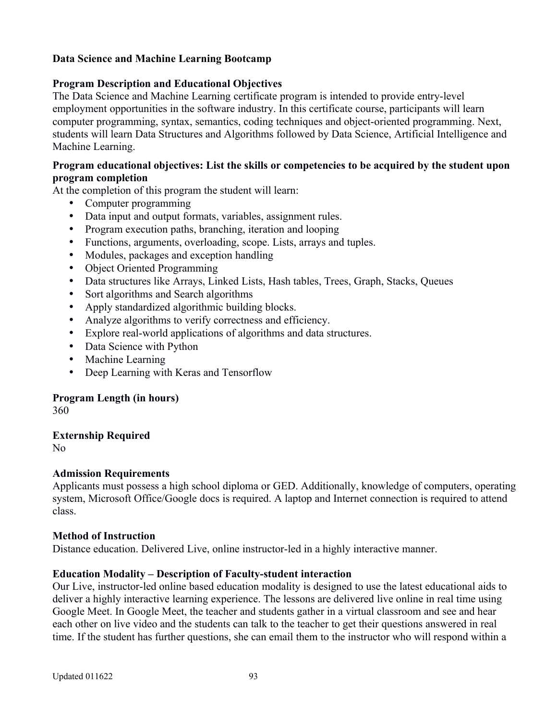# **Data Science and Machine Learning Bootcamp**

### **Program Description and Educational Objectives**

The Data Science and Machine Learning certificate program is intended to provide entry-level employment opportunities in the software industry. In this certificate course, participants will learn computer programming, syntax, semantics, coding techniques and object-oriented programming. Next, students will learn Data Structures and Algorithms followed by Data Science, Artificial Intelligence and Machine Learning.

#### **Program educational objectives: List the skills or competencies to be acquired by the student upon program completion**

At the completion of this program the student will learn:

- Computer programming
- Data input and output formats, variables, assignment rules.
- Program execution paths, branching, iteration and looping
- Functions, arguments, overloading, scope. Lists, arrays and tuples.
- Modules, packages and exception handling
- Object Oriented Programming
- Data structures like Arrays, Linked Lists, Hash tables, Trees, Graph, Stacks, Queues
- Sort algorithms and Search algorithms
- Apply standardized algorithmic building blocks.
- Analyze algorithms to verify correctness and efficiency.
- Explore real-world applications of algorithms and data structures.
- Data Science with Python
- Machine Learning
- Deep Learning with Keras and Tensorflow

#### **Program Length (in hours)**

360

# **Externship Required**

No

#### **Admission Requirements**

Applicants must possess a high school diploma or GED. Additionally, knowledge of computers, operating system, Microsoft Office/Google docs is required. A laptop and Internet connection is required to attend class.

#### **Method of Instruction**

Distance education. Delivered Live, online instructor-led in a highly interactive manner.

#### **Education Modality – Description of Faculty-student interaction**

Our Live, instructor-led online based education modality is designed to use the latest educational aids to deliver a highly interactive learning experience. The lessons are delivered live online in real time using Google Meet. In Google Meet, the teacher and students gather in a virtual classroom and see and hear each other on live video and the students can talk to the teacher to get their questions answered in real time. If the student has further questions, she can email them to the instructor who will respond within a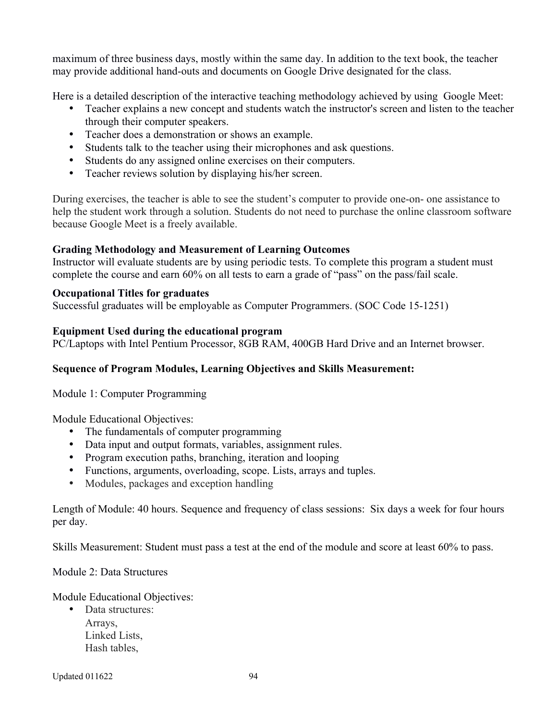maximum of three business days, mostly within the same day. In addition to the text book, the teacher may provide additional hand-outs and documents on Google Drive designated for the class.

Here is a detailed description of the interactive teaching methodology achieved by using Google Meet:

- Teacher explains a new concept and students watch the instructor's screen and listen to the teacher through their computer speakers.
- Teacher does a demonstration or shows an example.
- Students talk to the teacher using their microphones and ask questions.
- Students do any assigned online exercises on their computers.
- Teacher reviews solution by displaying his/her screen.

During exercises, the teacher is able to see the student's computer to provide one-on- one assistance to help the student work through a solution. Students do not need to purchase the online classroom software because Google Meet is a freely available.

# **Grading Methodology and Measurement of Learning Outcomes**

Instructor will evaluate students are by using periodic tests. To complete this program a student must complete the course and earn 60% on all tests to earn a grade of "pass" on the pass/fail scale.

### **Occupational Titles for graduates**

Successful graduates will be employable as Computer Programmers. (SOC Code 15-1251)

### **Equipment Used during the educational program**

PC/Laptops with Intel Pentium Processor, 8GB RAM, 400GB Hard Drive and an Internet browser.

# **Sequence of Program Modules, Learning Objectives and Skills Measurement:**

Module 1: Computer Programming

Module Educational Objectives:

- The fundamentals of computer programming
- Data input and output formats, variables, assignment rules.
- Program execution paths, branching, iteration and looping
- Functions, arguments, overloading, scope. Lists, arrays and tuples.
- Modules, packages and exception handling

Length of Module: 40 hours. Sequence and frequency of class sessions: Six days a week for four hours per day.

Skills Measurement: Student must pass a test at the end of the module and score at least 60% to pass.

Module 2: Data Structures

Module Educational Objectives:

• Data structures: Arrays, Linked Lists, Hash tables,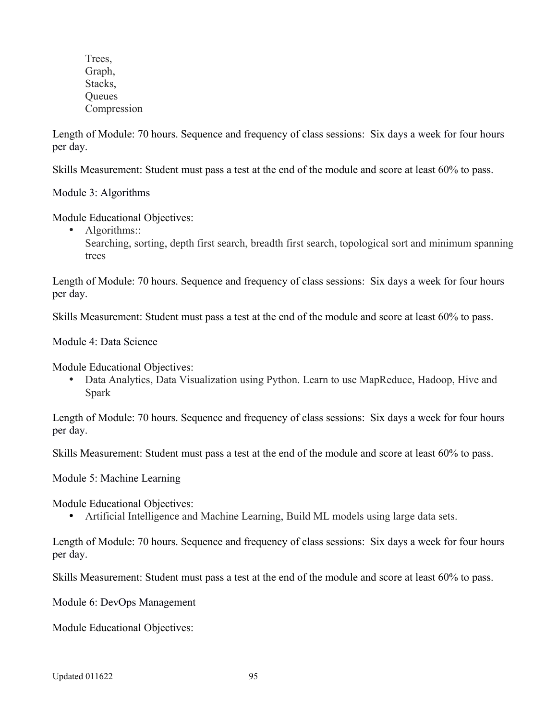Trees, Graph, Stacks, **Oueues** Compression

Length of Module: 70 hours. Sequence and frequency of class sessions: Six days a week for four hours per day.

Skills Measurement: Student must pass a test at the end of the module and score at least 60% to pass.

Module 3: Algorithms

Module Educational Objectives:

• Algorithms::

Searching, sorting, depth first search, breadth first search, topological sort and minimum spanning trees

Length of Module: 70 hours. Sequence and frequency of class sessions: Six days a week for four hours per day.

Skills Measurement: Student must pass a test at the end of the module and score at least 60% to pass.

Module 4: Data Science

Module Educational Objectives:

 Data Analytics, Data Visualization using Python. Learn to use MapReduce, Hadoop, Hive and Spark

Length of Module: 70 hours. Sequence and frequency of class sessions: Six days a week for four hours per day.

Skills Measurement: Student must pass a test at the end of the module and score at least 60% to pass.

Module 5: Machine Learning

Module Educational Objectives:

Artificial Intelligence and Machine Learning, Build ML models using large data sets.

Length of Module: 70 hours. Sequence and frequency of class sessions: Six days a week for four hours per day.

Skills Measurement: Student must pass a test at the end of the module and score at least 60% to pass.

Module 6: DevOps Management

Module Educational Objectives: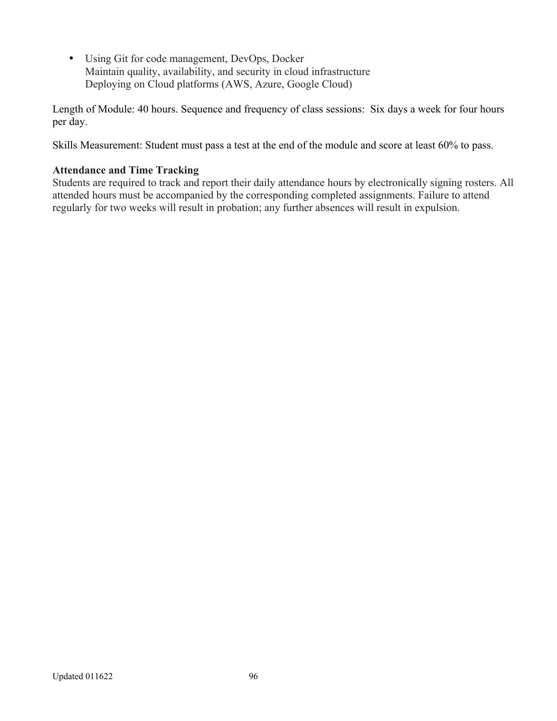Using Git for code management, DevOps, Docker Maintain quality, availability, and security in cloud infrastructure Deploying on Cloud platforms (AWS, Azure, Google Cloud)

Length of Module: 40 hours. Sequence and frequency of class sessions: Six days a week for four hours per day.

Skills Measurement: Student must pass a test at the end of the module and score at least 60% to pass.

# **Attendance and Time Tracking**

Students are required to track and report their daily attendance hours by electronically signing rosters. All attended hours must be accompanied by the corresponding completed assignments. Failure to attend regularly for two weeks will result in probation; any further absences will result in expulsion.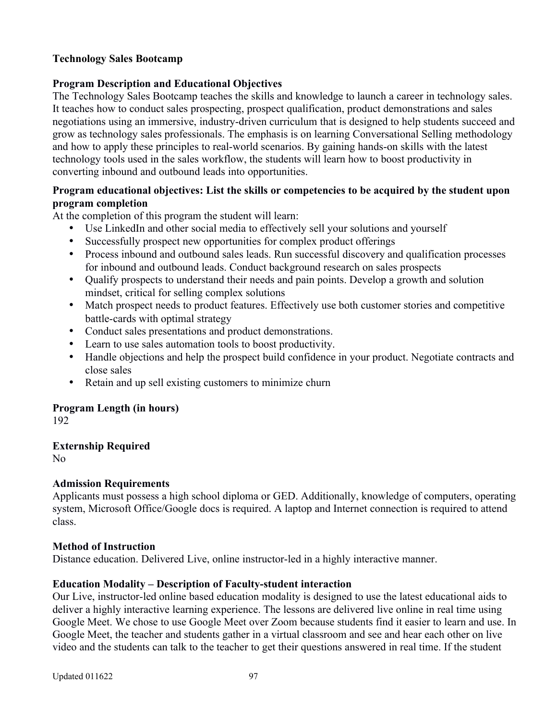### **Technology Sales Bootcamp**

### **Program Description and Educational Objectives**

The Technology Sales Bootcamp teaches the skills and knowledge to launch a career in technology sales. It teaches how to conduct sales prospecting, prospect qualification, product demonstrations and sales negotiations using an immersive, industry-driven curriculum that is designed to help students succeed and grow as technology sales professionals. The emphasis is on learning Conversational Selling methodology and how to apply these principles to real-world scenarios. By gaining hands-on skills with the latest technology tools used in the sales workflow, the students will learn how to boost productivity in converting inbound and outbound leads into opportunities.

# **Program educational objectives: List the skills or competencies to be acquired by the student upon program completion**

At the completion of this program the student will learn:

- Use LinkedIn and other social media to effectively sell your solutions and yourself
- Successfully prospect new opportunities for complex product offerings
- Process inbound and outbound sales leads. Run successful discovery and qualification processes for inbound and outbound leads. Conduct background research on sales prospects
- Qualify prospects to understand their needs and pain points. Develop a growth and solution mindset, critical for selling complex solutions
- Match prospect needs to product features. Effectively use both customer stories and competitive battle-cards with optimal strategy
- Conduct sales presentations and product demonstrations.
- Learn to use sales automation tools to boost productivity.
- Handle objections and help the prospect build confidence in your product. Negotiate contracts and close sales
- Retain and up sell existing customers to minimize churn

# **Program Length (in hours)**

192

# **Externship Required**

No

#### **Admission Requirements**

Applicants must possess a high school diploma or GED. Additionally, knowledge of computers, operating system, Microsoft Office/Google docs is required. A laptop and Internet connection is required to attend class.

#### **Method of Instruction**

Distance education. Delivered Live, online instructor-led in a highly interactive manner.

#### **Education Modality – Description of Faculty-student interaction**

Our Live, instructor-led online based education modality is designed to use the latest educational aids to deliver a highly interactive learning experience. The lessons are delivered live online in real time using Google Meet. We chose to use Google Meet over Zoom because students find it easier to learn and use. In Google Meet, the teacher and students gather in a virtual classroom and see and hear each other on live video and the students can talk to the teacher to get their questions answered in real time. If the student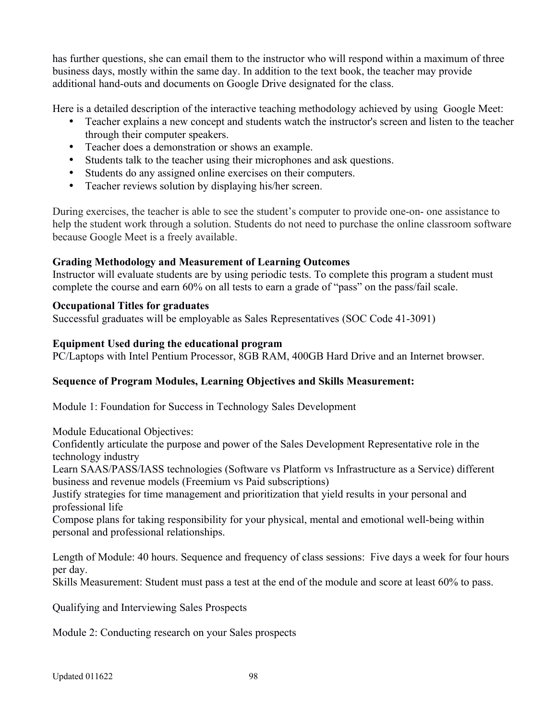has further questions, she can email them to the instructor who will respond within a maximum of three business days, mostly within the same day. In addition to the text book, the teacher may provide additional hand-outs and documents on Google Drive designated for the class.

Here is a detailed description of the interactive teaching methodology achieved by using Google Meet:

- Teacher explains a new concept and students watch the instructor's screen and listen to the teacher through their computer speakers.
- Teacher does a demonstration or shows an example.
- Students talk to the teacher using their microphones and ask questions.
- Students do any assigned online exercises on their computers.
- Teacher reviews solution by displaying his/her screen.

During exercises, the teacher is able to see the student's computer to provide one-on- one assistance to help the student work through a solution. Students do not need to purchase the online classroom software because Google Meet is a freely available.

# **Grading Methodology and Measurement of Learning Outcomes**

Instructor will evaluate students are by using periodic tests. To complete this program a student must complete the course and earn 60% on all tests to earn a grade of "pass" on the pass/fail scale.

# **Occupational Titles for graduates**

Successful graduates will be employable as Sales Representatives (SOC Code 41-3091)

# **Equipment Used during the educational program**

PC/Laptops with Intel Pentium Processor, 8GB RAM, 400GB Hard Drive and an Internet browser.

# **Sequence of Program Modules, Learning Objectives and Skills Measurement:**

Module 1: Foundation for Success in Technology Sales Development

Module Educational Objectives:

Confidently articulate the purpose and power of the Sales Development Representative role in the technology industry

Learn SAAS/PASS/IASS technologies (Software vs Platform vs Infrastructure as a Service) different business and revenue models (Freemium vs Paid subscriptions)

Justify strategies for time management and prioritization that yield results in your personal and professional life

Compose plans for taking responsibility for your physical, mental and emotional well-being within personal and professional relationships.

Length of Module: 40 hours. Sequence and frequency of class sessions: Five days a week for four hours per day.

Skills Measurement: Student must pass a test at the end of the module and score at least 60% to pass.

Qualifying and Interviewing Sales Prospects

Module 2: Conducting research on your Sales prospects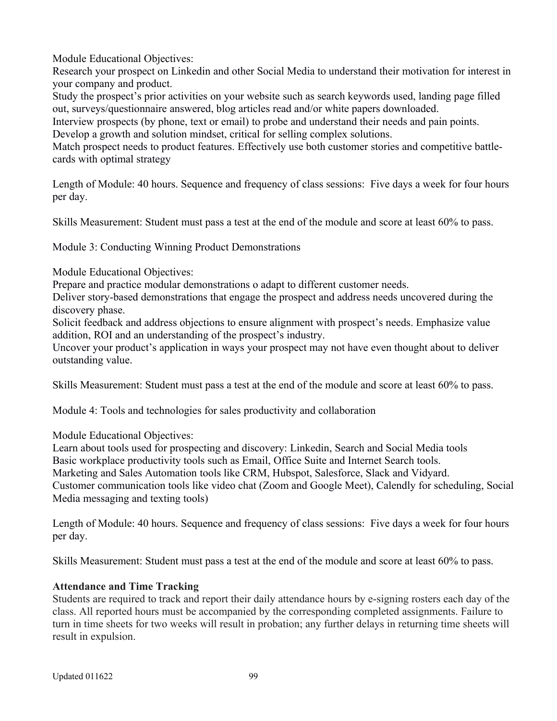Module Educational Objectives:

Research your prospect on Linkedin and other Social Media to understand their motivation for interest in your company and product.

Study the prospect's prior activities on your website such as search keywords used, landing page filled out, surveys/questionnaire answered, blog articles read and/or white papers downloaded.

Interview prospects (by phone, text or email) to probe and understand their needs and pain points. Develop a growth and solution mindset, critical for selling complex solutions.

Match prospect needs to product features. Effectively use both customer stories and competitive battlecards with optimal strategy

Length of Module: 40 hours. Sequence and frequency of class sessions: Five days a week for four hours per day.

Skills Measurement: Student must pass a test at the end of the module and score at least 60% to pass.

Module 3: Conducting Winning Product Demonstrations

Module Educational Objectives:

Prepare and practice modular demonstrations o adapt to different customer needs.

Deliver story-based demonstrations that engage the prospect and address needs uncovered during the discovery phase.

Solicit feedback and address objections to ensure alignment with prospect's needs. Emphasize value addition, ROI and an understanding of the prospect's industry.

Uncover your product's application in ways your prospect may not have even thought about to deliver outstanding value.

Skills Measurement: Student must pass a test at the end of the module and score at least 60% to pass.

Module 4: Tools and technologies for sales productivity and collaboration

Module Educational Objectives:

Learn about tools used for prospecting and discovery: Linkedin, Search and Social Media tools Basic workplace productivity tools such as Email, Office Suite and Internet Search tools. Marketing and Sales Automation tools like CRM, Hubspot, Salesforce, Slack and Vidyard. Customer communication tools like video chat (Zoom and Google Meet), Calendly for scheduling, Social Media messaging and texting tools)

Length of Module: 40 hours. Sequence and frequency of class sessions: Five days a week for four hours per day.

Skills Measurement: Student must pass a test at the end of the module and score at least 60% to pass.

#### **Attendance and Time Tracking**

Students are required to track and report their daily attendance hours by e-signing rosters each day of the class. All reported hours must be accompanied by the corresponding completed assignments. Failure to turn in time sheets for two weeks will result in probation; any further delays in returning time sheets will result in expulsion.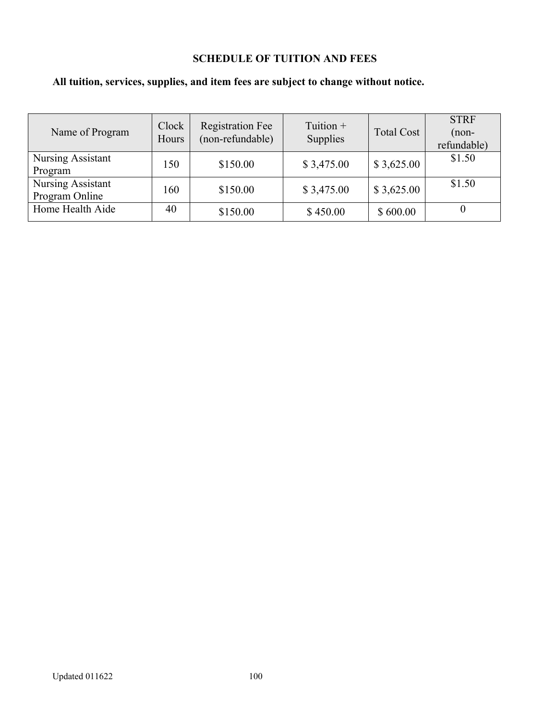# **SCHEDULE OF TUITION AND FEES**

# **All tuition, services, supplies, and item fees are subject to change without notice.**

| Name of Program                     | Clock<br>Hours | <b>Registration Fee</b><br>(non-refundable) | Tuition $+$<br><b>Supplies</b> | <b>Total Cost</b> | <b>STRF</b><br>$(non-$<br>refundable) |
|-------------------------------------|----------------|---------------------------------------------|--------------------------------|-------------------|---------------------------------------|
| Nursing Assistant<br>Program        | 150            | \$150.00                                    | \$3,475.00                     | \$3,625.00        | \$1.50                                |
| Nursing Assistant<br>Program Online | 160            | \$150.00                                    | \$3,475.00                     | \$3,625.00        | \$1.50                                |
| Home Health Aide                    | 40             | \$150.00                                    | \$450.00                       | \$600.00          |                                       |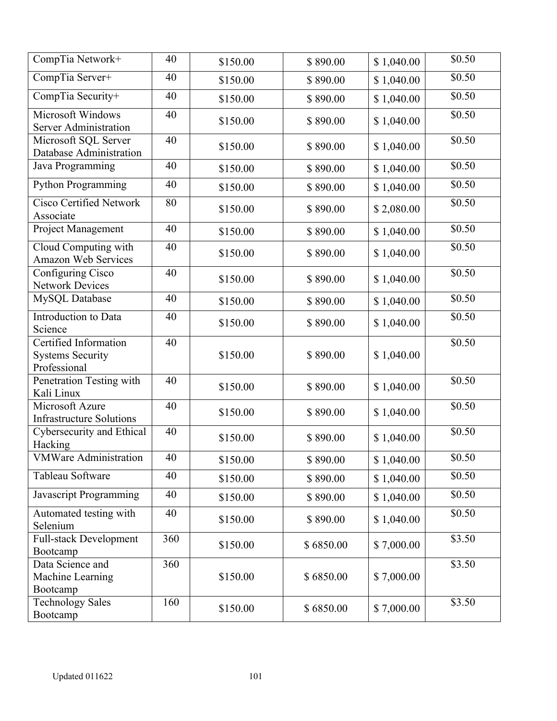| CompTia Network+                                                 | 40  | \$150.00 | \$890.00  | \$1,040.00 | \$0.50             |
|------------------------------------------------------------------|-----|----------|-----------|------------|--------------------|
| CompTia Server+                                                  | 40  | \$150.00 | \$890.00  | \$1,040.00 | \$0.50             |
| CompTia Security+                                                | 40  | \$150.00 | \$890.00  | \$1,040.00 | $\overline{50.50}$ |
| Microsoft Windows<br>Server Administration                       | 40  | \$150.00 | \$890.00  | \$1,040.00 | \$0.50             |
| Microsoft SQL Server<br>Database Administration                  | 40  | \$150.00 | \$890.00  | \$1,040.00 | \$0.50             |
| Java Programming                                                 | 40  | \$150.00 | \$890.00  | \$1,040.00 | \$0.50             |
| Python Programming                                               | 40  | \$150.00 | \$890.00  | \$1,040.00 | \$0.50             |
| <b>Cisco Certified Network</b><br>Associate                      | 80  | \$150.00 | \$890.00  | \$2,080.00 | $\sqrt{$0.50}$     |
| Project Management                                               | 40  | \$150.00 | \$890.00  | \$1,040.00 | \$0.50             |
| Cloud Computing with<br>Amazon Web Services                      | 40  | \$150.00 | \$890.00  | \$1,040.00 | \$0.50             |
| Configuring Cisco<br><b>Network Devices</b>                      | 40  | \$150.00 | \$890.00  | \$1,040.00 | \$0.50             |
| MySQL Database                                                   | 40  | \$150.00 | \$890.00  | \$1,040.00 | \$0.50             |
| Introduction to Data<br>Science                                  | 40  | \$150.00 | \$890.00  | \$1,040.00 | \$0.50             |
| Certified Information<br><b>Systems Security</b><br>Professional | 40  | \$150.00 | \$890.00  | \$1,040.00 | \$0.50             |
| Penetration Testing with<br>Kali Linux                           | 40  | \$150.00 | \$890.00  | \$1,040.00 | \$0.50             |
| Microsoft Azure<br><b>Infrastructure Solutions</b>               | 40  | \$150.00 | \$890.00  | \$1,040.00 | \$0.50             |
| Cybersecurity and Ethical<br>Hacking                             | 40  | \$150.00 | \$890.00  | \$1,040.00 | \$0.50             |
| <b>VMWare Administration</b>                                     | 40  | \$150.00 | \$890.00  | \$1,040.00 | \$0.50             |
| Tableau Software                                                 | 40  | \$150.00 | \$890.00  | \$1,040.00 | \$0.50             |
| <b>Javascript Programming</b>                                    | 40  | \$150.00 | \$890.00  | \$1,040.00 | \$0.50             |
| Automated testing with<br>Selenium                               | 40  | \$150.00 | \$890.00  | \$1,040.00 | \$0.50             |
| <b>Full-stack Development</b><br>Bootcamp                        | 360 | \$150.00 | \$6850.00 | \$7,000.00 | \$3.50             |
| Data Science and<br>Machine Learning<br>Bootcamp                 | 360 | \$150.00 | \$6850.00 | \$7,000.00 | \$3.50             |
| <b>Technology Sales</b><br>Bootcamp                              | 160 | \$150.00 | \$6850.00 | \$7,000.00 | \$3.50             |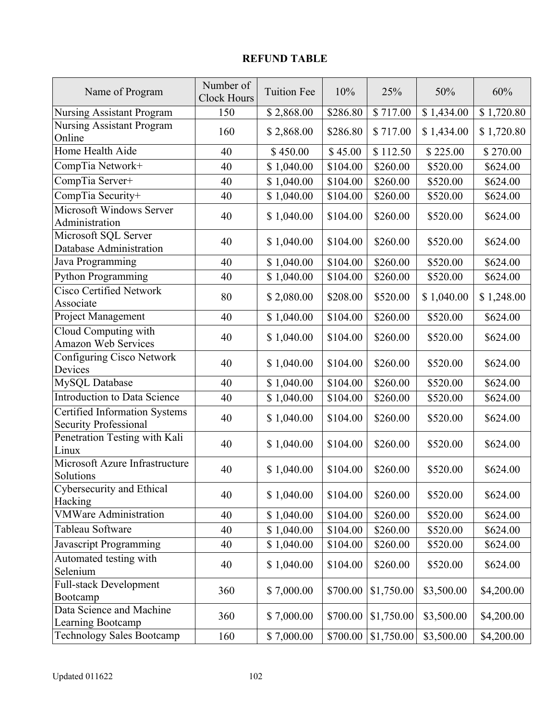# **REFUND TABLE**

| Name of Program                                                      | Number of<br><b>Clock Hours</b> | <b>Tuition Fee</b> | 10%      | 25%        | 50%                    | 60%        |
|----------------------------------------------------------------------|---------------------------------|--------------------|----------|------------|------------------------|------------|
| Nursing Assistant Program                                            | 150                             | \$2,868.00         | \$286.80 | \$717.00   | $\overline{$}1,434.00$ | \$1,720.80 |
| <b>Nursing Assistant Program</b><br>Online                           | 160                             | \$2,868.00         | \$286.80 | \$717.00   | \$1,434.00             | \$1,720.80 |
| Home Health Aide                                                     | 40                              | \$450.00           | \$45.00  | \$112.50   | \$225.00               | \$270.00   |
| CompTia Network+                                                     | 40                              | \$1,040.00         | \$104.00 | \$260.00   | \$520.00               | \$624.00   |
| CompTia Server+                                                      | 40                              | \$1,040.00         | \$104.00 | \$260.00   | \$520.00               | \$624.00   |
| CompTia Security+                                                    | 40                              | \$1,040.00         | \$104.00 | \$260.00   | \$520.00               | \$624.00   |
| Microsoft Windows Server<br>Administration                           | 40                              | \$1,040.00         | \$104.00 | \$260.00   | \$520.00               | \$624.00   |
| Microsoft SQL Server<br>Database Administration                      | 40                              | \$1,040.00         | \$104.00 | \$260.00   | \$520.00               | \$624.00   |
| Java Programming                                                     | 40                              | \$1,040.00         | \$104.00 | \$260.00   | \$520.00               | \$624.00   |
| Python Programming                                                   | 40                              | \$1,040.00         | \$104.00 | \$260.00   | \$520.00               | \$624.00   |
| <b>Cisco Certified Network</b><br>Associate                          | 80                              | \$2,080.00         | \$208.00 | \$520.00   | \$1,040.00             | \$1,248.00 |
| <b>Project Management</b>                                            | 40                              | \$1,040.00         | \$104.00 | \$260.00   | \$520.00               | \$624.00   |
| Cloud Computing with<br><b>Amazon Web Services</b>                   | 40                              | \$1,040.00         | \$104.00 | \$260.00   | \$520.00               | \$624.00   |
| Configuring Cisco Network<br>Devices                                 | 40                              | \$1,040.00         | \$104.00 | \$260.00   | \$520.00               | \$624.00   |
| MySQL Database                                                       | 40                              | \$1,040.00         | \$104.00 | \$260.00   | \$520.00               | \$624.00   |
| <b>Introduction to Data Science</b>                                  | 40                              | \$1,040.00         | \$104.00 | \$260.00   | \$520.00               | \$624.00   |
| <b>Certified Information Systems</b><br><b>Security Professional</b> | 40                              | \$1,040.00         | \$104.00 | \$260.00   | \$520.00               | \$624.00   |
| Penetration Testing with Kali<br>Linux                               | 40                              | \$1,040.00         | \$104.00 | \$260.00   | \$520.00               | \$624.00   |
| Microsoft Azure Infrastructure<br>Solutions                          | 40                              | \$1,040.00         | \$104.00 | \$260.00   | \$520.00               | \$624.00   |
| Cybersecurity and Ethical<br>Hacking                                 | 40                              | \$1,040.00         | \$104.00 | \$260.00   | \$520.00               | \$624.00   |
| <b>VMWare Administration</b>                                         | 40                              | \$1,040.00         | \$104.00 | \$260.00   | \$520.00               | \$624.00   |
| Tableau Software                                                     | 40                              | \$1,040.00         | \$104.00 | \$260.00   | \$520.00               | \$624.00   |
| Javascript Programming                                               | 40                              | \$1,040.00         | \$104.00 | \$260.00   | \$520.00               | \$624.00   |
| Automated testing with<br>Selenium                                   | 40                              | \$1,040.00         | \$104.00 | \$260.00   | \$520.00               | \$624.00   |
| <b>Full-stack Development</b><br>Bootcamp                            | 360                             | \$7,000.00         | \$700.00 | \$1,750.00 | \$3,500.00             | \$4,200.00 |
| Data Science and Machine<br>Learning Bootcamp                        | 360                             | \$7,000.00         | \$700.00 | \$1,750.00 | \$3,500.00             | \$4,200.00 |
| <b>Technology Sales Bootcamp</b>                                     | 160                             | \$7,000.00         | \$700.00 | \$1,750.00 | \$3,500.00             | \$4,200.00 |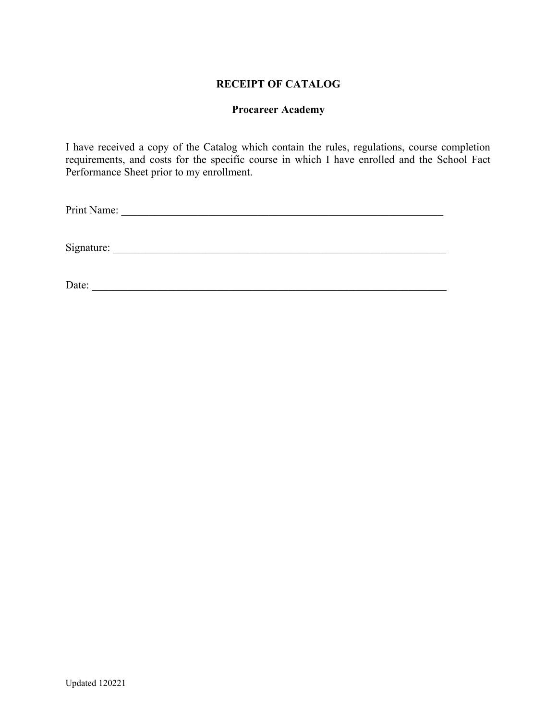## **RECEIPT OF CATALOG**

#### **Procareer Academy**

I have received a copy of the Catalog which contain the rules, regulations, course completion requirements, and costs for the specific course in which I have enrolled and the School Fact Performance Sheet prior to my enrollment.

Print Name: \_\_\_\_\_\_\_\_\_\_\_\_\_\_\_\_\_\_\_\_\_\_\_\_\_\_\_\_\_\_\_\_\_\_\_\_\_\_\_\_\_\_\_\_\_\_\_\_\_\_\_\_\_\_\_\_\_\_\_

Signature: \_\_\_\_\_\_\_\_\_\_\_\_\_\_\_\_\_\_\_\_\_\_\_\_\_\_\_\_\_\_\_\_\_\_\_\_\_\_\_\_\_\_\_\_\_\_\_\_\_\_\_\_\_\_\_\_\_\_\_\_\_

Date: \_\_\_\_\_\_\_\_\_\_\_\_\_\_\_\_\_\_\_\_\_\_\_\_\_\_\_\_\_\_\_\_\_\_\_\_\_\_\_\_\_\_\_\_\_\_\_\_\_\_\_\_\_\_\_\_\_\_\_\_\_\_\_\_\_